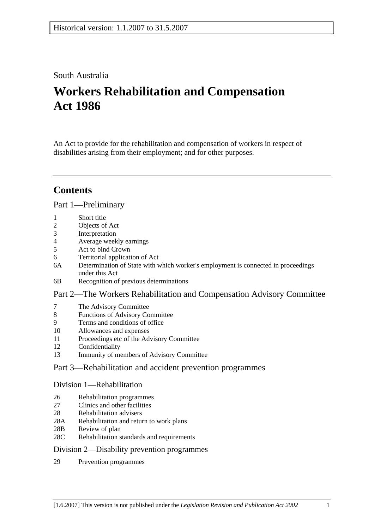# South Australia

# **Workers Rehabilitation and Compensation Act 1986**

An Act to provide for the rehabilitation and compensation of workers in respect of disabilities arising from their employment; and for other purposes.

# **Contents**

## Part 1—Preliminary

- 1 Short title
- 2 Objects of Act
- 3 Interpretation
- 4 Average weekly earnings
- 5 Act to bind Crown
- 6 Territorial application of Act
- 6A Determination of State with which worker's employment is connected in proceedings under this Act
- 6B Recognition of previous determinations

# Part 2—The Workers Rehabilitation and Compensation Advisory Committee

- 7 The Advisory Committee
- 8 Functions of Advisory Committee
- 9 Terms and conditions of office
- 10 Allowances and expenses
- 11 Proceedings etc of the Advisory Committee
- 12 Confidentiality
- 13 Immunity of members of Advisory Committee

# Part 3—Rehabilitation and accident prevention programmes

## Division 1—Rehabilitation

- 26 Rehabilitation programmes
- 27 Clinics and other facilities
- 28 Rehabilitation advisers
- 28A Rehabilitation and return to work plans
- 28B Review of plan
- 28C Rehabilitation standards and requirements

## Division 2—Disability prevention programmes

29 Prevention programmes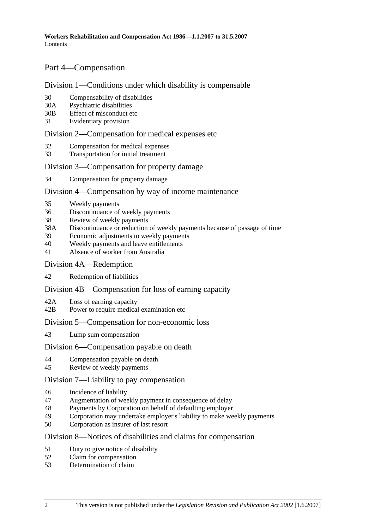# Part 4—Compensation

## Division 1—Conditions under which disability is compensable

- 30 Compensability of disabilities
- 30A Psychiatric disabilities
- 30B Effect of misconduct etc
- 31 Evidentiary provision

## Division 2—Compensation for medical expenses etc

- 32 Compensation for medical expenses
- 33 Transportation for initial treatment

## Division 3—Compensation for property damage

34 Compensation for property damage

# Division 4—Compensation by way of income maintenance

- 35 Weekly payments
- 36 Discontinuance of weekly payments
- 38 Review of weekly payments
- 38A Discontinuance or reduction of weekly payments because of passage of time
- 39 Economic adjustments to weekly payments
- 40 Weekly payments and leave entitlements
- 41 Absence of worker from Australia

#### Division 4A—Redemption

42 Redemption of liabilities

## Division 4B—Compensation for loss of earning capacity

- 42A Loss of earning capacity
- 42B Power to require medical examination etc

## Division 5—Compensation for non-economic loss

43 Lump sum compensation

## Division 6—Compensation payable on death

- 44 Compensation payable on death
- 45 Review of weekly payments

## Division 7—Liability to pay compensation

- 46 Incidence of liability
- 47 Augmentation of weekly payment in consequence of delay
- 48 Payments by Corporation on behalf of defaulting employer
- 49 Corporation may undertake employer's liability to make weekly payments
- 50 Corporation as insurer of last resort

## Division 8—Notices of disabilities and claims for compensation

- 51 Duty to give notice of disability
- 52 Claim for compensation
- 53 Determination of claim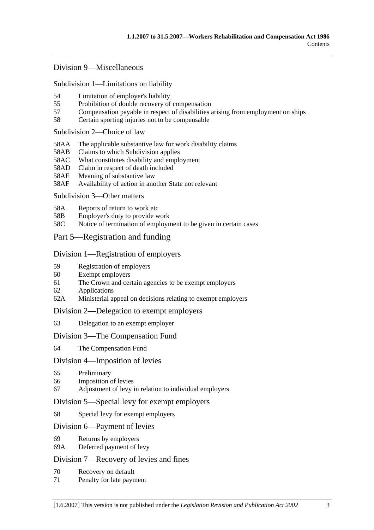## Division 9—Miscellaneous

Subdivision 1—Limitations on liability

- 54 Limitation of employer's liability
- 55 Prohibition of double recovery of compensation
- 57 Compensation payable in respect of disabilities arising from employment on ships
- 58 Certain sporting injuries not to be compensable

#### Subdivision 2—Choice of law

- 58AA The applicable substantive law for work disability claims
- 58AB Claims to which Subdivision applies
- 58AC What constitutes disability and employment
- 58AD Claim in respect of death included
- 58AE Meaning of substantive law
- 58AF Availability of action in another State not relevant

## Subdivision 3—Other matters

- 58A Reports of return to work etc
- 58B Employer's duty to provide work
- 58C Notice of termination of employment to be given in certain cases

# Part 5—Registration and funding

## Division 1—Registration of employers

- 59 Registration of employers
- 60 Exempt employers
- 61 The Crown and certain agencies to be exempt employers
- 62 Applications
- 62A Ministerial appeal on decisions relating to exempt employers

## Division 2—Delegation to exempt employers

63 Delegation to an exempt employer

## Division 3—The Compensation Fund

64 The Compensation Fund

## Division 4—Imposition of levies

- 65 Preliminary
- 66 Imposition of levies
- 67 Adjustment of levy in relation to individual employers

## Division 5—Special levy for exempt employers

68 Special levy for exempt employers

## Division 6—Payment of levies

- 69 Returns by employers
- 69A Deferred payment of levy

# Division 7—Recovery of levies and fines

- 70 Recovery on default
- 71 Penalty for late payment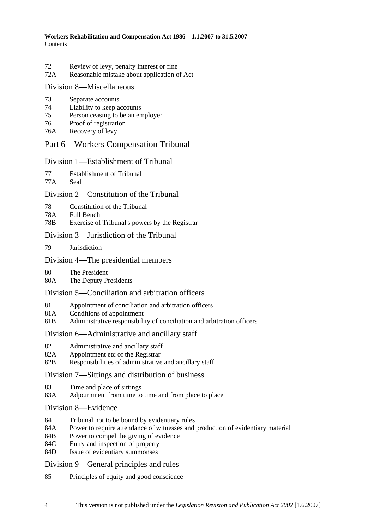- 72 Review of levy, penalty interest or fine
- 72A Reasonable mistake about application of Act

## Division 8—Miscellaneous

- 73 Separate accounts
- 74 Liability to keep accounts
- 75 Person ceasing to be an employer
- 76 Proof of registration
- 76A Recovery of levy

# Part 6—Workers Compensation Tribunal

## Division 1—Establishment of Tribunal

77 Establishment of Tribunal

77A Seal

# Division 2—Constitution of the Tribunal

- 78 Constitution of the Tribunal
- 78A Full Bench
- 78B Exercise of Tribunal's powers by the Registrar

# Division 3—Jurisdiction of the Tribunal

79 Jurisdiction

# Division 4—The presidential members

- 80 The President<br>80A The Deputy P.
- The Deputy Presidents

# Division 5—Conciliation and arbitration officers

- 81 Appointment of conciliation and arbitration officers
- 81A Conditions of appointment
- 81B Administrative responsibility of conciliation and arbitration officers

# Division 6—Administrative and ancillary staff

- 82 Administrative and ancillary staff
- 82A Appointment etc of the Registrar
- 82B Responsibilities of administrative and ancillary staff

# Division 7—Sittings and distribution of business

- 83 Time and place of sittings
- 83A Adjournment from time to time and from place to place
- Division 8—Evidence
- 84 Tribunal not to be bound by evidentiary rules
- 84A Power to require attendance of witnesses and production of evidentiary material
- 84B Power to compel the giving of evidence
- 84C Entry and inspection of property
- 84D Issue of evidentiary summonses

# Division 9—General principles and rules

85 Principles of equity and good conscience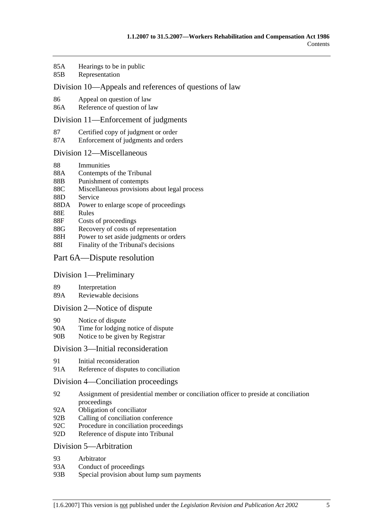- 85A Hearings to be in public
- 85B Representation

## Division 10—Appeals and references of questions of law

- 86 Appeal on question of law
- 86A Reference of question of law

#### Division 11—Enforcement of judgments

- 87 Certified copy of judgment or order
- 87A Enforcement of judgments and orders

#### Division 12—Miscellaneous

- 88 Immunities
- 88A Contempts of the Tribunal
- 88B Punishment of contempts
- 88C Miscellaneous provisions about legal process
- 88D Service
- 88DA Power to enlarge scope of proceedings
- 88E Rules
- 88F Costs of proceedings
- 88G Recovery of costs of representation
- 88H Power to set aside judgments or orders
- 88I Finality of the Tribunal's decisions

## Part 6A—Dispute resolution

## Division 1—Preliminary

- 89 Interpretation
- 89A Reviewable decisions

## Division 2—Notice of dispute

- 90 Notice of dispute
- 90A Time for lodging notice of dispute
- 90B Notice to be given by Registrar

## Division 3—Initial reconsideration

- 91 Initial reconsideration
- 91A Reference of disputes to conciliation

## Division 4—Conciliation proceedings

- 92 Assignment of presidential member or conciliation officer to preside at conciliation proceedings
- 92A Obligation of conciliator
- 92B Calling of conciliation conference
- 92C Procedure in conciliation proceedings
- 92D Reference of dispute into Tribunal

## Division 5—Arbitration

- 93 Arbitrator
- 93A Conduct of proceedings
- 93B Special provision about lump sum payments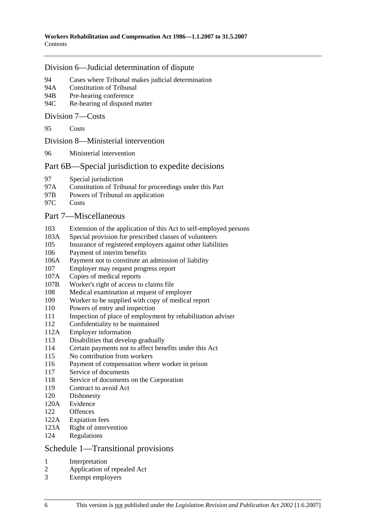## Division 6—Judicial determination of dispute

- 94 Cases where Tribunal makes judicial determination
- 94A Constitution of Tribunal
- 94B Pre-hearing conference
- 94C Re-hearing of disputed matter

## Division 7—Costs

95 Costs

## Division 8—Ministerial intervention

96 Ministerial intervention

# Part 6B—Special jurisdiction to expedite decisions

- 97 Special jurisdiction
- 97A Constitution of Tribunal for proceedings under this Part
- 97B Powers of Tribunal on application
- 97C Costs

# Part 7—Miscellaneous

- 103 Extension of the application of this Act to self-employed persons
- 103A Special provision for prescribed classes of volunteers
- 105 Insurance of registered employers against other liabilities
- 106 Payment of interim benefits
- 106A Payment not to constitute an admission of liability
- 107 Employer may request progress report
- 107A Copies of medical reports
- 107B Worker's right of access to claims file
- 108 Medical examination at request of employer
- 109 Worker to be supplied with copy of medical report
- 110 Powers of entry and inspection
- 111 Inspection of place of employment by rehabilitation adviser
- 112 Confidentiality to be maintained
- 112A Employer information
- 113 Disabilities that develop gradually
- 114 Certain payments not to affect benefits under this Act
- 115 No contribution from workers
- 116 Payment of compensation where worker in prison
- 117 Service of documents
- 118 Service of documents on the Corporation
- 119 Contract to avoid Act
- 120 Dishonesty
- 120A Evidence
- 122 Offences
- 122A Expiation fees
- 123A Right of intervention
- 124 Regulations

# Schedule 1—Transitional provisions

- 1 Interpretation
- 2 Application of repealed Act
- 3 Exempt employers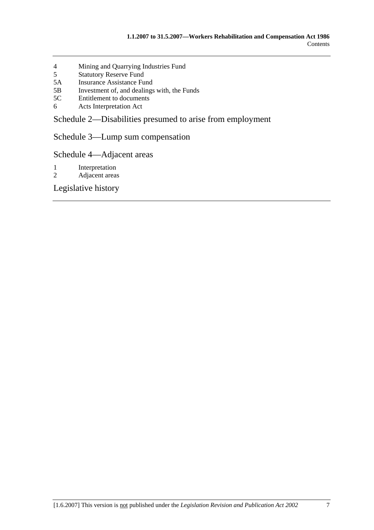- 4 Mining and Quarrying Industries Fund
- 5 Statutory Reserve Fund
- 5A Insurance Assistance Fund
- 5B Investment of, and dealings with, the Funds<br>5C Entitlement to documents
- Entitlement to documents
- 6 Acts Interpretation Act

Schedule 2—Disabilities presumed to arise from employment

Schedule 3—Lump sum compensation

Schedule 4—Adjacent areas

- 1 Interpretation
- 2 Adjacent areas

Legislative history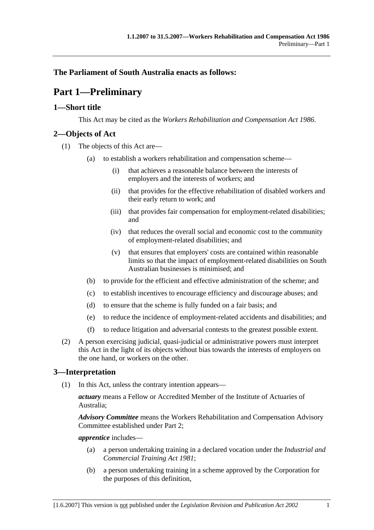# **The Parliament of South Australia enacts as follows:**

# **Part 1—Preliminary**

# **1—Short title**

This Act may be cited as the *Workers Rehabilitation and Compensation Act 1986*.

# **2—Objects of Act**

- (1) The objects of this Act are—
	- (a) to establish a workers rehabilitation and compensation scheme—
		- (i) that achieves a reasonable balance between the interests of employers and the interests of workers; and
		- (ii) that provides for the effective rehabilitation of disabled workers and their early return to work; and
		- (iii) that provides fair compensation for employment-related disabilities; and
		- (iv) that reduces the overall social and economic cost to the community of employment-related disabilities; and
		- (v) that ensures that employers' costs are contained within reasonable limits so that the impact of employment-related disabilities on South Australian businesses is minimised; and
	- (b) to provide for the efficient and effective administration of the scheme; and
	- (c) to establish incentives to encourage efficiency and discourage abuses; and
	- (d) to ensure that the scheme is fully funded on a fair basis; and
	- (e) to reduce the incidence of employment-related accidents and disabilities; and
	- (f) to reduce litigation and adversarial contests to the greatest possible extent.
- (2) A person exercising judicial, quasi-judicial or administrative powers must interpret this Act in the light of its objects without bias towards the interests of employers on the one hand, or workers on the other.

# **3—Interpretation**

(1) In this Act, unless the contrary intention appears—

*actuary* means a Fellow or Accredited Member of the Institute of Actuaries of Australia;

*Advisory Committee* means the Workers Rehabilitation and Compensation Advisory Committee established under Part 2;

*apprentice* includes—

- (a) a person undertaking training in a declared vocation under the *Industrial and Commercial Training Act 1981*;
- (b) a person undertaking training in a scheme approved by the Corporation for the purposes of this definition,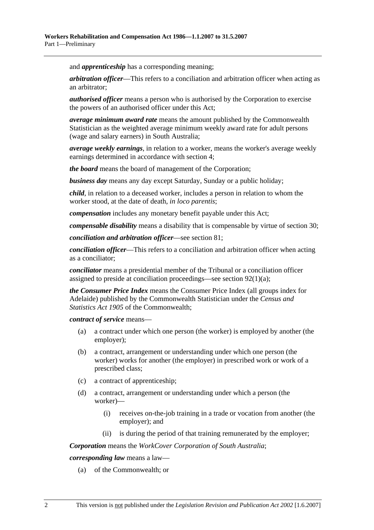and *apprenticeship* has a corresponding meaning;

*arbitration officer*—This refers to a conciliation and arbitration officer when acting as an arbitrator;

*authorised officer* means a person who is authorised by the Corporation to exercise the powers of an authorised officer under this Act;

*average minimum award rate* means the amount published by the Commonwealth Statistician as the weighted average minimum weekly award rate for adult persons (wage and salary earners) in South Australia;

*average weekly earnings*, in relation to a worker, means the worker's average weekly earnings determined in accordance with section 4;

*the board* means the board of management of the Corporation;

*business day* means any day except Saturday, Sunday or a public holiday;

*child*, in relation to a deceased worker, includes a person in relation to whom the worker stood, at the date of death, *in loco parentis*;

*compensation* includes any monetary benefit payable under this Act;

*compensable disability* means a disability that is compensable by virtue of section 30;

*conciliation and arbitration officer*—see section 81;

*conciliation officer*—This refers to a conciliation and arbitration officer when acting as a conciliator;

*conciliator* means a presidential member of the Tribunal or a conciliation officer assigned to preside at conciliation proceedings—see section 92(1)(a);

*the Consumer Price Index* means the Consumer Price Index (all groups index for Adelaide) published by the Commonwealth Statistician under the *Census and Statistics Act 1905* of the Commonwealth;

*contract of service* means—

- (a) a contract under which one person (the worker) is employed by another (the employer);
- (b) a contract, arrangement or understanding under which one person (the worker) works for another (the employer) in prescribed work or work of a prescribed class;
- (c) a contract of apprenticeship;
- (d) a contract, arrangement or understanding under which a person (the worker)—
	- (i) receives on-the-job training in a trade or vocation from another (the employer); and
	- (ii) is during the period of that training remunerated by the employer;

*Corporation* means the *WorkCover Corporation of South Australia*;

*corresponding law* means a law—

(a) of the Commonwealth; or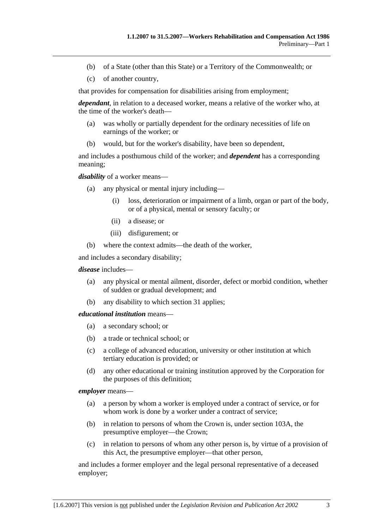- (b) of a State (other than this State) or a Territory of the Commonwealth; or
- (c) of another country,

that provides for compensation for disabilities arising from employment;

*dependant*, in relation to a deceased worker, means a relative of the worker who, at the time of the worker's death—

- (a) was wholly or partially dependent for the ordinary necessities of life on earnings of the worker; or
- (b) would, but for the worker's disability, have been so dependent,

and includes a posthumous child of the worker; and *dependent* has a corresponding meaning;

*disability* of a worker means—

- (a) any physical or mental injury including—
	- (i) loss, deterioration or impairment of a limb, organ or part of the body, or of a physical, mental or sensory faculty; or
	- (ii) a disease; or
	- (iii) disfigurement; or
- (b) where the context admits—the death of the worker,

and includes a secondary disability;

#### *disease* includes—

- (a) any physical or mental ailment, disorder, defect or morbid condition, whether of sudden or gradual development; and
- (b) any disability to which section 31 applies;

#### *educational institution* means—

- (a) a secondary school; or
- (b) a trade or technical school; or
- (c) a college of advanced education, university or other institution at which tertiary education is provided; or
- (d) any other educational or training institution approved by the Corporation for the purposes of this definition;

#### *employer* means—

- (a) a person by whom a worker is employed under a contract of service, or for whom work is done by a worker under a contract of service:
- (b) in relation to persons of whom the Crown is, under section 103A, the presumptive employer—the Crown;
- (c) in relation to persons of whom any other person is, by virtue of a provision of this Act, the presumptive employer—that other person,

and includes a former employer and the legal personal representative of a deceased employer;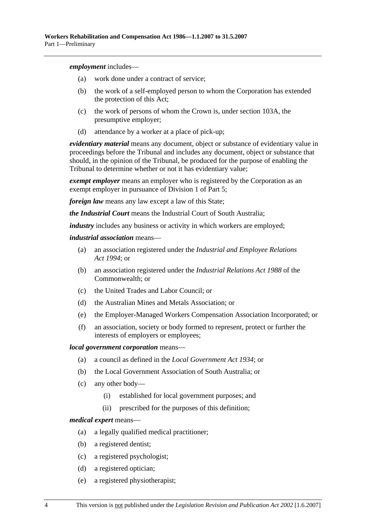*employment* includes—

- (a) work done under a contract of service;
- (b) the work of a self-employed person to whom the Corporation has extended the protection of this Act;
- (c) the work of persons of whom the Crown is, under section 103A, the presumptive employer;
- (d) attendance by a worker at a place of pick-up;

*evidentiary material* means any document, object or substance of evidentiary value in proceedings before the Tribunal and includes any document, object or substance that should, in the opinion of the Tribunal, be produced for the purpose of enabling the Tribunal to determine whether or not it has evidentiary value;

*exempt employer* means an employer who is registered by the Corporation as an exempt employer in pursuance of Division 1 of Part 5;

*foreign law* means any law except a law of this State;

*the Industrial Court* means the Industrial Court of South Australia;

*industry* includes any business or activity in which workers are employed;

*industrial association* means—

- (a) an association registered under the *Industrial and Employee Relations Act 1994*; or
- (b) an association registered under the *Industrial Relations Act 1988* of the Commonwealth; or
- (c) the United Trades and Labor Council; or
- (d) the Australian Mines and Metals Association; or
- (e) the Employer-Managed Workers Compensation Association Incorporated; or
- (f) an association, society or body formed to represent, protect or further the interests of employers or employees;

#### *local government corporation* means—

- (a) a council as defined in the *Local Government Act 1934*; or
- (b) the Local Government Association of South Australia; or
- (c) any other body—
	- (i) established for local government purposes; and
	- (ii) prescribed for the purposes of this definition;

#### *medical expert* means—

- (a) a legally qualified medical practitioner;
- (b) a registered dentist;
- (c) a registered psychologist;
- (d) a registered optician;
- (e) a registered physiotherapist;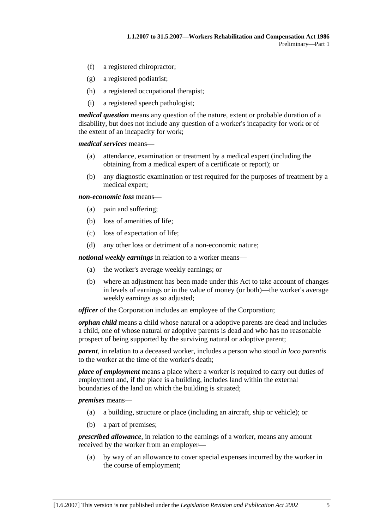- (f) a registered chiropractor;
- (g) a registered podiatrist;
- (h) a registered occupational therapist;
- (i) a registered speech pathologist;

*medical question* means any question of the nature, extent or probable duration of a disability, but does not include any question of a worker's incapacity for work or of the extent of an incapacity for work;

*medical services* means—

- (a) attendance, examination or treatment by a medical expert (including the obtaining from a medical expert of a certificate or report); or
- (b) any diagnostic examination or test required for the purposes of treatment by a medical expert;

*non-economic loss* means—

- (a) pain and suffering;
- (b) loss of amenities of life;
- (c) loss of expectation of life;
- (d) any other loss or detriment of a non-economic nature;

*notional weekly earnings* in relation to a worker means—

- (a) the worker's average weekly earnings; or
- (b) where an adjustment has been made under this Act to take account of changes in levels of earnings or in the value of money (or both)—the worker's average weekly earnings as so adjusted;

*officer* of the Corporation includes an employee of the Corporation;

*orphan child* means a child whose natural or a adoptive parents are dead and includes a child, one of whose natural or adoptive parents is dead and who has no reasonable prospect of being supported by the surviving natural or adoptive parent;

*parent*, in relation to a deceased worker, includes a person who stood *in loco parentis* to the worker at the time of the worker's death;

*place of employment* means a place where a worker is required to carry out duties of employment and, if the place is a building, includes land within the external boundaries of the land on which the building is situated;

*premises* means—

- (a) a building, structure or place (including an aircraft, ship or vehicle); or
- (b) a part of premises;

*prescribed allowance*, in relation to the earnings of a worker, means any amount received by the worker from an employer—

 (a) by way of an allowance to cover special expenses incurred by the worker in the course of employment;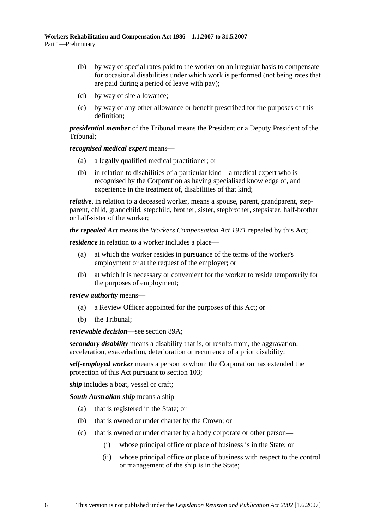- (b) by way of special rates paid to the worker on an irregular basis to compensate for occasional disabilities under which work is performed (not being rates that are paid during a period of leave with pay);
- (d) by way of site allowance;
- (e) by way of any other allowance or benefit prescribed for the purposes of this definition;

*presidential member* of the Tribunal means the President or a Deputy President of the Tribunal;

*recognised medical expert* means—

- (a) a legally qualified medical practitioner; or
- (b) in relation to disabilities of a particular kind—a medical expert who is recognised by the Corporation as having specialised knowledge of, and experience in the treatment of, disabilities of that kind;

*relative*, in relation to a deceased worker, means a spouse, parent, grandparent, stepparent, child, grandchild, stepchild, brother, sister, stepbrother, stepsister, half-brother or half-sister of the worker;

*the repealed Act* means the *Workers Compensation Act 1971* repealed by this Act;

*residence* in relation to a worker includes a place—

- (a) at which the worker resides in pursuance of the terms of the worker's employment or at the request of the employer; or
- (b) at which it is necessary or convenient for the worker to reside temporarily for the purposes of employment;

*review authority* means—

- (a) a Review Officer appointed for the purposes of this Act; or
- (b) the Tribunal;

*reviewable decision*—see section 89A;

*secondary disability* means a disability that is, or results from, the aggravation, acceleration, exacerbation, deterioration or recurrence of a prior disability;

*self-employed worker* means a person to whom the Corporation has extended the protection of this Act pursuant to section 103;

*ship* includes a boat, vessel or craft;

*South Australian ship* means a ship—

- (a) that is registered in the State; or
- (b) that is owned or under charter by the Crown; or
- (c) that is owned or under charter by a body corporate or other person—
	- (i) whose principal office or place of business is in the State; or
	- (ii) whose principal office or place of business with respect to the control or management of the ship is in the State;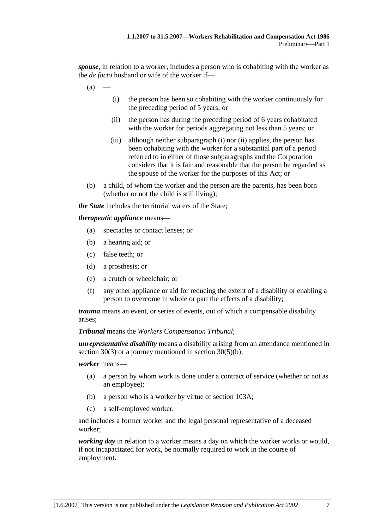*spouse*, in relation to a worker, includes a person who is cohabiting with the worker as the *de facto* husband or wife of the worker if—

- $(a)$
- (i) the person has been so cohabiting with the worker continuously for the preceding period of 5 years; or
- (ii) the person has during the preceding period of 6 years cohabitated with the worker for periods aggregating not less than 5 years; or
- (iii) although neither subparagraph (i) nor (ii) applies, the person has been cohabiting with the worker for a substantial part of a period referred to in either of those subparagraphs and the Corporation considers that it is fair and reasonable that the person be regarded as the spouse of the worker for the purposes of this Act; or
- (b) a child, of whom the worker and the person are the parents, has been born (whether or not the child is still living);

*the State* includes the territorial waters of the State;

#### *therapeutic appliance* means—

- (a) spectacles or contact lenses; or
- (b) a hearing aid; or
- (c) false teeth; or
- (d) a prosthesis; or
- (e) a crutch or wheelchair; or
- (f) any other appliance or aid for reducing the extent of a disability or enabling a person to overcome in whole or part the effects of a disability;

*trauma* means an event, or series of events, out of which a compensable disability arises;

*Tribunal* means the *Workers Compensation Tribunal*;

*unrepresentative disability* means a disability arising from an attendance mentioned in section 30(3) or a journey mentioned in section 30(5)(b);

#### *worker* means—

- (a) a person by whom work is done under a contract of service (whether or not as an employee);
- (b) a person who is a worker by virtue of section 103A;
- (c) a self-employed worker,

and includes a former worker and the legal personal representative of a deceased worker;

*working day* in relation to a worker means a day on which the worker works or would, if not incapacitated for work, be normally required to work in the course of employment.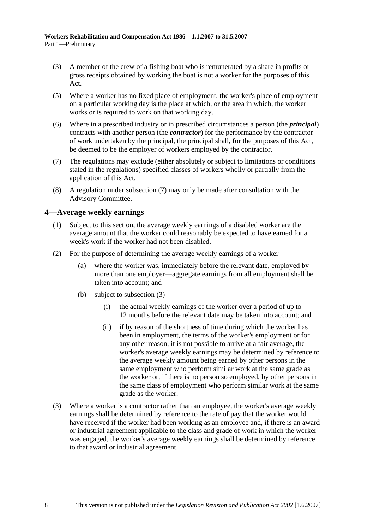- (3) A member of the crew of a fishing boat who is remunerated by a share in profits or gross receipts obtained by working the boat is not a worker for the purposes of this Act.
- (5) Where a worker has no fixed place of employment, the worker's place of employment on a particular working day is the place at which, or the area in which, the worker works or is required to work on that working day.
- (6) Where in a prescribed industry or in prescribed circumstances a person (the *principal*) contracts with another person (the *contractor*) for the performance by the contractor of work undertaken by the principal, the principal shall, for the purposes of this Act, be deemed to be the employer of workers employed by the contractor.
- (7) The regulations may exclude (either absolutely or subject to limitations or conditions stated in the regulations) specified classes of workers wholly or partially from the application of this Act.
- (8) A regulation under subsection (7) may only be made after consultation with the Advisory Committee.

# **4—Average weekly earnings**

- (1) Subject to this section, the average weekly earnings of a disabled worker are the average amount that the worker could reasonably be expected to have earned for a week's work if the worker had not been disabled.
- (2) For the purpose of determining the average weekly earnings of a worker—
	- (a) where the worker was, immediately before the relevant date, employed by more than one employer—aggregate earnings from all employment shall be taken into account; and
	- (b) subject to subsection (3)—
		- (i) the actual weekly earnings of the worker over a period of up to 12 months before the relevant date may be taken into account; and
		- (ii) if by reason of the shortness of time during which the worker has been in employment, the terms of the worker's employment or for any other reason, it is not possible to arrive at a fair average, the worker's average weekly earnings may be determined by reference to the average weekly amount being earned by other persons in the same employment who perform similar work at the same grade as the worker or, if there is no person so employed, by other persons in the same class of employment who perform similar work at the same grade as the worker.
- (3) Where a worker is a contractor rather than an employee, the worker's average weekly earnings shall be determined by reference to the rate of pay that the worker would have received if the worker had been working as an employee and, if there is an award or industrial agreement applicable to the class and grade of work in which the worker was engaged, the worker's average weekly earnings shall be determined by reference to that award or industrial agreement.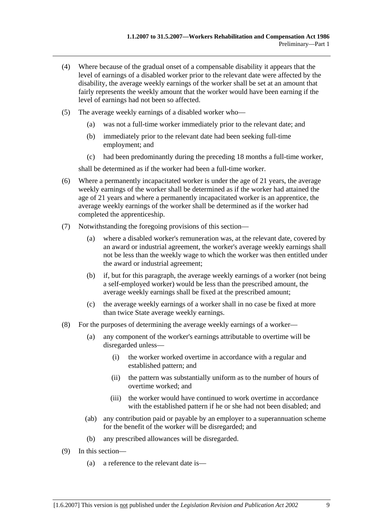- (4) Where because of the gradual onset of a compensable disability it appears that the level of earnings of a disabled worker prior to the relevant date were affected by the disability, the average weekly earnings of the worker shall be set at an amount that fairly represents the weekly amount that the worker would have been earning if the level of earnings had not been so affected.
- (5) The average weekly earnings of a disabled worker who—
	- (a) was not a full-time worker immediately prior to the relevant date; and
	- (b) immediately prior to the relevant date had been seeking full-time employment; and
	- (c) had been predominantly during the preceding 18 months a full-time worker,

shall be determined as if the worker had been a full-time worker.

- (6) Where a permanently incapacitated worker is under the age of 21 years, the average weekly earnings of the worker shall be determined as if the worker had attained the age of 21 years and where a permanently incapacitated worker is an apprentice, the average weekly earnings of the worker shall be determined as if the worker had completed the apprenticeship.
- (7) Notwithstanding the foregoing provisions of this section—
	- (a) where a disabled worker's remuneration was, at the relevant date, covered by an award or industrial agreement, the worker's average weekly earnings shall not be less than the weekly wage to which the worker was then entitled under the award or industrial agreement;
	- (b) if, but for this paragraph, the average weekly earnings of a worker (not being a self-employed worker) would be less than the prescribed amount, the average weekly earnings shall be fixed at the prescribed amount;
	- (c) the average weekly earnings of a worker shall in no case be fixed at more than twice State average weekly earnings.
- (8) For the purposes of determining the average weekly earnings of a worker—
	- (a) any component of the worker's earnings attributable to overtime will be disregarded unless—
		- (i) the worker worked overtime in accordance with a regular and established pattern; and
		- (ii) the pattern was substantially uniform as to the number of hours of overtime worked; and
		- (iii) the worker would have continued to work overtime in accordance with the established pattern if he or she had not been disabled; and
	- (ab) any contribution paid or payable by an employer to a superannuation scheme for the benefit of the worker will be disregarded; and
	- (b) any prescribed allowances will be disregarded.
- (9) In this section—
	- (a) a reference to the relevant date is—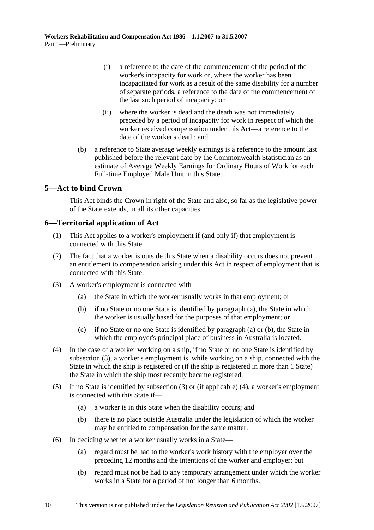- (i) a reference to the date of the commencement of the period of the worker's incapacity for work or, where the worker has been incapacitated for work as a result of the same disability for a number of separate periods, a reference to the date of the commencement of the last such period of incapacity; or
- (ii) where the worker is dead and the death was not immediately preceded by a period of incapacity for work in respect of which the worker received compensation under this Act—a reference to the date of the worker's death; and
- (b) a reference to State average weekly earnings is a reference to the amount last published before the relevant date by the Commonwealth Statistician as an estimate of Average Weekly Earnings for Ordinary Hours of Work for each Full-time Employed Male Unit in this State.

# **5—Act to bind Crown**

This Act binds the Crown in right of the State and also, so far as the legislative power of the State extends, in all its other capacities.

# **6—Territorial application of Act**

- (1) This Act applies to a worker's employment if (and only if) that employment is connected with this State.
- (2) The fact that a worker is outside this State when a disability occurs does not prevent an entitlement to compensation arising under this Act in respect of employment that is connected with this State.
- (3) A worker's employment is connected with—
	- (a) the State in which the worker usually works in that employment; or
	- (b) if no State or no one State is identified by paragraph (a), the State in which the worker is usually based for the purposes of that employment; or
	- (c) if no State or no one State is identified by paragraph (a) or (b), the State in which the employer's principal place of business in Australia is located.
- (4) In the case of a worker working on a ship, if no State or no one State is identified by subsection (3), a worker's employment is, while working on a ship, connected with the State in which the ship is registered or (if the ship is registered in more than 1 State) the State in which the ship most recently became registered.
- (5) If no State is identified by subsection (3) or (if applicable) (4), a worker's employment is connected with this State if—
	- (a) a worker is in this State when the disability occurs; and
	- (b) there is no place outside Australia under the legislation of which the worker may be entitled to compensation for the same matter.
- (6) In deciding whether a worker usually works in a State—
	- (a) regard must be had to the worker's work history with the employer over the preceding 12 months and the intentions of the worker and employer; but
	- (b) regard must not be had to any temporary arrangement under which the worker works in a State for a period of not longer than 6 months.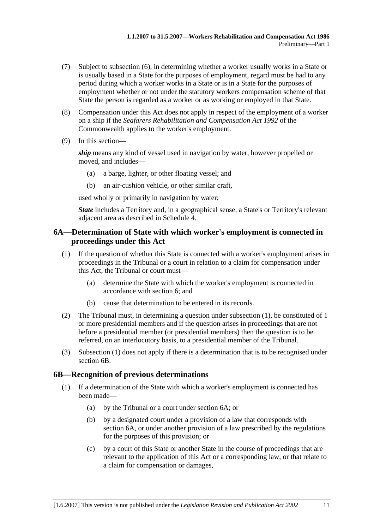- (7) Subject to subsection (6), in determining whether a worker usually works in a State or is usually based in a State for the purposes of employment, regard must be had to any period during which a worker works in a State or is in a State for the purposes of employment whether or not under the statutory workers compensation scheme of that State the person is regarded as a worker or as working or employed in that State.
- (8) Compensation under this Act does not apply in respect of the employment of a worker on a ship if the *Seafarers Rehabilitation and Compensation Act 1992* of the Commonwealth applies to the worker's employment.
- (9) In this section—

*ship* means any kind of vessel used in navigation by water, however propelled or moved, and includes—

- (a) a barge, lighter, or other floating vessel; and
- (b) an air-cushion vehicle, or other similar craft,

used wholly or primarily in navigation by water;

*State* includes a Territory and, in a geographical sense, a State's or Territory's relevant adjacent area as described in Schedule 4.

# **6A—Determination of State with which worker's employment is connected in proceedings under this Act**

- (1) If the question of whether this State is connected with a worker's employment arises in proceedings in the Tribunal or a court in relation to a claim for compensation under this Act, the Tribunal or court must—
	- (a) determine the State with which the worker's employment is connected in accordance with section 6; and
	- (b) cause that determination to be entered in its records.
- (2) The Tribunal must, in determining a question under subsection (1), be constituted of 1 or more presidential members and if the question arises in proceedings that are not before a presidential member (or presidential members) then the question is to be referred, on an interlocutory basis, to a presidential member of the Tribunal.
- (3) Subsection (1) does not apply if there is a determination that is to be recognised under section 6B.

## **6B—Recognition of previous determinations**

- (1) If a determination of the State with which a worker's employment is connected has been made—
	- (a) by the Tribunal or a court under section 6A; or
	- (b) by a designated court under a provision of a law that corresponds with section 6A, or under another provision of a law prescribed by the regulations for the purposes of this provision; or
	- (c) by a court of this State or another State in the course of proceedings that are relevant to the application of this Act or a corresponding law, or that relate to a claim for compensation or damages,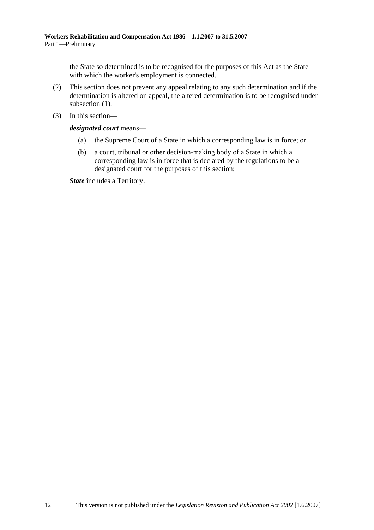the State so determined is to be recognised for the purposes of this Act as the State with which the worker's employment is connected.

- (2) This section does not prevent any appeal relating to any such determination and if the determination is altered on appeal, the altered determination is to be recognised under subsection (1).
- (3) In this section—

*designated court* means—

- (a) the Supreme Court of a State in which a corresponding law is in force; or
- (b) a court, tribunal or other decision-making body of a State in which a corresponding law is in force that is declared by the regulations to be a designated court for the purposes of this section;

*State* includes a Territory.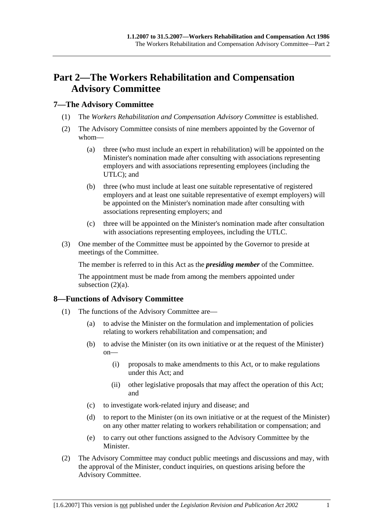# **Part 2—The Workers Rehabilitation and Compensation Advisory Committee**

# **7—The Advisory Committee**

- (1) The *Workers Rehabilitation and Compensation Advisory Committee* is established.
- (2) The Advisory Committee consists of nine members appointed by the Governor of whom—
	- (a) three (who must include an expert in rehabilitation) will be appointed on the Minister's nomination made after consulting with associations representing employers and with associations representing employees (including the UTLC); and
	- (b) three (who must include at least one suitable representative of registered employers and at least one suitable representative of exempt employers) will be appointed on the Minister's nomination made after consulting with associations representing employers; and
	- (c) three will be appointed on the Minister's nomination made after consultation with associations representing employees, including the UTLC.
- (3) One member of the Committee must be appointed by the Governor to preside at meetings of the Committee.

The member is referred to in this Act as the *presiding member* of the Committee.

The appointment must be made from among the members appointed under subsection  $(2)(a)$ .

# **8—Functions of Advisory Committee**

- (1) The functions of the Advisory Committee are—
	- (a) to advise the Minister on the formulation and implementation of policies relating to workers rehabilitation and compensation; and
	- (b) to advise the Minister (on its own initiative or at the request of the Minister) on—
		- (i) proposals to make amendments to this Act, or to make regulations under this Act; and
		- (ii) other legislative proposals that may affect the operation of this Act; and
	- (c) to investigate work-related injury and disease; and
	- (d) to report to the Minister (on its own initiative or at the request of the Minister) on any other matter relating to workers rehabilitation or compensation; and
	- (e) to carry out other functions assigned to the Advisory Committee by the Minister.
- (2) The Advisory Committee may conduct public meetings and discussions and may, with the approval of the Minister, conduct inquiries, on questions arising before the Advisory Committee.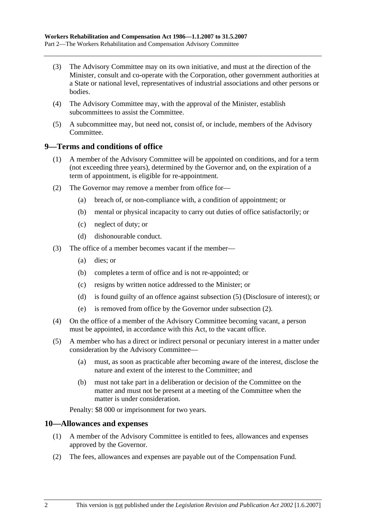- (3) The Advisory Committee may on its own initiative, and must at the direction of the Minister, consult and co-operate with the Corporation, other government authorities at a State or national level, representatives of industrial associations and other persons or bodies.
- (4) The Advisory Committee may, with the approval of the Minister, establish subcommittees to assist the Committee.
- (5) A subcommittee may, but need not, consist of, or include, members of the Advisory Committee.

## **9—Terms and conditions of office**

- (1) A member of the Advisory Committee will be appointed on conditions, and for a term (not exceeding three years), determined by the Governor and, on the expiration of a term of appointment, is eligible for re-appointment.
- (2) The Governor may remove a member from office for—
	- (a) breach of, or non-compliance with, a condition of appointment; or
	- (b) mental or physical incapacity to carry out duties of office satisfactorily; or
	- (c) neglect of duty; or
	- (d) dishonourable conduct.
- (3) The office of a member becomes vacant if the member—
	- (a) dies; or
	- (b) completes a term of office and is not re-appointed; or
	- (c) resigns by written notice addressed to the Minister; or
	- (d) is found guilty of an offence against subsection (5) (Disclosure of interest); or
	- (e) is removed from office by the Governor under subsection (2).
- (4) On the office of a member of the Advisory Committee becoming vacant, a person must be appointed, in accordance with this Act, to the vacant office.
- (5) A member who has a direct or indirect personal or pecuniary interest in a matter under consideration by the Advisory Committee—
	- (a) must, as soon as practicable after becoming aware of the interest, disclose the nature and extent of the interest to the Committee; and
	- (b) must not take part in a deliberation or decision of the Committee on the matter and must not be present at a meeting of the Committee when the matter is under consideration.

Penalty: \$8 000 or imprisonment for two years.

# **10—Allowances and expenses**

- (1) A member of the Advisory Committee is entitled to fees, allowances and expenses approved by the Governor.
- (2) The fees, allowances and expenses are payable out of the Compensation Fund.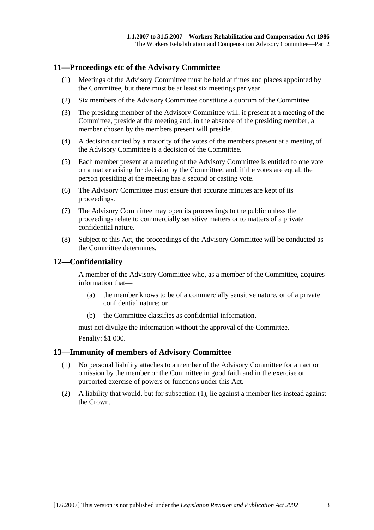## **11—Proceedings etc of the Advisory Committee**

- (1) Meetings of the Advisory Committee must be held at times and places appointed by the Committee, but there must be at least six meetings per year.
- (2) Six members of the Advisory Committee constitute a quorum of the Committee.
- (3) The presiding member of the Advisory Committee will, if present at a meeting of the Committee, preside at the meeting and, in the absence of the presiding member, a member chosen by the members present will preside.
- (4) A decision carried by a majority of the votes of the members present at a meeting of the Advisory Committee is a decision of the Committee.
- (5) Each member present at a meeting of the Advisory Committee is entitled to one vote on a matter arising for decision by the Committee, and, if the votes are equal, the person presiding at the meeting has a second or casting vote.
- (6) The Advisory Committee must ensure that accurate minutes are kept of its proceedings.
- (7) The Advisory Committee may open its proceedings to the public unless the proceedings relate to commercially sensitive matters or to matters of a private confidential nature.
- (8) Subject to this Act, the proceedings of the Advisory Committee will be conducted as the Committee determines.

# **12—Confidentiality**

A member of the Advisory Committee who, as a member of the Committee, acquires information that—

- (a) the member knows to be of a commercially sensitive nature, or of a private confidential nature; or
- (b) the Committee classifies as confidential information,

must not divulge the information without the approval of the Committee.

Penalty: \$1 000.

## **13—Immunity of members of Advisory Committee**

- (1) No personal liability attaches to a member of the Advisory Committee for an act or omission by the member or the Committee in good faith and in the exercise or purported exercise of powers or functions under this Act.
- (2) A liability that would, but for subsection (1), lie against a member lies instead against the Crown.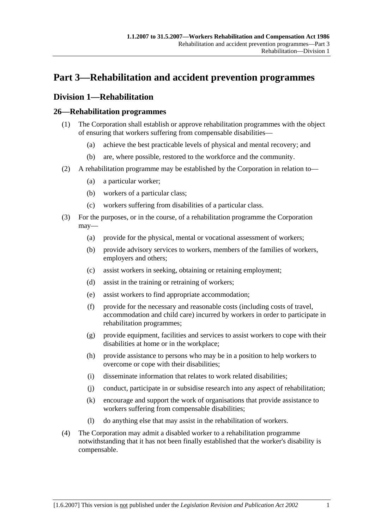# **Part 3—Rehabilitation and accident prevention programmes**

# **Division 1—Rehabilitation**

# **26—Rehabilitation programmes**

- (1) The Corporation shall establish or approve rehabilitation programmes with the object of ensuring that workers suffering from compensable disabilities—
	- (a) achieve the best practicable levels of physical and mental recovery; and
	- (b) are, where possible, restored to the workforce and the community.
- (2) A rehabilitation programme may be established by the Corporation in relation to—
	- (a) a particular worker;
	- (b) workers of a particular class;
	- (c) workers suffering from disabilities of a particular class.
- (3) For the purposes, or in the course, of a rehabilitation programme the Corporation may—
	- (a) provide for the physical, mental or vocational assessment of workers;
	- (b) provide advisory services to workers, members of the families of workers, employers and others;
	- (c) assist workers in seeking, obtaining or retaining employment;
	- (d) assist in the training or retraining of workers;
	- (e) assist workers to find appropriate accommodation;
	- (f) provide for the necessary and reasonable costs (including costs of travel, accommodation and child care) incurred by workers in order to participate in rehabilitation programmes;
	- (g) provide equipment, facilities and services to assist workers to cope with their disabilities at home or in the workplace;
	- (h) provide assistance to persons who may be in a position to help workers to overcome or cope with their disabilities;
	- (i) disseminate information that relates to work related disabilities;
	- (j) conduct, participate in or subsidise research into any aspect of rehabilitation;
	- (k) encourage and support the work of organisations that provide assistance to workers suffering from compensable disabilities;
	- (l) do anything else that may assist in the rehabilitation of workers.
- (4) The Corporation may admit a disabled worker to a rehabilitation programme notwithstanding that it has not been finally established that the worker's disability is compensable.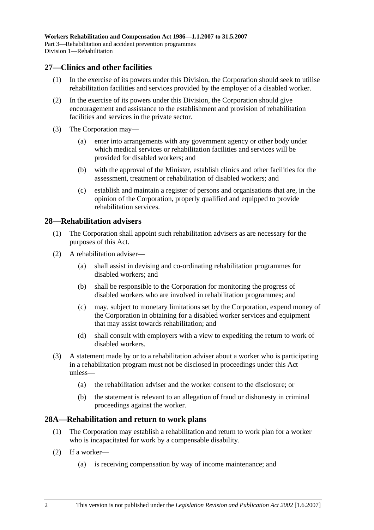## **27—Clinics and other facilities**

- (1) In the exercise of its powers under this Division, the Corporation should seek to utilise rehabilitation facilities and services provided by the employer of a disabled worker.
- (2) In the exercise of its powers under this Division, the Corporation should give encouragement and assistance to the establishment and provision of rehabilitation facilities and services in the private sector.
- (3) The Corporation may—
	- (a) enter into arrangements with any government agency or other body under which medical services or rehabilitation facilities and services will be provided for disabled workers; and
	- (b) with the approval of the Minister, establish clinics and other facilities for the assessment, treatment or rehabilitation of disabled workers; and
	- (c) establish and maintain a register of persons and organisations that are, in the opinion of the Corporation, properly qualified and equipped to provide rehabilitation services.

## **28—Rehabilitation advisers**

- (1) The Corporation shall appoint such rehabilitation advisers as are necessary for the purposes of this Act.
- (2) A rehabilitation adviser—
	- (a) shall assist in devising and co-ordinating rehabilitation programmes for disabled workers; and
	- (b) shall be responsible to the Corporation for monitoring the progress of disabled workers who are involved in rehabilitation programmes; and
	- (c) may, subject to monetary limitations set by the Corporation, expend money of the Corporation in obtaining for a disabled worker services and equipment that may assist towards rehabilitation; and
	- (d) shall consult with employers with a view to expediting the return to work of disabled workers.
- (3) A statement made by or to a rehabilitation adviser about a worker who is participating in a rehabilitation program must not be disclosed in proceedings under this Act unless—
	- (a) the rehabilitation adviser and the worker consent to the disclosure; or
	- (b) the statement is relevant to an allegation of fraud or dishonesty in criminal proceedings against the worker.

## **28A—Rehabilitation and return to work plans**

- (1) The Corporation may establish a rehabilitation and return to work plan for a worker who is incapacitated for work by a compensable disability.
- (2) If a worker—
	- (a) is receiving compensation by way of income maintenance; and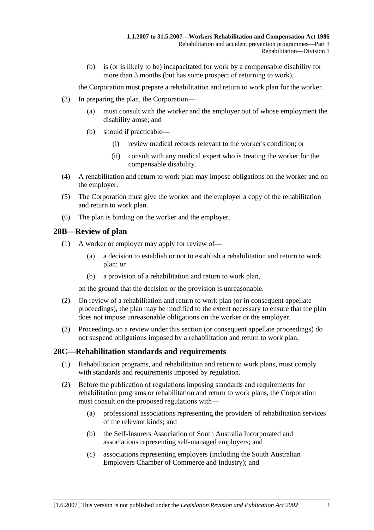(b) is (or is likely to be) incapacitated for work by a compensable disability for more than 3 months (but has some prospect of returning to work),

the Corporation must prepare a rehabilitation and return to work plan for the worker.

- (3) In preparing the plan, the Corporation—
	- (a) must consult with the worker and the employer out of whose employment the disability arose; and
	- (b) should if practicable—
		- (i) review medical records relevant to the worker's condition; or
		- (ii) consult with any medical expert who is treating the worker for the compensable disability.
- (4) A rehabilitation and return to work plan may impose obligations on the worker and on the employer.
- (5) The Corporation must give the worker and the employer a copy of the rehabilitation and return to work plan.
- (6) The plan is binding on the worker and the employer.

## **28B—Review of plan**

- (1) A worker or employer may apply for review of—
	- (a) a decision to establish or not to establish a rehabilitation and return to work plan; or
	- (b) a provision of a rehabilitation and return to work plan,

on the ground that the decision or the provision is unreasonable.

- (2) On review of a rehabilitation and return to work plan (or in consequent appellate proceedings), the plan may be modified to the extent necessary to ensure that the plan does not impose unreasonable obligations on the worker or the employer.
- (3) Proceedings on a review under this section (or consequent appellate proceedings) do not suspend obligations imposed by a rehabilitation and return to work plan.

# **28C—Rehabilitation standards and requirements**

- (1) Rehabilitation programs, and rehabilitation and return to work plans, must comply with standards and requirements imposed by regulation.
- (2) Before the publication of regulations imposing standards and requirements for rehabilitation programs or rehabilitation and return to work plans, the Corporation must consult on the proposed regulations with—
	- (a) professional associations representing the providers of rehabilitation services of the relevant kinds; and
	- (b) the Self-Insurers Association of South Australia Incorporated and associations representing self-managed employers; and
	- (c) associations representing employers (including the South Australian Employers Chamber of Commerce and Industry); and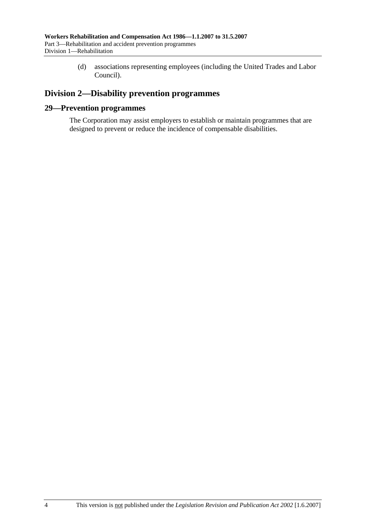(d) associations representing employees (including the United Trades and Labor Council).

# **Division 2—Disability prevention programmes**

## **29—Prevention programmes**

The Corporation may assist employers to establish or maintain programmes that are designed to prevent or reduce the incidence of compensable disabilities.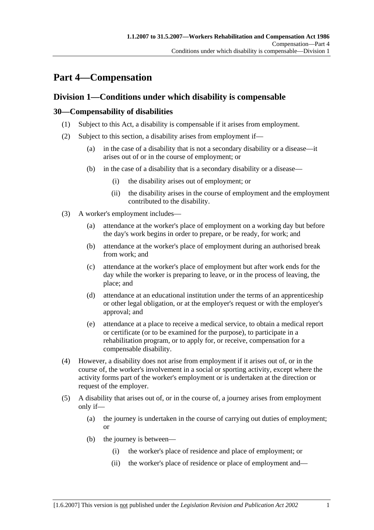# **Part 4—Compensation**

# **Division 1—Conditions under which disability is compensable**

# **30—Compensability of disabilities**

- (1) Subject to this Act, a disability is compensable if it arises from employment.
- (2) Subject to this section, a disability arises from employment if—
	- (a) in the case of a disability that is not a secondary disability or a disease—it arises out of or in the course of employment; or
	- (b) in the case of a disability that is a secondary disability or a disease—
		- (i) the disability arises out of employment; or
		- (ii) the disability arises in the course of employment and the employment contributed to the disability.
- (3) A worker's employment includes—
	- (a) attendance at the worker's place of employment on a working day but before the day's work begins in order to prepare, or be ready, for work; and
	- (b) attendance at the worker's place of employment during an authorised break from work; and
	- (c) attendance at the worker's place of employment but after work ends for the day while the worker is preparing to leave, or in the process of leaving, the place; and
	- (d) attendance at an educational institution under the terms of an apprenticeship or other legal obligation, or at the employer's request or with the employer's approval; and
	- (e) attendance at a place to receive a medical service, to obtain a medical report or certificate (or to be examined for the purpose), to participate in a rehabilitation program, or to apply for, or receive, compensation for a compensable disability.
- (4) However, a disability does not arise from employment if it arises out of, or in the course of, the worker's involvement in a social or sporting activity, except where the activity forms part of the worker's employment or is undertaken at the direction or request of the employer.
- (5) A disability that arises out of, or in the course of, a journey arises from employment only if—
	- (a) the journey is undertaken in the course of carrying out duties of employment; or
	- (b) the journey is between—
		- (i) the worker's place of residence and place of employment; or
		- (ii) the worker's place of residence or place of employment and—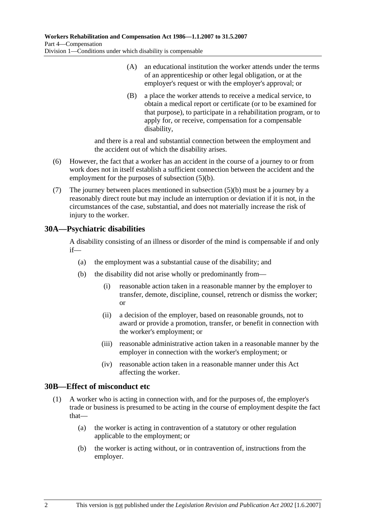- (A) an educational institution the worker attends under the terms of an apprenticeship or other legal obligation, or at the employer's request or with the employer's approval; or
- (B) a place the worker attends to receive a medical service, to obtain a medical report or certificate (or to be examined for that purpose), to participate in a rehabilitation program, or to apply for, or receive, compensation for a compensable disability,

and there is a real and substantial connection between the employment and the accident out of which the disability arises.

- (6) However, the fact that a worker has an accident in the course of a journey to or from work does not in itself establish a sufficient connection between the accident and the employment for the purposes of subsection (5)(b).
- (7) The journey between places mentioned in subsection (5)(b) must be a journey by a reasonably direct route but may include an interruption or deviation if it is not, in the circumstances of the case, substantial, and does not materially increase the risk of injury to the worker.

# **30A—Psychiatric disabilities**

A disability consisting of an illness or disorder of the mind is compensable if and only if—

- (a) the employment was a substantial cause of the disability; and
- (b) the disability did not arise wholly or predominantly from—
	- (i) reasonable action taken in a reasonable manner by the employer to transfer, demote, discipline, counsel, retrench or dismiss the worker; or
	- (ii) a decision of the employer, based on reasonable grounds, not to award or provide a promotion, transfer, or benefit in connection with the worker's employment; or
	- (iii) reasonable administrative action taken in a reasonable manner by the employer in connection with the worker's employment; or
	- (iv) reasonable action taken in a reasonable manner under this Act affecting the worker.

# **30B—Effect of misconduct etc**

- (1) A worker who is acting in connection with, and for the purposes of, the employer's trade or business is presumed to be acting in the course of employment despite the fact that—
	- (a) the worker is acting in contravention of a statutory or other regulation applicable to the employment; or
	- (b) the worker is acting without, or in contravention of, instructions from the employer.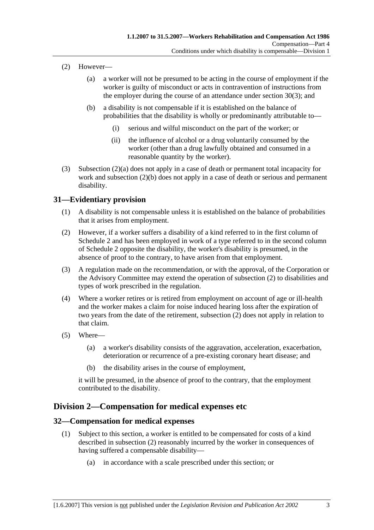- (2) However—
	- (a) a worker will not be presumed to be acting in the course of employment if the worker is guilty of misconduct or acts in contravention of instructions from the employer during the course of an attendance under section 30(3); and
	- (b) a disability is not compensable if it is established on the balance of probabilities that the disability is wholly or predominantly attributable to—
		- (i) serious and wilful misconduct on the part of the worker; or
		- (ii) the influence of alcohol or a drug voluntarily consumed by the worker (other than a drug lawfully obtained and consumed in a reasonable quantity by the worker).
- (3) Subsection (2)(a) does not apply in a case of death or permanent total incapacity for work and subsection (2)(b) does not apply in a case of death or serious and permanent disability.

# **31—Evidentiary provision**

- (1) A disability is not compensable unless it is established on the balance of probabilities that it arises from employment.
- (2) However, if a worker suffers a disability of a kind referred to in the first column of Schedule 2 and has been employed in work of a type referred to in the second column of Schedule 2 opposite the disability, the worker's disability is presumed, in the absence of proof to the contrary, to have arisen from that employment.
- (3) A regulation made on the recommendation, or with the approval, of the Corporation or the Advisory Committee may extend the operation of subsection (2) to disabilities and types of work prescribed in the regulation.
- (4) Where a worker retires or is retired from employment on account of age or ill-health and the worker makes a claim for noise induced hearing loss after the expiration of two years from the date of the retirement, subsection (2) does not apply in relation to that claim.
- (5) Where—
	- (a) a worker's disability consists of the aggravation, acceleration, exacerbation, deterioration or recurrence of a pre-existing coronary heart disease; and
	- (b) the disability arises in the course of employment,

it will be presumed, in the absence of proof to the contrary, that the employment contributed to the disability.

# **Division 2—Compensation for medical expenses etc**

# **32—Compensation for medical expenses**

- (1) Subject to this section, a worker is entitled to be compensated for costs of a kind described in subsection (2) reasonably incurred by the worker in consequences of having suffered a compensable disability—
	- (a) in accordance with a scale prescribed under this section; or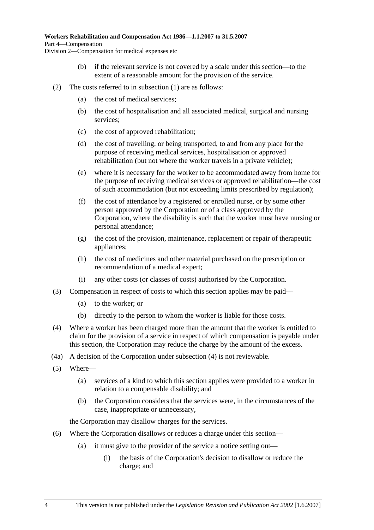- (b) if the relevant service is not covered by a scale under this section—to the extent of a reasonable amount for the provision of the service.
- (2) The costs referred to in subsection (1) are as follows:
	- (a) the cost of medical services;
	- (b) the cost of hospitalisation and all associated medical, surgical and nursing services;
	- (c) the cost of approved rehabilitation;
	- (d) the cost of travelling, or being transported, to and from any place for the purpose of receiving medical services, hospitalisation or approved rehabilitation (but not where the worker travels in a private vehicle);
	- (e) where it is necessary for the worker to be accommodated away from home for the purpose of receiving medical services or approved rehabilitation—the cost of such accommodation (but not exceeding limits prescribed by regulation);
	- (f) the cost of attendance by a registered or enrolled nurse, or by some other person approved by the Corporation or of a class approved by the Corporation, where the disability is such that the worker must have nursing or personal attendance;
	- (g) the cost of the provision, maintenance, replacement or repair of therapeutic appliances;
	- (h) the cost of medicines and other material purchased on the prescription or recommendation of a medical expert;
	- (i) any other costs (or classes of costs) authorised by the Corporation.
- (3) Compensation in respect of costs to which this section applies may be paid—
	- (a) to the worker; or
	- (b) directly to the person to whom the worker is liable for those costs.
- (4) Where a worker has been charged more than the amount that the worker is entitled to claim for the provision of a service in respect of which compensation is payable under this section, the Corporation may reduce the charge by the amount of the excess.
- (4a) A decision of the Corporation under subsection (4) is not reviewable.
- (5) Where—
	- (a) services of a kind to which this section applies were provided to a worker in relation to a compensable disability; and
	- (b) the Corporation considers that the services were, in the circumstances of the case, inappropriate or unnecessary,

the Corporation may disallow charges for the services.

- (6) Where the Corporation disallows or reduces a charge under this section—
	- (a) it must give to the provider of the service a notice setting out—
		- (i) the basis of the Corporation's decision to disallow or reduce the charge; and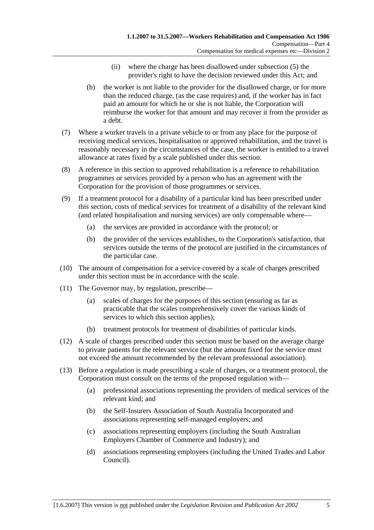- (ii) where the charge has been disallowed under subsection (5) the provider's right to have the decision reviewed under this Act; and
- (b) the worker is not liable to the provider for the disallowed charge, or for more than the reduced charge, (as the case requires) and, if the worker has in fact paid an amount for which he or she is not liable, the Corporation will reimburse the worker for that amount and may recover it from the provider as a debt.
- (7) Where a worker travels in a private vehicle to or from any place for the purpose of receiving medical services, hospitalisation or approved rehabilitation, and the travel is reasonably necessary in the circumstances of the case, the worker is entitled to a travel allowance at rates fixed by a scale published under this section.
- (8) A reference in this section to approved rehabilitation is a reference to rehabilitation programmes or services provided by a person who has an agreement with the Corporation for the provision of those programmes or services.
- (9) If a treatment protocol for a disability of a particular kind has been prescribed under this section, costs of medical services for treatment of a disability of the relevant kind (and related hospitalisation and nursing services) are only compensable where—
	- (a) the services are provided in accordance with the protocol; or
	- (b) the provider of the services establishes, to the Corporation's satisfaction, that services outside the terms of the protocol are justified in the circumstances of the particular case.
- (10) The amount of compensation for a service covered by a scale of charges prescribed under this section must be in accordance with the scale.
- (11) The Governor may, by regulation, prescribe—
	- (a) scales of charges for the purposes of this section (ensuring as far as practicable that the scales comprehensively cover the various kinds of services to which this section applies);
	- (b) treatment protocols for treatment of disabilities of particular kinds.
- (12) A scale of charges prescribed under this section must be based on the average charge to private patients for the relevant service (but the amount fixed for the service must not exceed the amount recommended by the relevant professional association).
- (13) Before a regulation is made prescribing a scale of charges, or a treatment protocol, the Corporation must consult on the terms of the proposed regulation with—
	- (a) professional associations representing the providers of medical services of the relevant kind; and
	- (b) the Self-Insurers Association of South Australia Incorporated and associations representing self-managed employers; and
	- (c) associations representing employers (including the South Australian Employers Chamber of Commerce and Industry); and
	- (d) associations representing employees (including the United Trades and Labor Council).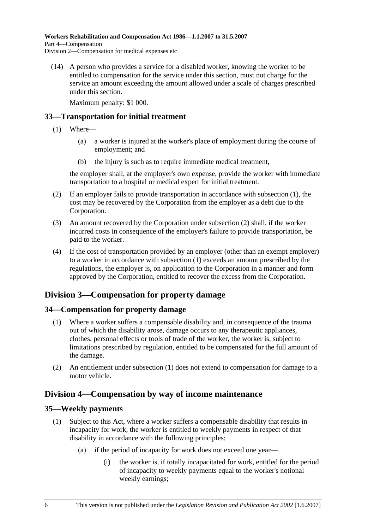(14) A person who provides a service for a disabled worker, knowing the worker to be entitled to compensation for the service under this section, must not charge for the service an amount exceeding the amount allowed under a scale of charges prescribed under this section.

Maximum penalty: \$1 000.

# **33—Transportation for initial treatment**

- (1) Where—
	- (a) a worker is injured at the worker's place of employment during the course of employment; and
	- (b) the injury is such as to require immediate medical treatment,

the employer shall, at the employer's own expense, provide the worker with immediate transportation to a hospital or medical expert for initial treatment.

- (2) If an employer fails to provide transportation in accordance with subsection (1), the cost may be recovered by the Corporation from the employer as a debt due to the Corporation.
- (3) An amount recovered by the Corporation under subsection (2) shall, if the worker incurred costs in consequence of the employer's failure to provide transportation, be paid to the worker.
- (4) If the cost of transportation provided by an employer (other than an exempt employer) to a worker in accordance with subsection (1) exceeds an amount prescribed by the regulations, the employer is, on application to the Corporation in a manner and form approved by the Corporation, entitled to recover the excess from the Corporation.

# **Division 3—Compensation for property damage**

# **34—Compensation for property damage**

- (1) Where a worker suffers a compensable disability and, in consequence of the trauma out of which the disability arose, damage occurs to any therapeutic appliances, clothes, personal effects or tools of trade of the worker, the worker is, subject to limitations prescribed by regulation, entitled to be compensated for the full amount of the damage.
- (2) An entitlement under subsection (1) does not extend to compensation for damage to a motor vehicle.

# **Division 4—Compensation by way of income maintenance**

# **35—Weekly payments**

- (1) Subject to this Act, where a worker suffers a compensable disability that results in incapacity for work, the worker is entitled to weekly payments in respect of that disability in accordance with the following principles:
	- (a) if the period of incapacity for work does not exceed one year—
		- (i) the worker is, if totally incapacitated for work, entitled for the period of incapacity to weekly payments equal to the worker's notional weekly earnings;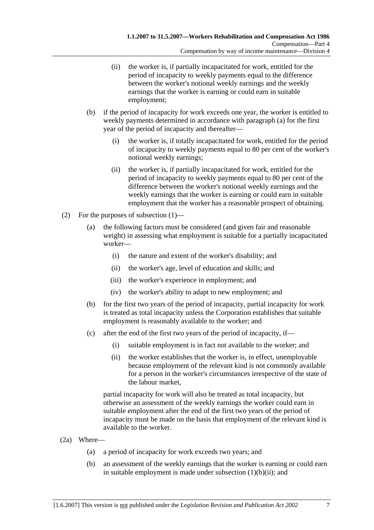- (ii) the worker is, if partially incapacitated for work, entitled for the period of incapacity to weekly payments equal to the difference between the worker's notional weekly earnings and the weekly earnings that the worker is earning or could earn in suitable employment;
- (b) if the period of incapacity for work exceeds one year, the worker is entitled to weekly payments determined in accordance with paragraph (a) for the first year of the period of incapacity and thereafter—
	- (i) the worker is, if totally incapacitated for work, entitled for the period of incapacity to weekly payments equal to 80 per cent of the worker's notional weekly earnings;
	- (ii) the worker is, if partially incapacitated for work, entitled for the period of incapacity to weekly payments equal to 80 per cent of the difference between the worker's notional weekly earnings and the weekly earnings that the worker is earning or could earn in suitable employment that the worker has a reasonable prospect of obtaining.
- (2) For the purposes of subsection (1)—
	- (a) the following factors must be considered (and given fair and reasonable weight) in assessing what employment is suitable for a partially incapacitated worker—
		- (i) the nature and extent of the worker's disability; and
		- (ii) the worker's age, level of education and skills; and
		- (iii) the worker's experience in employment; and
		- (iv) the worker's ability to adapt to new employment; and
	- (b) for the first two years of the period of incapacity, partial incapacity for work is treated as total incapacity unless the Corporation establishes that suitable employment is reasonably available to the worker; and
	- (c) after the end of the first two years of the period of incapacity, if—
		- (i) suitable employment is in fact not available to the worker; and
		- (ii) the worker establishes that the worker is, in effect, unemployable because employment of the relevant kind is not commonly available for a person in the worker's circumstances irrespective of the state of the labour market,

partial incapacity for work will also be treated as total incapacity, but otherwise an assessment of the weekly earnings the worker could earn in suitable employment after the end of the first two years of the period of incapacity must be made on the basis that employment of the relevant kind is available to the worker.

- (2a) Where—
	- (a) a period of incapacity for work exceeds two years; and
	- (b) an assessment of the weekly earnings that the worker is earning or could earn in suitable employment is made under subsection  $(1)(b)(ii)$ ; and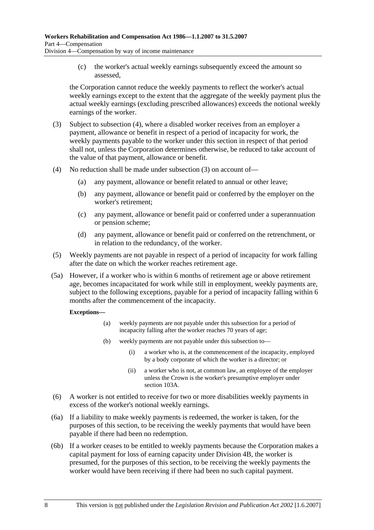(c) the worker's actual weekly earnings subsequently exceed the amount so assessed,

the Corporation cannot reduce the weekly payments to reflect the worker's actual weekly earnings except to the extent that the aggregate of the weekly payment plus the actual weekly earnings (excluding prescribed allowances) exceeds the notional weekly earnings of the worker.

- (3) Subject to subsection (4), where a disabled worker receives from an employer a payment, allowance or benefit in respect of a period of incapacity for work, the weekly payments payable to the worker under this section in respect of that period shall not, unless the Corporation determines otherwise, be reduced to take account of the value of that payment, allowance or benefit.
- (4) No reduction shall be made under subsection (3) on account of—
	- (a) any payment, allowance or benefit related to annual or other leave;
	- (b) any payment, allowance or benefit paid or conferred by the employer on the worker's retirement;
	- (c) any payment, allowance or benefit paid or conferred under a superannuation or pension scheme;
	- (d) any payment, allowance or benefit paid or conferred on the retrenchment, or in relation to the redundancy, of the worker.
- (5) Weekly payments are not payable in respect of a period of incapacity for work falling after the date on which the worker reaches retirement age.
- (5a) However, if a worker who is within 6 months of retirement age or above retirement age, becomes incapacitated for work while still in employment, weekly payments are, subject to the following exceptions, payable for a period of incapacity falling within 6 months after the commencement of the incapacity.

#### **Exceptions—**

- (a) weekly payments are not payable under this subsection for a period of incapacity falling after the worker reaches 70 years of age;
- (b) weekly payments are not payable under this subsection to—
	- (i) a worker who is, at the commencement of the incapacity, employed by a body corporate of which the worker is a director; or
	- (ii) a worker who is not, at common law, an employee of the employer unless the Crown is the worker's presumptive employer under section 103A.
- (6) A worker is not entitled to receive for two or more disabilities weekly payments in excess of the worker's notional weekly earnings.
- (6a) If a liability to make weekly payments is redeemed, the worker is taken, for the purposes of this section, to be receiving the weekly payments that would have been payable if there had been no redemption.
- (6b) If a worker ceases to be entitled to weekly payments because the Corporation makes a capital payment for loss of earning capacity under Division 4B, the worker is presumed, for the purposes of this section, to be receiving the weekly payments the worker would have been receiving if there had been no such capital payment.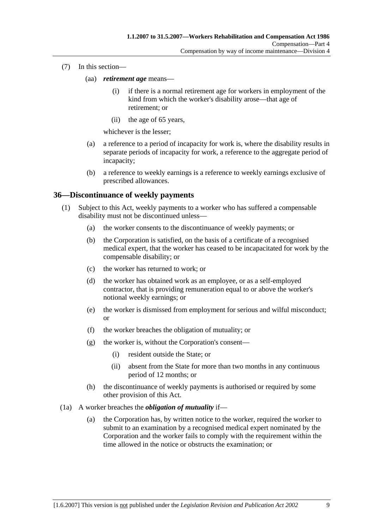- (7) In this section—
	- (aa) *retirement age* means—
		- (i) if there is a normal retirement age for workers in employment of the kind from which the worker's disability arose—that age of retirement; or
		- (ii) the age of 65 years,

whichever is the lesser;

- (a) a reference to a period of incapacity for work is, where the disability results in separate periods of incapacity for work, a reference to the aggregate period of incapacity;
- (b) a reference to weekly earnings is a reference to weekly earnings exclusive of prescribed allowances.

### **36—Discontinuance of weekly payments**

- (1) Subject to this Act, weekly payments to a worker who has suffered a compensable disability must not be discontinued unless—
	- (a) the worker consents to the discontinuance of weekly payments; or
	- (b) the Corporation is satisfied, on the basis of a certificate of a recognised medical expert, that the worker has ceased to be incapacitated for work by the compensable disability; or
	- (c) the worker has returned to work; or
	- (d) the worker has obtained work as an employee, or as a self-employed contractor, that is providing remuneration equal to or above the worker's notional weekly earnings; or
	- (e) the worker is dismissed from employment for serious and wilful misconduct; or
	- (f) the worker breaches the obligation of mutuality; or
	- (g) the worker is, without the Corporation's consent—
		- (i) resident outside the State; or
		- (ii) absent from the State for more than two months in any continuous period of 12 months; or
	- (h) the discontinuance of weekly payments is authorised or required by some other provision of this Act.
- (1a) A worker breaches the *obligation of mutuality* if—
	- (a) the Corporation has, by written notice to the worker, required the worker to submit to an examination by a recognised medical expert nominated by the Corporation and the worker fails to comply with the requirement within the time allowed in the notice or obstructs the examination; or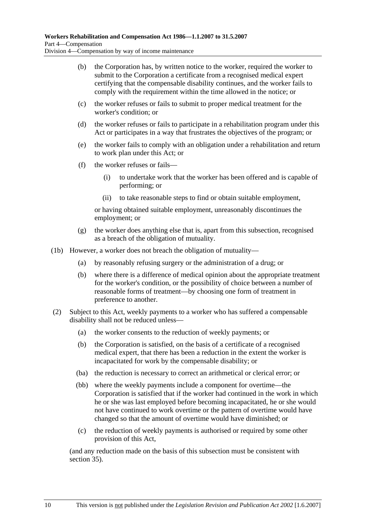- (b) the Corporation has, by written notice to the worker, required the worker to submit to the Corporation a certificate from a recognised medical expert certifying that the compensable disability continues, and the worker fails to comply with the requirement within the time allowed in the notice; or
- (c) the worker refuses or fails to submit to proper medical treatment for the worker's condition; or
- (d) the worker refuses or fails to participate in a rehabilitation program under this Act or participates in a way that frustrates the objectives of the program; or
- (e) the worker fails to comply with an obligation under a rehabilitation and return to work plan under this Act; or
- (f) the worker refuses or fails—
	- (i) to undertake work that the worker has been offered and is capable of performing; or
	- (ii) to take reasonable steps to find or obtain suitable employment,

or having obtained suitable employment, unreasonably discontinues the employment; or

- (g) the worker does anything else that is, apart from this subsection, recognised as a breach of the obligation of mutuality.
- (1b) However, a worker does not breach the obligation of mutuality—
	- (a) by reasonably refusing surgery or the administration of a drug; or
	- (b) where there is a difference of medical opinion about the appropriate treatment for the worker's condition, or the possibility of choice between a number of reasonable forms of treatment—by choosing one form of treatment in preference to another.
- (2) Subject to this Act, weekly payments to a worker who has suffered a compensable disability shall not be reduced unless—
	- (a) the worker consents to the reduction of weekly payments; or
	- (b) the Corporation is satisfied, on the basis of a certificate of a recognised medical expert, that there has been a reduction in the extent the worker is incapacitated for work by the compensable disability; or
	- (ba) the reduction is necessary to correct an arithmetical or clerical error; or
	- (bb) where the weekly payments include a component for overtime—the Corporation is satisfied that if the worker had continued in the work in which he or she was last employed before becoming incapacitated, he or she would not have continued to work overtime or the pattern of overtime would have changed so that the amount of overtime would have diminished; or
	- (c) the reduction of weekly payments is authorised or required by some other provision of this Act,

(and any reduction made on the basis of this subsection must be consistent with section 35).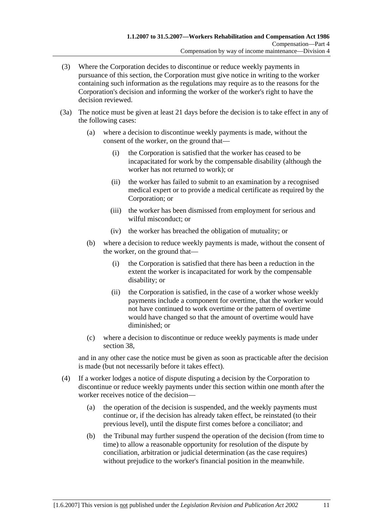- (3) Where the Corporation decides to discontinue or reduce weekly payments in pursuance of this section, the Corporation must give notice in writing to the worker containing such information as the regulations may require as to the reasons for the Corporation's decision and informing the worker of the worker's right to have the decision reviewed.
- (3a) The notice must be given at least 21 days before the decision is to take effect in any of the following cases:
	- (a) where a decision to discontinue weekly payments is made, without the consent of the worker, on the ground that—
		- (i) the Corporation is satisfied that the worker has ceased to be incapacitated for work by the compensable disability (although the worker has not returned to work); or
		- (ii) the worker has failed to submit to an examination by a recognised medical expert or to provide a medical certificate as required by the Corporation; or
		- (iii) the worker has been dismissed from employment for serious and wilful misconduct; or
		- (iv) the worker has breached the obligation of mutuality; or
	- (b) where a decision to reduce weekly payments is made, without the consent of the worker, on the ground that—
		- (i) the Corporation is satisfied that there has been a reduction in the extent the worker is incapacitated for work by the compensable disability; or
		- (ii) the Corporation is satisfied, in the case of a worker whose weekly payments include a component for overtime, that the worker would not have continued to work overtime or the pattern of overtime would have changed so that the amount of overtime would have diminished; or
	- (c) where a decision to discontinue or reduce weekly payments is made under section 38,

and in any other case the notice must be given as soon as practicable after the decision is made (but not necessarily before it takes effect).

- (4) If a worker lodges a notice of dispute disputing a decision by the Corporation to discontinue or reduce weekly payments under this section within one month after the worker receives notice of the decision—
	- (a) the operation of the decision is suspended, and the weekly payments must continue or, if the decision has already taken effect, be reinstated (to their previous level), until the dispute first comes before a conciliator; and
	- (b) the Tribunal may further suspend the operation of the decision (from time to time) to allow a reasonable opportunity for resolution of the dispute by conciliation, arbitration or judicial determination (as the case requires) without prejudice to the worker's financial position in the meanwhile.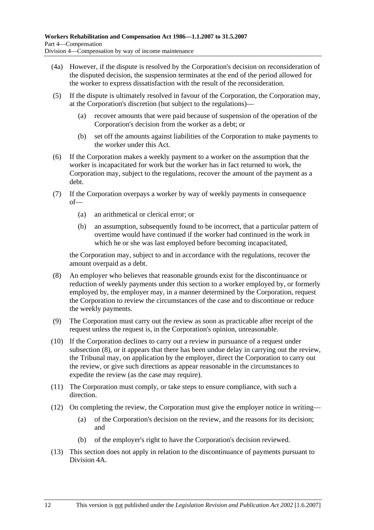- (4a) However, if the dispute is resolved by the Corporation's decision on reconsideration of the disputed decision, the suspension terminates at the end of the period allowed for the worker to express dissatisfaction with the result of the reconsideration.
- (5) If the dispute is ultimately resolved in favour of the Corporation, the Corporation may, at the Corporation's discretion (but subject to the regulations)—
	- (a) recover amounts that were paid because of suspension of the operation of the Corporation's decision from the worker as a debt; or
	- (b) set off the amounts against liabilities of the Corporation to make payments to the worker under this Act.
- (6) If the Corporation makes a weekly payment to a worker on the assumption that the worker is incapacitated for work but the worker has in fact returned to work, the Corporation may, subject to the regulations, recover the amount of the payment as a debt.
- (7) If the Corporation overpays a worker by way of weekly payments in consequence of—
	- (a) an arithmetical or clerical error; or
	- (b) an assumption, subsequently found to be incorrect, that a particular pattern of overtime would have continued if the worker had continued in the work in which he or she was last employed before becoming incapacitated,

the Corporation may, subject to and in accordance with the regulations, recover the amount overpaid as a debt.

- (8) An employer who believes that reasonable grounds exist for the discontinuance or reduction of weekly payments under this section to a worker employed by, or formerly employed by, the employer may, in a manner determined by the Corporation, request the Corporation to review the circumstances of the case and to discontinue or reduce the weekly payments.
- (9) The Corporation must carry out the review as soon as practicable after receipt of the request unless the request is, in the Corporation's opinion, unreasonable.
- (10) If the Corporation declines to carry out a review in pursuance of a request under subsection (8), or it appears that there has been undue delay in carrying out the review, the Tribunal may, on application by the employer, direct the Corporation to carry out the review, or give such directions as appear reasonable in the circumstances to expedite the review (as the case may require).
- (11) The Corporation must comply, or take steps to ensure compliance, with such a direction.
- (12) On completing the review, the Corporation must give the employer notice in writing—
	- (a) of the Corporation's decision on the review, and the reasons for its decision; and
	- (b) of the employer's right to have the Corporation's decision reviewed.
- (13) This section does not apply in relation to the discontinuance of payments pursuant to Division 4A.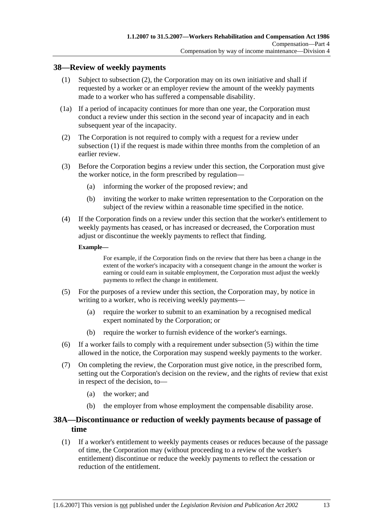### **38—Review of weekly payments**

- (1) Subject to subsection (2), the Corporation may on its own initiative and shall if requested by a worker or an employer review the amount of the weekly payments made to a worker who has suffered a compensable disability.
- (1a) If a period of incapacity continues for more than one year, the Corporation must conduct a review under this section in the second year of incapacity and in each subsequent year of the incapacity.
- (2) The Corporation is not required to comply with a request for a review under subsection (1) if the request is made within three months from the completion of an earlier review.
- (3) Before the Corporation begins a review under this section, the Corporation must give the worker notice, in the form prescribed by regulation—
	- (a) informing the worker of the proposed review; and
	- (b) inviting the worker to make written representation to the Corporation on the subject of the review within a reasonable time specified in the notice.
- (4) If the Corporation finds on a review under this section that the worker's entitlement to weekly payments has ceased, or has increased or decreased, the Corporation must adjust or discontinue the weekly payments to reflect that finding.

#### **Example—**

For example, if the Corporation finds on the review that there has been a change in the extent of the worker's incapacity with a consequent change in the amount the worker is earning or could earn in suitable employment, the Corporation must adjust the weekly payments to reflect the change in entitlement.

- (5) For the purposes of a review under this section, the Corporation may, by notice in writing to a worker, who is receiving weekly payments—
	- (a) require the worker to submit to an examination by a recognised medical expert nominated by the Corporation; or
	- (b) require the worker to furnish evidence of the worker's earnings.
- (6) If a worker fails to comply with a requirement under subsection (5) within the time allowed in the notice, the Corporation may suspend weekly payments to the worker.
- (7) On completing the review, the Corporation must give notice, in the prescribed form, setting out the Corporation's decision on the review, and the rights of review that exist in respect of the decision, to—
	- (a) the worker; and
	- (b) the employer from whose employment the compensable disability arose.

### **38A—Discontinuance or reduction of weekly payments because of passage of time**

 (1) If a worker's entitlement to weekly payments ceases or reduces because of the passage of time, the Corporation may (without proceeding to a review of the worker's entitlement) discontinue or reduce the weekly payments to reflect the cessation or reduction of the entitlement.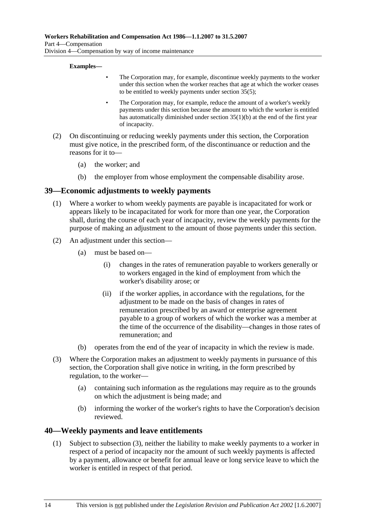#### **Examples—**

- The Corporation may, for example, discontinue weekly payments to the worker under this section when the worker reaches that age at which the worker ceases to be entitled to weekly payments under section 35(5);
- The Corporation may, for example, reduce the amount of a worker's weekly payments under this section because the amount to which the worker is entitled has automatically diminished under section 35(1)(b) at the end of the first year of incapacity.
- (2) On discontinuing or reducing weekly payments under this section, the Corporation must give notice, in the prescribed form, of the discontinuance or reduction and the reasons for it to—
	- (a) the worker; and
	- (b) the employer from whose employment the compensable disability arose.

#### **39—Economic adjustments to weekly payments**

- (1) Where a worker to whom weekly payments are payable is incapacitated for work or appears likely to be incapacitated for work for more than one year, the Corporation shall, during the course of each year of incapacity, review the weekly payments for the purpose of making an adjustment to the amount of those payments under this section.
- (2) An adjustment under this section—
	- (a) must be based on—
		- (i) changes in the rates of remuneration payable to workers generally or to workers engaged in the kind of employment from which the worker's disability arose; or
		- (ii) if the worker applies, in accordance with the regulations, for the adjustment to be made on the basis of changes in rates of remuneration prescribed by an award or enterprise agreement payable to a group of workers of which the worker was a member at the time of the occurrence of the disability—changes in those rates of remuneration; and
	- (b) operates from the end of the year of incapacity in which the review is made.
- (3) Where the Corporation makes an adjustment to weekly payments in pursuance of this section, the Corporation shall give notice in writing, in the form prescribed by regulation, to the worker—
	- (a) containing such information as the regulations may require as to the grounds on which the adjustment is being made; and
	- (b) informing the worker of the worker's rights to have the Corporation's decision reviewed.

#### **40—Weekly payments and leave entitlements**

 (1) Subject to subsection (3), neither the liability to make weekly payments to a worker in respect of a period of incapacity nor the amount of such weekly payments is affected by a payment, allowance or benefit for annual leave or long service leave to which the worker is entitled in respect of that period.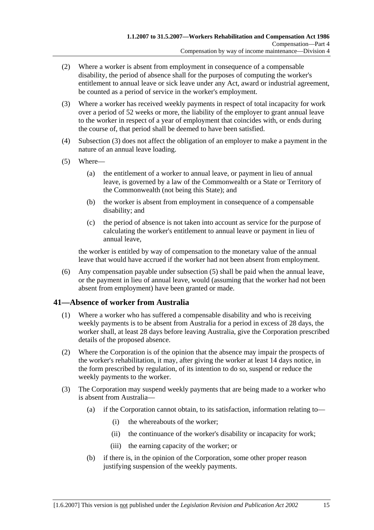- (2) Where a worker is absent from employment in consequence of a compensable disability, the period of absence shall for the purposes of computing the worker's entitlement to annual leave or sick leave under any Act, award or industrial agreement, be counted as a period of service in the worker's employment.
- (3) Where a worker has received weekly payments in respect of total incapacity for work over a period of 52 weeks or more, the liability of the employer to grant annual leave to the worker in respect of a year of employment that coincides with, or ends during the course of, that period shall be deemed to have been satisfied.
- (4) Subsection (3) does not affect the obligation of an employer to make a payment in the nature of an annual leave loading.
- (5) Where—
	- (a) the entitlement of a worker to annual leave, or payment in lieu of annual leave, is governed by a law of the Commonwealth or a State or Territory of the Commonwealth (not being this State); and
	- (b) the worker is absent from employment in consequence of a compensable disability; and
	- (c) the period of absence is not taken into account as service for the purpose of calculating the worker's entitlement to annual leave or payment in lieu of annual leave,

the worker is entitled by way of compensation to the monetary value of the annual leave that would have accrued if the worker had not been absent from employment.

 (6) Any compensation payable under subsection (5) shall be paid when the annual leave, or the payment in lieu of annual leave, would (assuming that the worker had not been absent from employment) have been granted or made.

### **41—Absence of worker from Australia**

- (1) Where a worker who has suffered a compensable disability and who is receiving weekly payments is to be absent from Australia for a period in excess of 28 days, the worker shall, at least 28 days before leaving Australia, give the Corporation prescribed details of the proposed absence.
- (2) Where the Corporation is of the opinion that the absence may impair the prospects of the worker's rehabilitation, it may, after giving the worker at least 14 days notice, in the form prescribed by regulation, of its intention to do so, suspend or reduce the weekly payments to the worker.
- (3) The Corporation may suspend weekly payments that are being made to a worker who is absent from Australia—
	- (a) if the Corporation cannot obtain, to its satisfaction, information relating to—
		- (i) the whereabouts of the worker;
		- (ii) the continuance of the worker's disability or incapacity for work;
		- (iii) the earning capacity of the worker; or
	- (b) if there is, in the opinion of the Corporation, some other proper reason justifying suspension of the weekly payments.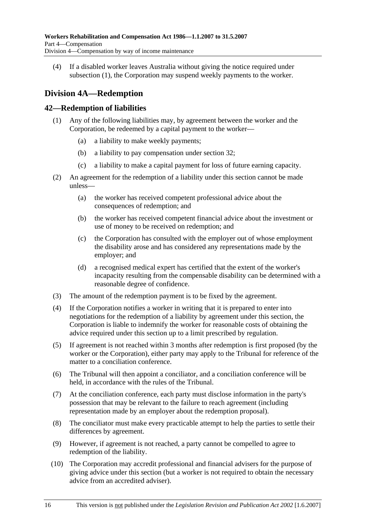(4) If a disabled worker leaves Australia without giving the notice required under subsection (1), the Corporation may suspend weekly payments to the worker.

# **Division 4A—Redemption**

### **42—Redemption of liabilities**

- (1) Any of the following liabilities may, by agreement between the worker and the Corporation, be redeemed by a capital payment to the worker—
	- (a) a liability to make weekly payments;
	- (b) a liability to pay compensation under section 32;
	- (c) a liability to make a capital payment for loss of future earning capacity.
- (2) An agreement for the redemption of a liability under this section cannot be made unless—
	- (a) the worker has received competent professional advice about the consequences of redemption; and
	- (b) the worker has received competent financial advice about the investment or use of money to be received on redemption; and
	- (c) the Corporation has consulted with the employer out of whose employment the disability arose and has considered any representations made by the employer; and
	- (d) a recognised medical expert has certified that the extent of the worker's incapacity resulting from the compensable disability can be determined with a reasonable degree of confidence.
- (3) The amount of the redemption payment is to be fixed by the agreement.
- (4) If the Corporation notifies a worker in writing that it is prepared to enter into negotiations for the redemption of a liability by agreement under this section, the Corporation is liable to indemnify the worker for reasonable costs of obtaining the advice required under this section up to a limit prescribed by regulation.
- (5) If agreement is not reached within 3 months after redemption is first proposed (by the worker or the Corporation), either party may apply to the Tribunal for reference of the matter to a conciliation conference.
- (6) The Tribunal will then appoint a conciliator, and a conciliation conference will be held, in accordance with the rules of the Tribunal.
- (7) At the conciliation conference, each party must disclose information in the party's possession that may be relevant to the failure to reach agreement (including representation made by an employer about the redemption proposal).
- (8) The conciliator must make every practicable attempt to help the parties to settle their differences by agreement.
- (9) However, if agreement is not reached, a party cannot be compelled to agree to redemption of the liability.
- (10) The Corporation may accredit professional and financial advisers for the purpose of giving advice under this section (but a worker is not required to obtain the necessary advice from an accredited adviser).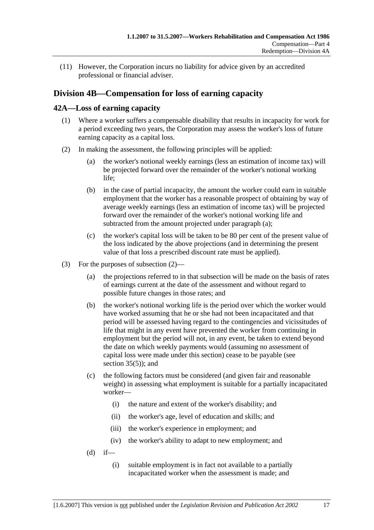(11) However, the Corporation incurs no liability for advice given by an accredited professional or financial adviser.

# **Division 4B—Compensation for loss of earning capacity**

### **42A—Loss of earning capacity**

- (1) Where a worker suffers a compensable disability that results in incapacity for work for a period exceeding two years, the Corporation may assess the worker's loss of future earning capacity as a capital loss.
- (2) In making the assessment, the following principles will be applied:
	- (a) the worker's notional weekly earnings (less an estimation of income tax) will be projected forward over the remainder of the worker's notional working life;
	- (b) in the case of partial incapacity, the amount the worker could earn in suitable employment that the worker has a reasonable prospect of obtaining by way of average weekly earnings (less an estimation of income tax) will be projected forward over the remainder of the worker's notional working life and subtracted from the amount projected under paragraph (a);
	- (c) the worker's capital loss will be taken to be 80 per cent of the present value of the loss indicated by the above projections (and in determining the present value of that loss a prescribed discount rate must be applied).
- (3) For the purposes of subsection (2)—
	- (a) the projections referred to in that subsection will be made on the basis of rates of earnings current at the date of the assessment and without regard to possible future changes in those rates; and
	- (b) the worker's notional working life is the period over which the worker would have worked assuming that he or she had not been incapacitated and that period will be assessed having regard to the contingencies and vicissitudes of life that might in any event have prevented the worker from continuing in employment but the period will not, in any event, be taken to extend beyond the date on which weekly payments would (assuming no assessment of capital loss were made under this section) cease to be payable (see section  $35(5)$ ; and
	- (c) the following factors must be considered (and given fair and reasonable weight) in assessing what employment is suitable for a partially incapacitated worker—
		- (i) the nature and extent of the worker's disability; and
		- (ii) the worker's age, level of education and skills; and
		- (iii) the worker's experience in employment; and
		- (iv) the worker's ability to adapt to new employment; and
	- $(d)$  if—
		- (i) suitable employment is in fact not available to a partially incapacitated worker when the assessment is made; and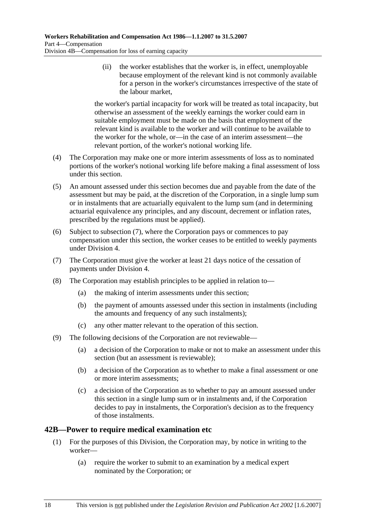(ii) the worker establishes that the worker is, in effect, unemployable because employment of the relevant kind is not commonly available for a person in the worker's circumstances irrespective of the state of the labour market,

the worker's partial incapacity for work will be treated as total incapacity, but otherwise an assessment of the weekly earnings the worker could earn in suitable employment must be made on the basis that employment of the relevant kind is available to the worker and will continue to be available to the worker for the whole, or—in the case of an interim assessment—the relevant portion, of the worker's notional working life.

- (4) The Corporation may make one or more interim assessments of loss as to nominated portions of the worker's notional working life before making a final assessment of loss under this section.
- (5) An amount assessed under this section becomes due and payable from the date of the assessment but may be paid, at the discretion of the Corporation, in a single lump sum or in instalments that are actuarially equivalent to the lump sum (and in determining actuarial equivalence any principles, and any discount, decrement or inflation rates, prescribed by the regulations must be applied).
- (6) Subject to subsection (7), where the Corporation pays or commences to pay compensation under this section, the worker ceases to be entitled to weekly payments under Division 4.
- (7) The Corporation must give the worker at least 21 days notice of the cessation of payments under Division 4.
- (8) The Corporation may establish principles to be applied in relation to—
	- (a) the making of interim assessments under this section;
	- (b) the payment of amounts assessed under this section in instalments (including the amounts and frequency of any such instalments);
	- (c) any other matter relevant to the operation of this section.
- (9) The following decisions of the Corporation are not reviewable—
	- (a) a decision of the Corporation to make or not to make an assessment under this section (but an assessment is reviewable);
	- (b) a decision of the Corporation as to whether to make a final assessment or one or more interim assessments;
	- (c) a decision of the Corporation as to whether to pay an amount assessed under this section in a single lump sum or in instalments and, if the Corporation decides to pay in instalments, the Corporation's decision as to the frequency of those instalments.

### **42B—Power to require medical examination etc**

- (1) For the purposes of this Division, the Corporation may, by notice in writing to the worker—
	- (a) require the worker to submit to an examination by a medical expert nominated by the Corporation; or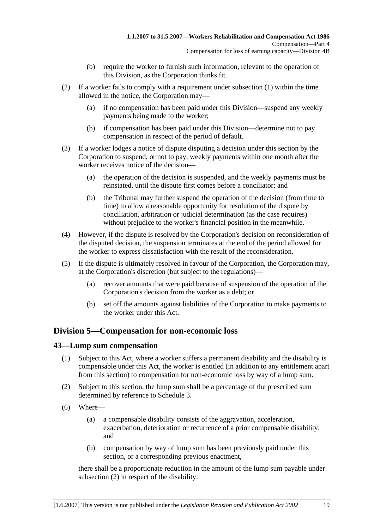- (b) require the worker to furnish such information, relevant to the operation of this Division, as the Corporation thinks fit.
- (2) If a worker fails to comply with a requirement under subsection (1) within the time allowed in the notice, the Corporation may—
	- (a) if no compensation has been paid under this Division—suspend any weekly payments being made to the worker;
	- (b) if compensation has been paid under this Division—determine not to pay compensation in respect of the period of default.
- (3) If a worker lodges a notice of dispute disputing a decision under this section by the Corporation to suspend, or not to pay, weekly payments within one month after the worker receives notice of the decision—
	- (a) the operation of the decision is suspended, and the weekly payments must be reinstated, until the dispute first comes before a conciliator; and
	- (b) the Tribunal may further suspend the operation of the decision (from time to time) to allow a reasonable opportunity for resolution of the dispute by conciliation, arbitration or judicial determination (as the case requires) without prejudice to the worker's financial position in the meanwhile.
- (4) However, if the dispute is resolved by the Corporation's decision on reconsideration of the disputed decision, the suspension terminates at the end of the period allowed for the worker to express dissatisfaction with the result of the reconsideration.
- (5) If the dispute is ultimately resolved in favour of the Corporation, the Corporation may, at the Corporation's discretion (but subject to the regulations)—
	- (a) recover amounts that were paid because of suspension of the operation of the Corporation's decision from the worker as a debt; or
	- (b) set off the amounts against liabilities of the Corporation to make payments to the worker under this Act.

### **Division 5—Compensation for non-economic loss**

### **43—Lump sum compensation**

- (1) Subject to this Act, where a worker suffers a permanent disability and the disability is compensable under this Act, the worker is entitled (in addition to any entitlement apart from this section) to compensation for non-economic loss by way of a lump sum.
- (2) Subject to this section, the lump sum shall be a percentage of the prescribed sum determined by reference to Schedule 3.
- (6) Where—
	- (a) a compensable disability consists of the aggravation, acceleration, exacerbation, deterioration or recurrence of a prior compensable disability; and
	- (b) compensation by way of lump sum has been previously paid under this section, or a corresponding previous enactment,

there shall be a proportionate reduction in the amount of the lump sum payable under subsection (2) in respect of the disability.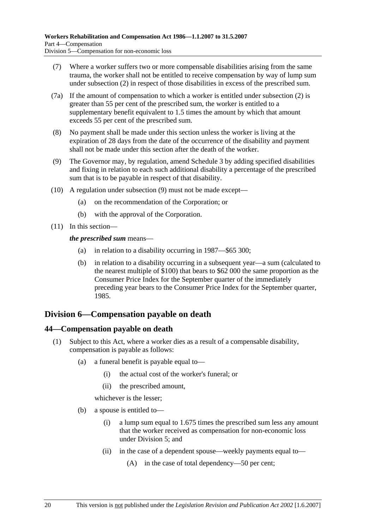- (7) Where a worker suffers two or more compensable disabilities arising from the same trauma, the worker shall not be entitled to receive compensation by way of lump sum under subsection (2) in respect of those disabilities in excess of the prescribed sum.
- (7a) If the amount of compensation to which a worker is entitled under subsection (2) is greater than 55 per cent of the prescribed sum, the worker is entitled to a supplementary benefit equivalent to 1.5 times the amount by which that amount exceeds 55 per cent of the prescribed sum.
- (8) No payment shall be made under this section unless the worker is living at the expiration of 28 days from the date of the occurrence of the disability and payment shall not be made under this section after the death of the worker.
- (9) The Governor may, by regulation, amend Schedule 3 by adding specified disabilities and fixing in relation to each such additional disability a percentage of the prescribed sum that is to be payable in respect of that disability.
- (10) A regulation under subsection (9) must not be made except—
	- (a) on the recommendation of the Corporation; or
	- (b) with the approval of the Corporation.
- (11) In this section—

#### *the prescribed sum* means—

- (a) in relation to a disability occurring in 1987—\$65 300;
- (b) in relation to a disability occurring in a subsequent year—a sum (calculated to the nearest multiple of \$100) that bears to \$62 000 the same proportion as the Consumer Price Index for the September quarter of the immediately preceding year bears to the Consumer Price Index for the September quarter, 1985.

# **Division 6—Compensation payable on death**

### **44—Compensation payable on death**

- (1) Subject to this Act, where a worker dies as a result of a compensable disability, compensation is payable as follows:
	- (a) a funeral benefit is payable equal to—
		- (i) the actual cost of the worker's funeral; or
		- (ii) the prescribed amount,

whichever is the lesser;

- (b) a spouse is entitled to—
	- (i) a lump sum equal to 1.675 times the prescribed sum less any amount that the worker received as compensation for non-economic loss under Division 5; and
	- (ii) in the case of a dependent spouse—weekly payments equal to—
		- (A) in the case of total dependency—50 per cent;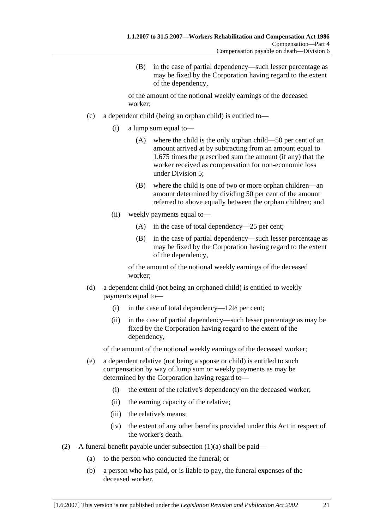(B) in the case of partial dependency—such lesser percentage as may be fixed by the Corporation having regard to the extent of the dependency,

of the amount of the notional weekly earnings of the deceased worker;

- (c) a dependent child (being an orphan child) is entitled to—
	- (i) a lump sum equal to—
		- (A) where the child is the only orphan child—50 per cent of an amount arrived at by subtracting from an amount equal to 1.675 times the prescribed sum the amount (if any) that the worker received as compensation for non-economic loss under Division 5;
		- (B) where the child is one of two or more orphan children—an amount determined by dividing 50 per cent of the amount referred to above equally between the orphan children; and
	- (ii) weekly payments equal to—
		- (A) in the case of total dependency—25 per cent;
		- (B) in the case of partial dependency—such lesser percentage as may be fixed by the Corporation having regard to the extent of the dependency,

of the amount of the notional weekly earnings of the deceased worker;

- (d) a dependent child (not being an orphaned child) is entitled to weekly payments equal to—
	- (i) in the case of total dependency— $12\frac{1}{2}$  per cent;
	- (ii) in the case of partial dependency—such lesser percentage as may be fixed by the Corporation having regard to the extent of the dependency,

of the amount of the notional weekly earnings of the deceased worker;

- (e) a dependent relative (not being a spouse or child) is entitled to such compensation by way of lump sum or weekly payments as may be determined by the Corporation having regard to—
	- (i) the extent of the relative's dependency on the deceased worker;
	- (ii) the earning capacity of the relative;
	- (iii) the relative's means;
	- (iv) the extent of any other benefits provided under this Act in respect of the worker's death.
- (2) A funeral benefit payable under subsection  $(1)(a)$  shall be paid—
	- (a) to the person who conducted the funeral; or
	- (b) a person who has paid, or is liable to pay, the funeral expenses of the deceased worker.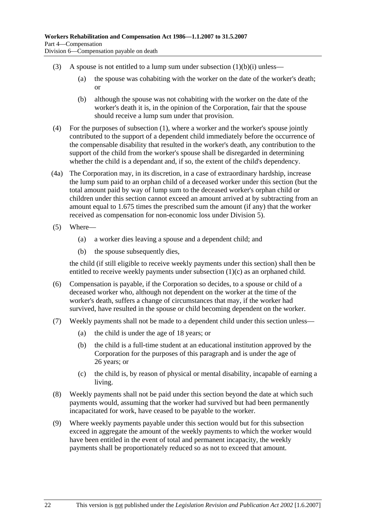- (3) A spouse is not entitled to a lump sum under subsection  $(1)(b)(i)$  unless—
	- (a) the spouse was cohabiting with the worker on the date of the worker's death; or
	- (b) although the spouse was not cohabiting with the worker on the date of the worker's death it is, in the opinion of the Corporation, fair that the spouse should receive a lump sum under that provision.
- (4) For the purposes of subsection (1), where a worker and the worker's spouse jointly contributed to the support of a dependent child immediately before the occurrence of the compensable disability that resulted in the worker's death, any contribution to the support of the child from the worker's spouse shall be disregarded in determining whether the child is a dependant and, if so, the extent of the child's dependency.
- (4a) The Corporation may, in its discretion, in a case of extraordinary hardship, increase the lump sum paid to an orphan child of a deceased worker under this section (but the total amount paid by way of lump sum to the deceased worker's orphan child or children under this section cannot exceed an amount arrived at by subtracting from an amount equal to 1.675 times the prescribed sum the amount (if any) that the worker received as compensation for non-economic loss under Division 5).
- (5) Where—
	- (a) a worker dies leaving a spouse and a dependent child; and
	- (b) the spouse subsequently dies,

the child (if still eligible to receive weekly payments under this section) shall then be entitled to receive weekly payments under subsection (1)(c) as an orphaned child.

- (6) Compensation is payable, if the Corporation so decides, to a spouse or child of a deceased worker who, although not dependent on the worker at the time of the worker's death, suffers a change of circumstances that may, if the worker had survived, have resulted in the spouse or child becoming dependent on the worker.
- (7) Weekly payments shall not be made to a dependent child under this section unless—
	- (a) the child is under the age of 18 years; or
	- (b) the child is a full-time student at an educational institution approved by the Corporation for the purposes of this paragraph and is under the age of 26 years; or
	- (c) the child is, by reason of physical or mental disability, incapable of earning a living.
- (8) Weekly payments shall not be paid under this section beyond the date at which such payments would, assuming that the worker had survived but had been permanently incapacitated for work, have ceased to be payable to the worker.
- (9) Where weekly payments payable under this section would but for this subsection exceed in aggregate the amount of the weekly payments to which the worker would have been entitled in the event of total and permanent incapacity, the weekly payments shall be proportionately reduced so as not to exceed that amount.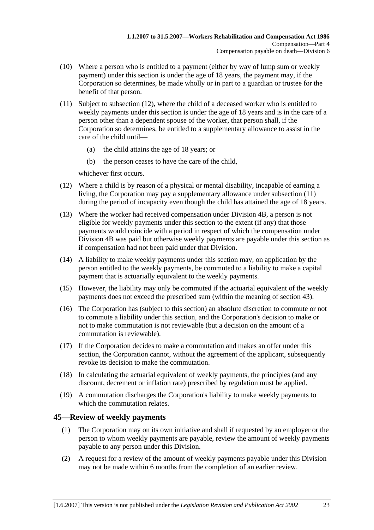- (10) Where a person who is entitled to a payment (either by way of lump sum or weekly payment) under this section is under the age of 18 years, the payment may, if the Corporation so determines, be made wholly or in part to a guardian or trustee for the benefit of that person.
- (11) Subject to subsection (12), where the child of a deceased worker who is entitled to weekly payments under this section is under the age of 18 years and is in the care of a person other than a dependent spouse of the worker, that person shall, if the Corporation so determines, be entitled to a supplementary allowance to assist in the care of the child until—
	- (a) the child attains the age of 18 years; or
	- (b) the person ceases to have the care of the child,

whichever first occurs.

- (12) Where a child is by reason of a physical or mental disability, incapable of earning a living, the Corporation may pay a supplementary allowance under subsection (11) during the period of incapacity even though the child has attained the age of 18 years.
- (13) Where the worker had received compensation under Division 4B, a person is not eligible for weekly payments under this section to the extent (if any) that those payments would coincide with a period in respect of which the compensation under Division 4B was paid but otherwise weekly payments are payable under this section as if compensation had not been paid under that Division.
- (14) A liability to make weekly payments under this section may, on application by the person entitled to the weekly payments, be commuted to a liability to make a capital payment that is actuarially equivalent to the weekly payments.
- (15) However, the liability may only be commuted if the actuarial equivalent of the weekly payments does not exceed the prescribed sum (within the meaning of section 43).
- (16) The Corporation has (subject to this section) an absolute discretion to commute or not to commute a liability under this section, and the Corporation's decision to make or not to make commutation is not reviewable (but a decision on the amount of a commutation is reviewable).
- (17) If the Corporation decides to make a commutation and makes an offer under this section, the Corporation cannot, without the agreement of the applicant, subsequently revoke its decision to make the commutation.
- (18) In calculating the actuarial equivalent of weekly payments, the principles (and any discount, decrement or inflation rate) prescribed by regulation must be applied.
- (19) A commutation discharges the Corporation's liability to make weekly payments to which the commutation relates.

### **45—Review of weekly payments**

- (1) The Corporation may on its own initiative and shall if requested by an employer or the person to whom weekly payments are payable, review the amount of weekly payments payable to any person under this Division.
- (2) A request for a review of the amount of weekly payments payable under this Division may not be made within 6 months from the completion of an earlier review.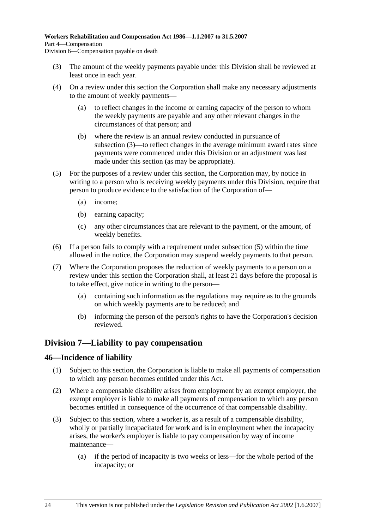- (3) The amount of the weekly payments payable under this Division shall be reviewed at least once in each year.
- (4) On a review under this section the Corporation shall make any necessary adjustments to the amount of weekly payments—
	- (a) to reflect changes in the income or earning capacity of the person to whom the weekly payments are payable and any other relevant changes in the circumstances of that person; and
	- (b) where the review is an annual review conducted in pursuance of subsection (3)—to reflect changes in the average minimum award rates since payments were commenced under this Division or an adjustment was last made under this section (as may be appropriate).
- (5) For the purposes of a review under this section, the Corporation may, by notice in writing to a person who is receiving weekly payments under this Division, require that person to produce evidence to the satisfaction of the Corporation of—
	- (a) income;
	- (b) earning capacity;
	- (c) any other circumstances that are relevant to the payment, or the amount, of weekly benefits.
- (6) If a person fails to comply with a requirement under subsection (5) within the time allowed in the notice, the Corporation may suspend weekly payments to that person.
- (7) Where the Corporation proposes the reduction of weekly payments to a person on a review under this section the Corporation shall, at least 21 days before the proposal is to take effect, give notice in writing to the person—
	- (a) containing such information as the regulations may require as to the grounds on which weekly payments are to be reduced; and
	- (b) informing the person of the person's rights to have the Corporation's decision reviewed.

### **Division 7—Liability to pay compensation**

### **46—Incidence of liability**

- (1) Subject to this section, the Corporation is liable to make all payments of compensation to which any person becomes entitled under this Act.
- (2) Where a compensable disability arises from employment by an exempt employer, the exempt employer is liable to make all payments of compensation to which any person becomes entitled in consequence of the occurrence of that compensable disability.
- (3) Subject to this section, where a worker is, as a result of a compensable disability, wholly or partially incapacitated for work and is in employment when the incapacity arises, the worker's employer is liable to pay compensation by way of income maintenance—
	- (a) if the period of incapacity is two weeks or less—for the whole period of the incapacity; or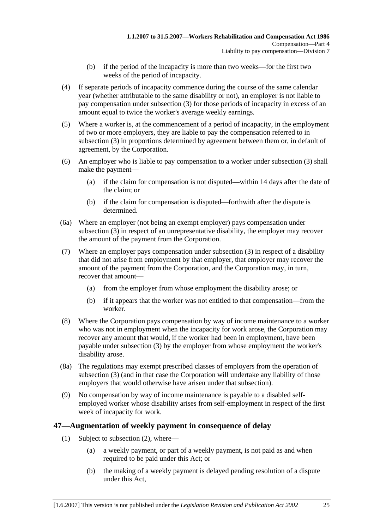- (b) if the period of the incapacity is more than two weeks—for the first two weeks of the period of incapacity.
- (4) If separate periods of incapacity commence during the course of the same calendar year (whether attributable to the same disability or not), an employer is not liable to pay compensation under subsection (3) for those periods of incapacity in excess of an amount equal to twice the worker's average weekly earnings.
- (5) Where a worker is, at the commencement of a period of incapacity, in the employment of two or more employers, they are liable to pay the compensation referred to in subsection (3) in proportions determined by agreement between them or, in default of agreement, by the Corporation.
- (6) An employer who is liable to pay compensation to a worker under subsection (3) shall make the payment—
	- (a) if the claim for compensation is not disputed—within 14 days after the date of the claim; or
	- (b) if the claim for compensation is disputed—forthwith after the dispute is determined.
- (6a) Where an employer (not being an exempt employer) pays compensation under subsection (3) in respect of an unrepresentative disability, the employer may recover the amount of the payment from the Corporation.
- (7) Where an employer pays compensation under subsection (3) in respect of a disability that did not arise from employment by that employer, that employer may recover the amount of the payment from the Corporation, and the Corporation may, in turn, recover that amount—
	- (a) from the employer from whose employment the disability arose; or
	- (b) if it appears that the worker was not entitled to that compensation—from the worker.
- (8) Where the Corporation pays compensation by way of income maintenance to a worker who was not in employment when the incapacity for work arose, the Corporation may recover any amount that would, if the worker had been in employment, have been payable under subsection (3) by the employer from whose employment the worker's disability arose.
- (8a) The regulations may exempt prescribed classes of employers from the operation of subsection (3) (and in that case the Corporation will undertake any liability of those employers that would otherwise have arisen under that subsection).
- (9) No compensation by way of income maintenance is payable to a disabled selfemployed worker whose disability arises from self-employment in respect of the first week of incapacity for work.

### **47—Augmentation of weekly payment in consequence of delay**

- (1) Subject to subsection (2), where—
	- (a) a weekly payment, or part of a weekly payment, is not paid as and when required to be paid under this Act; or
	- (b) the making of a weekly payment is delayed pending resolution of a dispute under this Act,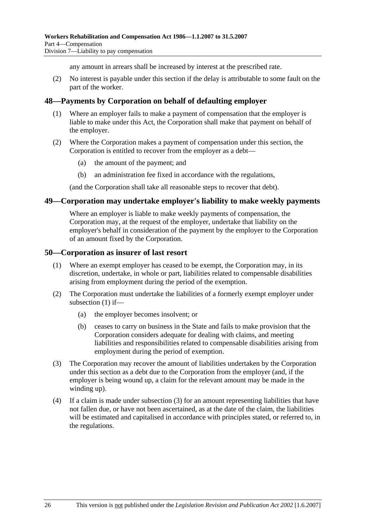any amount in arrears shall be increased by interest at the prescribed rate.

 (2) No interest is payable under this section if the delay is attributable to some fault on the part of the worker.

### **48—Payments by Corporation on behalf of defaulting employer**

- (1) Where an employer fails to make a payment of compensation that the employer is liable to make under this Act, the Corporation shall make that payment on behalf of the employer.
- (2) Where the Corporation makes a payment of compensation under this section, the Corporation is entitled to recover from the employer as a debt—
	- (a) the amount of the payment; and
	- (b) an administration fee fixed in accordance with the regulations,

(and the Corporation shall take all reasonable steps to recover that debt).

#### **49—Corporation may undertake employer's liability to make weekly payments**

Where an employer is liable to make weekly payments of compensation, the Corporation may, at the request of the employer, undertake that liability on the employer's behalf in consideration of the payment by the employer to the Corporation of an amount fixed by the Corporation.

#### **50—Corporation as insurer of last resort**

- (1) Where an exempt employer has ceased to be exempt, the Corporation may, in its discretion, undertake, in whole or part, liabilities related to compensable disabilities arising from employment during the period of the exemption.
- (2) The Corporation must undertake the liabilities of a formerly exempt employer under subsection (1) if—
	- (a) the employer becomes insolvent; or
	- (b) ceases to carry on business in the State and fails to make provision that the Corporation considers adequate for dealing with claims, and meeting liabilities and responsibilities related to compensable disabilities arising from employment during the period of exemption.
- (3) The Corporation may recover the amount of liabilities undertaken by the Corporation under this section as a debt due to the Corporation from the employer (and, if the employer is being wound up, a claim for the relevant amount may be made in the winding up).
- (4) If a claim is made under subsection (3) for an amount representing liabilities that have not fallen due, or have not been ascertained, as at the date of the claim, the liabilities will be estimated and capitalised in accordance with principles stated, or referred to, in the regulations.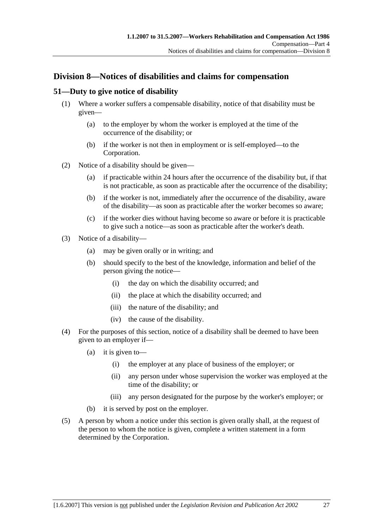# **Division 8—Notices of disabilities and claims for compensation**

### **51—Duty to give notice of disability**

- (1) Where a worker suffers a compensable disability, notice of that disability must be given—
	- (a) to the employer by whom the worker is employed at the time of the occurrence of the disability; or
	- (b) if the worker is not then in employment or is self-employed—to the Corporation.
- (2) Notice of a disability should be given—
	- (a) if practicable within 24 hours after the occurrence of the disability but, if that is not practicable, as soon as practicable after the occurrence of the disability;
	- (b) if the worker is not, immediately after the occurrence of the disability, aware of the disability—as soon as practicable after the worker becomes so aware;
	- (c) if the worker dies without having become so aware or before it is practicable to give such a notice—as soon as practicable after the worker's death.
- (3) Notice of a disability—
	- (a) may be given orally or in writing; and
	- (b) should specify to the best of the knowledge, information and belief of the person giving the notice—
		- (i) the day on which the disability occurred; and
		- (ii) the place at which the disability occurred; and
		- (iii) the nature of the disability; and
		- (iv) the cause of the disability.
- (4) For the purposes of this section, notice of a disability shall be deemed to have been given to an employer if—
	- (a) it is given to—
		- (i) the employer at any place of business of the employer; or
		- (ii) any person under whose supervision the worker was employed at the time of the disability; or
		- (iii) any person designated for the purpose by the worker's employer; or
	- (b) it is served by post on the employer.
- (5) A person by whom a notice under this section is given orally shall, at the request of the person to whom the notice is given, complete a written statement in a form determined by the Corporation.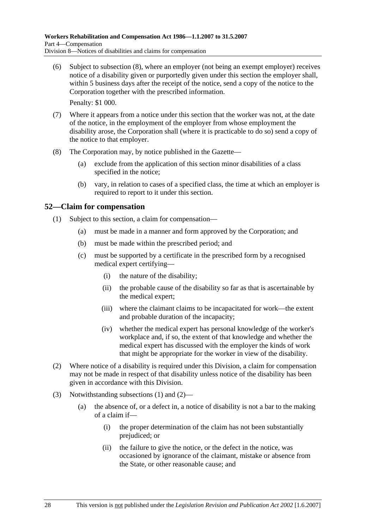(6) Subject to subsection (8), where an employer (not being an exempt employer) receives notice of a disability given or purportedly given under this section the employer shall, within 5 business days after the receipt of the notice, send a copy of the notice to the Corporation together with the prescribed information.

Penalty: \$1 000.

- (7) Where it appears from a notice under this section that the worker was not, at the date of the notice, in the employment of the employer from whose employment the disability arose, the Corporation shall (where it is practicable to do so) send a copy of the notice to that employer.
- (8) The Corporation may, by notice published in the Gazette—
	- (a) exclude from the application of this section minor disabilities of a class specified in the notice;
	- (b) vary, in relation to cases of a specified class, the time at which an employer is required to report to it under this section.

### **52—Claim for compensation**

- (1) Subject to this section, a claim for compensation—
	- (a) must be made in a manner and form approved by the Corporation; and
	- (b) must be made within the prescribed period; and
	- (c) must be supported by a certificate in the prescribed form by a recognised medical expert certifying—
		- (i) the nature of the disability;
		- (ii) the probable cause of the disability so far as that is ascertainable by the medical expert;
		- (iii) where the claimant claims to be incapacitated for work—the extent and probable duration of the incapacity;
		- (iv) whether the medical expert has personal knowledge of the worker's workplace and, if so, the extent of that knowledge and whether the medical expert has discussed with the employer the kinds of work that might be appropriate for the worker in view of the disability.
- (2) Where notice of a disability is required under this Division, a claim for compensation may not be made in respect of that disability unless notice of the disability has been given in accordance with this Division.
- (3) Notwithstanding subsections (1) and (2)—
	- (a) the absence of, or a defect in, a notice of disability is not a bar to the making of a claim if—
		- (i) the proper determination of the claim has not been substantially prejudiced; or
		- (ii) the failure to give the notice, or the defect in the notice, was occasioned by ignorance of the claimant, mistake or absence from the State, or other reasonable cause; and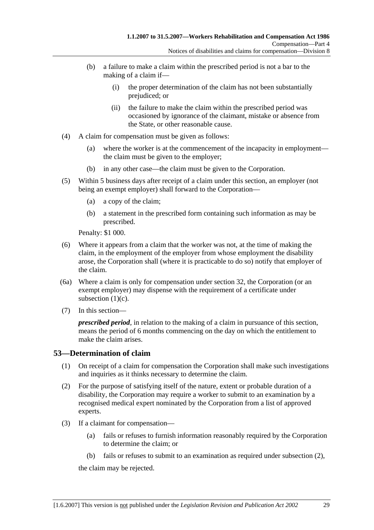- (b) a failure to make a claim within the prescribed period is not a bar to the making of a claim if—
	- (i) the proper determination of the claim has not been substantially prejudiced; or
	- (ii) the failure to make the claim within the prescribed period was occasioned by ignorance of the claimant, mistake or absence from the State, or other reasonable cause.
- (4) A claim for compensation must be given as follows:
	- (a) where the worker is at the commencement of the incapacity in employment the claim must be given to the employer;
	- (b) in any other case—the claim must be given to the Corporation.
- (5) Within 5 business days after receipt of a claim under this section, an employer (not being an exempt employer) shall forward to the Corporation—
	- (a) a copy of the claim;
	- (b) a statement in the prescribed form containing such information as may be prescribed.

Penalty: \$1 000.

- (6) Where it appears from a claim that the worker was not, at the time of making the claim, in the employment of the employer from whose employment the disability arose, the Corporation shall (where it is practicable to do so) notify that employer of the claim.
- (6a) Where a claim is only for compensation under section 32, the Corporation (or an exempt employer) may dispense with the requirement of a certificate under subsection (1)(c).
- (7) In this section—

*prescribed period*, in relation to the making of a claim in pursuance of this section, means the period of 6 months commencing on the day on which the entitlement to make the claim arises.

### **53—Determination of claim**

- (1) On receipt of a claim for compensation the Corporation shall make such investigations and inquiries as it thinks necessary to determine the claim.
- (2) For the purpose of satisfying itself of the nature, extent or probable duration of a disability, the Corporation may require a worker to submit to an examination by a recognised medical expert nominated by the Corporation from a list of approved experts.
- (3) If a claimant for compensation—
	- (a) fails or refuses to furnish information reasonably required by the Corporation to determine the claim; or
	- (b) fails or refuses to submit to an examination as required under subsection (2),

the claim may be rejected.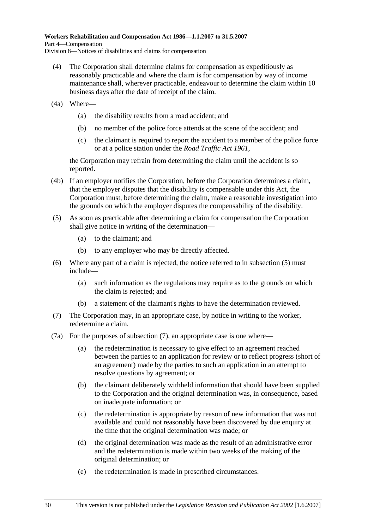- (4) The Corporation shall determine claims for compensation as expeditiously as reasonably practicable and where the claim is for compensation by way of income maintenance shall, wherever practicable, endeavour to determine the claim within 10 business days after the date of receipt of the claim.
- (4a) Where—
	- (a) the disability results from a road accident; and
	- (b) no member of the police force attends at the scene of the accident; and
	- (c) the claimant is required to report the accident to a member of the police force or at a police station under the *Road Traffic Act 1961*,

the Corporation may refrain from determining the claim until the accident is so reported.

- (4b) If an employer notifies the Corporation, before the Corporation determines a claim, that the employer disputes that the disability is compensable under this Act, the Corporation must, before determining the claim, make a reasonable investigation into the grounds on which the employer disputes the compensability of the disability.
- (5) As soon as practicable after determining a claim for compensation the Corporation shall give notice in writing of the determination—
	- (a) to the claimant; and
	- (b) to any employer who may be directly affected.
- (6) Where any part of a claim is rejected, the notice referred to in subsection (5) must include—
	- (a) such information as the regulations may require as to the grounds on which the claim is rejected; and
	- (b) a statement of the claimant's rights to have the determination reviewed.
- (7) The Corporation may, in an appropriate case, by notice in writing to the worker, redetermine a claim.
- (7a) For the purposes of subsection (7), an appropriate case is one where—
	- (a) the redetermination is necessary to give effect to an agreement reached between the parties to an application for review or to reflect progress (short of an agreement) made by the parties to such an application in an attempt to resolve questions by agreement; or
	- (b) the claimant deliberately withheld information that should have been supplied to the Corporation and the original determination was, in consequence, based on inadequate information; or
	- (c) the redetermination is appropriate by reason of new information that was not available and could not reasonably have been discovered by due enquiry at the time that the original determination was made; or
	- (d) the original determination was made as the result of an administrative error and the redetermination is made within two weeks of the making of the original determination; or
	- (e) the redetermination is made in prescribed circumstances.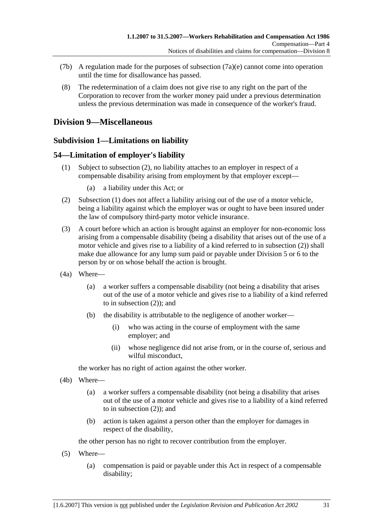- (7b) A regulation made for the purposes of subsection  $(7a)(e)$  cannot come into operation until the time for disallowance has passed.
- (8) The redetermination of a claim does not give rise to any right on the part of the Corporation to recover from the worker money paid under a previous determination unless the previous determination was made in consequence of the worker's fraud.

### **Division 9—Miscellaneous**

### **Subdivision 1—Limitations on liability**

### **54—Limitation of employer's liability**

- (1) Subject to subsection (2), no liability attaches to an employer in respect of a compensable disability arising from employment by that employer except—
	- (a) a liability under this Act; or
- (2) Subsection (1) does not affect a liability arising out of the use of a motor vehicle, being a liability against which the employer was or ought to have been insured under the law of compulsory third-party motor vehicle insurance.
- (3) A court before which an action is brought against an employer for non-economic loss arising from a compensable disability (being a disability that arises out of the use of a motor vehicle and gives rise to a liability of a kind referred to in subsection (2)) shall make due allowance for any lump sum paid or payable under Division 5 or 6 to the person by or on whose behalf the action is brought.
- (4a) Where—
	- (a) a worker suffers a compensable disability (not being a disability that arises out of the use of a motor vehicle and gives rise to a liability of a kind referred to in subsection (2)); and
	- (b) the disability is attributable to the negligence of another worker—
		- (i) who was acting in the course of employment with the same employer; and
		- (ii) whose negligence did not arise from, or in the course of, serious and wilful misconduct.

the worker has no right of action against the other worker.

- (4b) Where—
	- (a) a worker suffers a compensable disability (not being a disability that arises out of the use of a motor vehicle and gives rise to a liability of a kind referred to in subsection (2)); and
	- (b) action is taken against a person other than the employer for damages in respect of the disability,

the other person has no right to recover contribution from the employer.

- (5) Where—
	- (a) compensation is paid or payable under this Act in respect of a compensable disability;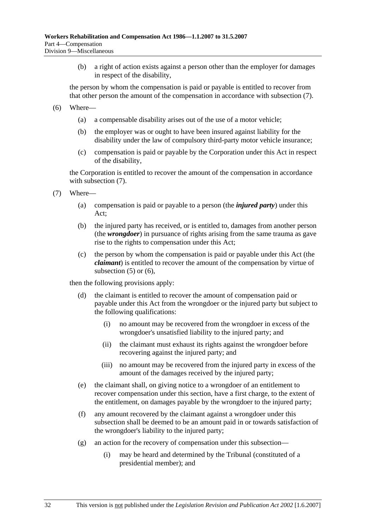(b) a right of action exists against a person other than the employer for damages in respect of the disability,

the person by whom the compensation is paid or payable is entitled to recover from that other person the amount of the compensation in accordance with subsection (7).

- (6) Where—
	- (a) a compensable disability arises out of the use of a motor vehicle;
	- (b) the employer was or ought to have been insured against liability for the disability under the law of compulsory third-party motor vehicle insurance;
	- (c) compensation is paid or payable by the Corporation under this Act in respect of the disability,

the Corporation is entitled to recover the amount of the compensation in accordance with subsection  $(7)$ .

- (7) Where—
	- (a) compensation is paid or payable to a person (the *injured party*) under this Act;
	- (b) the injured party has received, or is entitled to, damages from another person (the *wrongdoer*) in pursuance of rights arising from the same trauma as gave rise to the rights to compensation under this Act;
	- (c) the person by whom the compensation is paid or payable under this Act (the *claimant*) is entitled to recover the amount of the compensation by virtue of subsection  $(5)$  or  $(6)$ ,

then the following provisions apply:

- (d) the claimant is entitled to recover the amount of compensation paid or payable under this Act from the wrongdoer or the injured party but subject to the following qualifications:
	- (i) no amount may be recovered from the wrongdoer in excess of the wrongdoer's unsatisfied liability to the injured party; and
	- (ii) the claimant must exhaust its rights against the wrongdoer before recovering against the injured party; and
	- (iii) no amount may be recovered from the injured party in excess of the amount of the damages received by the injured party;
- (e) the claimant shall, on giving notice to a wrongdoer of an entitlement to recover compensation under this section, have a first charge, to the extent of the entitlement, on damages payable by the wrongdoer to the injured party;
- (f) any amount recovered by the claimant against a wrongdoer under this subsection shall be deemed to be an amount paid in or towards satisfaction of the wrongdoer's liability to the injured party;
- (g) an action for the recovery of compensation under this subsection—
	- (i) may be heard and determined by the Tribunal (constituted of a presidential member); and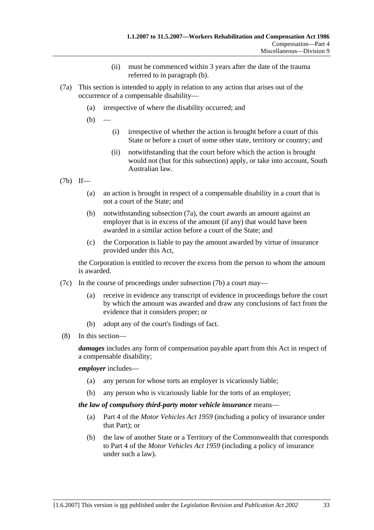- (ii) must be commenced within 3 years after the date of the trauma referred to in paragraph (b).
- (7a) This section is intended to apply in relation to any action that arises out of the occurrence of a compensable disability—
	- (a) irrespective of where the disability occurred; and

 $(b)$ 

- (i) irrespective of whether the action is brought before a court of this State or before a court of some other state, territory or country; and
- (ii) notwithstanding that the court before which the action is brought would not (but for this subsection) apply, or take into account, South Australian law.
- (7b) If—
	- (a) an action is brought in respect of a compensable disability in a court that is not a court of the State; and
	- (b) notwithstanding subsection (7a), the court awards an amount against an employer that is in excess of the amount (if any) that would have been awarded in a similar action before a court of the State; and
	- (c) the Corporation is liable to pay the amount awarded by virtue of insurance provided under this Act,

the Corporation is entitled to recover the excess from the person to whom the amount is awarded.

- (7c) In the course of proceedings under subsection (7b) a court may—
	- (a) receive in evidence any transcript of evidence in proceedings before the court by which the amount was awarded and draw any conclusions of fact from the evidence that it considers proper; or
	- (b) adopt any of the court's findings of fact.
- (8) In this section—

*damages* includes any form of compensation payable apart from this Act in respect of a compensable disability;

*employer* includes—

- (a) any person for whose torts an employer is vicariously liable;
- (b) any person who is vicariously liable for the torts of an employer;

#### *the law of compulsory third-party motor vehicle insurance* means—

- (a) Part 4 of the *Motor Vehicles Act 1959* (including a policy of insurance under that Part); or
- (b) the law of another State or a Territory of the Commonwealth that corresponds to Part 4 of the *Motor Vehicles Act 1959* (including a policy of insurance under such a law).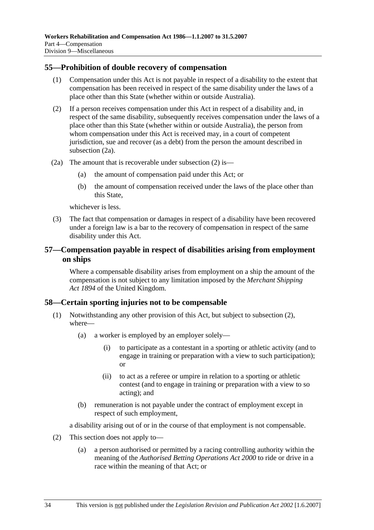#### **55—Prohibition of double recovery of compensation**

- (1) Compensation under this Act is not payable in respect of a disability to the extent that compensation has been received in respect of the same disability under the laws of a place other than this State (whether within or outside Australia).
- (2) If a person receives compensation under this Act in respect of a disability and, in respect of the same disability, subsequently receives compensation under the laws of a place other than this State (whether within or outside Australia), the person from whom compensation under this Act is received may, in a court of competent jurisdiction, sue and recover (as a debt) from the person the amount described in subsection (2a).
- (2a) The amount that is recoverable under subsection (2) is—
	- (a) the amount of compensation paid under this Act; or
	- (b) the amount of compensation received under the laws of the place other than this State,

whichever is less.

 (3) The fact that compensation or damages in respect of a disability have been recovered under a foreign law is a bar to the recovery of compensation in respect of the same disability under this Act.

### **57—Compensation payable in respect of disabilities arising from employment on ships**

Where a compensable disability arises from employment on a ship the amount of the compensation is not subject to any limitation imposed by the *Merchant Shipping Act 1894* of the United Kingdom.

#### **58—Certain sporting injuries not to be compensable**

- (1) Notwithstanding any other provision of this Act, but subject to subsection (2), where—
	- (a) a worker is employed by an employer solely—
		- (i) to participate as a contestant in a sporting or athletic activity (and to engage in training or preparation with a view to such participation); or
		- (ii) to act as a referee or umpire in relation to a sporting or athletic contest (and to engage in training or preparation with a view to so acting); and
	- (b) remuneration is not payable under the contract of employment except in respect of such employment,

a disability arising out of or in the course of that employment is not compensable.

- (2) This section does not apply to—
	- (a) a person authorised or permitted by a racing controlling authority within the meaning of the *Authorised Betting Operations Act 2000* to ride or drive in a race within the meaning of that Act; or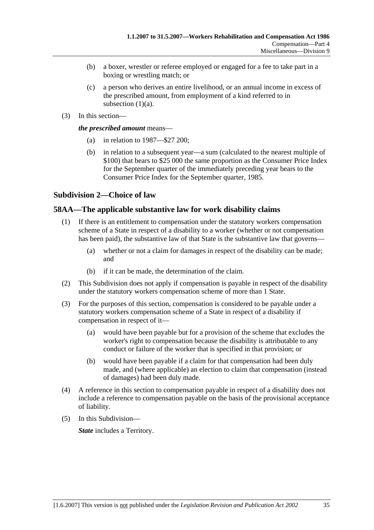- (b) a boxer, wrestler or referee employed or engaged for a fee to take part in a boxing or wrestling match; or
- (c) a person who derives an entire livelihood, or an annual income in excess of the prescribed amount, from employment of a kind referred to in subsection  $(1)(a)$ .
- (3) In this section—

*the prescribed amount* means—

- (a) in relation to 1987—\$27 200;
- (b) in relation to a subsequent year—a sum (calculated to the nearest multiple of \$100) that bears to \$25 000 the same proportion as the Consumer Price Index for the September quarter of the immediately preceding year bears to the Consumer Price Index for the September quarter, 1985.

### **Subdivision 2—Choice of law**

### **58AA—The applicable substantive law for work disability claims**

- (1) If there is an entitlement to compensation under the statutory workers compensation scheme of a State in respect of a disability to a worker (whether or not compensation has been paid), the substantive law of that State is the substantive law that governs—
	- (a) whether or not a claim for damages in respect of the disability can be made; and
	- (b) if it can be made, the determination of the claim.
- (2) This Subdivision does not apply if compensation is payable in respect of the disability under the statutory workers compensation scheme of more than 1 State.
- (3) For the purposes of this section, compensation is considered to be payable under a statutory workers compensation scheme of a State in respect of a disability if compensation in respect of it—
	- (a) would have been payable but for a provision of the scheme that excludes the worker's right to compensation because the disability is attributable to any conduct or failure of the worker that is specified in that provision; or
	- (b) would have been payable if a claim for that compensation had been duly made, and (where applicable) an election to claim that compensation (instead of damages) had been duly made.
- (4) A reference in this section to compensation payable in respect of a disability does not include a reference to compensation payable on the basis of the provisional acceptance of liability.
- (5) In this Subdivision—

*State* includes a Territory.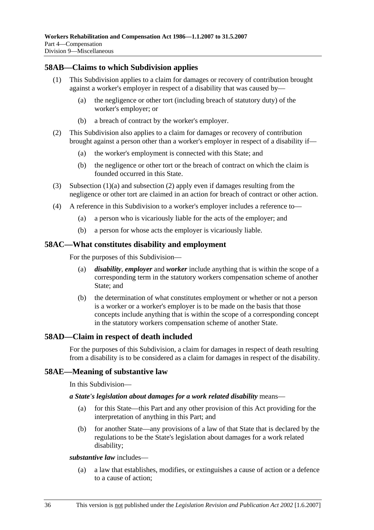### **58AB—Claims to which Subdivision applies**

- (1) This Subdivision applies to a claim for damages or recovery of contribution brought against a worker's employer in respect of a disability that was caused by—
	- (a) the negligence or other tort (including breach of statutory duty) of the worker's employer; or
	- (b) a breach of contract by the worker's employer.
- (2) This Subdivision also applies to a claim for damages or recovery of contribution brought against a person other than a worker's employer in respect of a disability if—
	- (a) the worker's employment is connected with this State; and
	- (b) the negligence or other tort or the breach of contract on which the claim is founded occurred in this State.
- (3) Subsection (1)(a) and subsection (2) apply even if damages resulting from the negligence or other tort are claimed in an action for breach of contract or other action.
- (4) A reference in this Subdivision to a worker's employer includes a reference to—
	- (a) a person who is vicariously liable for the acts of the employer; and
	- (b) a person for whose acts the employer is vicariously liable.

#### **58AC—What constitutes disability and employment**

For the purposes of this Subdivision—

- (a) *disability*, *employer* and *worker* include anything that is within the scope of a corresponding term in the statutory workers compensation scheme of another State; and
- (b) the determination of what constitutes employment or whether or not a person is a worker or a worker's employer is to be made on the basis that those concepts include anything that is within the scope of a corresponding concept in the statutory workers compensation scheme of another State.

### **58AD—Claim in respect of death included**

For the purposes of this Subdivision, a claim for damages in respect of death resulting from a disability is to be considered as a claim for damages in respect of the disability.

### **58AE—Meaning of substantive law**

In this Subdivision—

#### *a State's legislation about damages for a work related disability* means—

- (a) for this State—this Part and any other provision of this Act providing for the interpretation of anything in this Part; and
- (b) for another State—any provisions of a law of that State that is declared by the regulations to be the State's legislation about damages for a work related disability;

#### *substantive law* includes—

 (a) a law that establishes, modifies, or extinguishes a cause of action or a defence to a cause of action;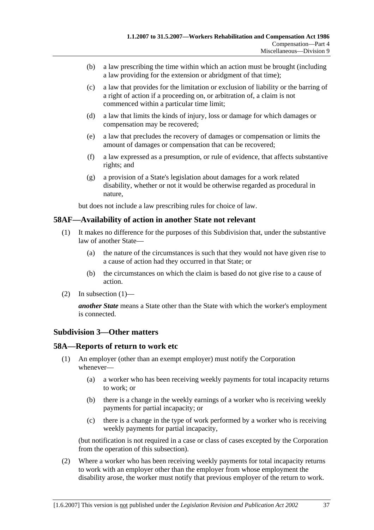- (b) a law prescribing the time within which an action must be brought (including a law providing for the extension or abridgment of that time);
- (c) a law that provides for the limitation or exclusion of liability or the barring of a right of action if a proceeding on, or arbitration of, a claim is not commenced within a particular time limit;
- (d) a law that limits the kinds of injury, loss or damage for which damages or compensation may be recovered;
- (e) a law that precludes the recovery of damages or compensation or limits the amount of damages or compensation that can be recovered;
- (f) a law expressed as a presumption, or rule of evidence, that affects substantive rights; and
- (g) a provision of a State's legislation about damages for a work related disability, whether or not it would be otherwise regarded as procedural in nature,

but does not include a law prescribing rules for choice of law.

#### **58AF—Availability of action in another State not relevant**

- (1) It makes no difference for the purposes of this Subdivision that, under the substantive law of another State—
	- (a) the nature of the circumstances is such that they would not have given rise to a cause of action had they occurred in that State; or
	- (b) the circumstances on which the claim is based do not give rise to a cause of action.
- (2) In subsection  $(1)$ —

*another State* means a State other than the State with which the worker's employment is connected.

### **Subdivision 3—Other matters**

#### **58A—Reports of return to work etc**

- (1) An employer (other than an exempt employer) must notify the Corporation whenever—
	- (a) a worker who has been receiving weekly payments for total incapacity returns to work; or
	- (b) there is a change in the weekly earnings of a worker who is receiving weekly payments for partial incapacity; or
	- (c) there is a change in the type of work performed by a worker who is receiving weekly payments for partial incapacity,

(but notification is not required in a case or class of cases excepted by the Corporation from the operation of this subsection).

 (2) Where a worker who has been receiving weekly payments for total incapacity returns to work with an employer other than the employer from whose employment the disability arose, the worker must notify that previous employer of the return to work.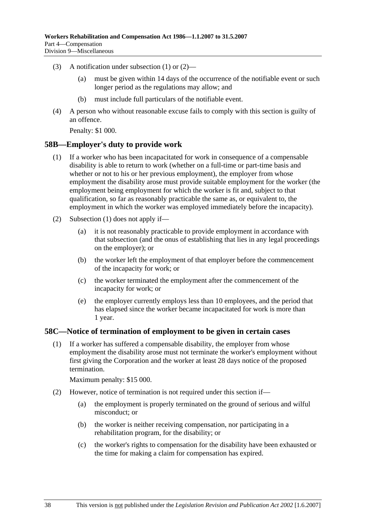- (3) A notification under subsection (1) or (2)—
	- (a) must be given within 14 days of the occurrence of the notifiable event or such longer period as the regulations may allow; and
	- (b) must include full particulars of the notifiable event.
- (4) A person who without reasonable excuse fails to comply with this section is guilty of an offence.

Penalty: \$1 000.

#### **58B—Employer's duty to provide work**

- (1) If a worker who has been incapacitated for work in consequence of a compensable disability is able to return to work (whether on a full-time or part-time basis and whether or not to his or her previous employment), the employer from whose employment the disability arose must provide suitable employment for the worker (the employment being employment for which the worker is fit and, subject to that qualification, so far as reasonably practicable the same as, or equivalent to, the employment in which the worker was employed immediately before the incapacity).
- (2) Subsection (1) does not apply if—
	- (a) it is not reasonably practicable to provide employment in accordance with that subsection (and the onus of establishing that lies in any legal proceedings on the employer); or
	- (b) the worker left the employment of that employer before the commencement of the incapacity for work; or
	- (c) the worker terminated the employment after the commencement of the incapacity for work; or
	- (e) the employer currently employs less than 10 employees, and the period that has elapsed since the worker became incapacitated for work is more than 1 year.

#### **58C—Notice of termination of employment to be given in certain cases**

 (1) If a worker has suffered a compensable disability, the employer from whose employment the disability arose must not terminate the worker's employment without first giving the Corporation and the worker at least 28 days notice of the proposed termination.

Maximum penalty: \$15 000.

- (2) However, notice of termination is not required under this section if—
	- (a) the employment is properly terminated on the ground of serious and wilful misconduct; or
	- (b) the worker is neither receiving compensation, nor participating in a rehabilitation program, for the disability; or
	- (c) the worker's rights to compensation for the disability have been exhausted or the time for making a claim for compensation has expired.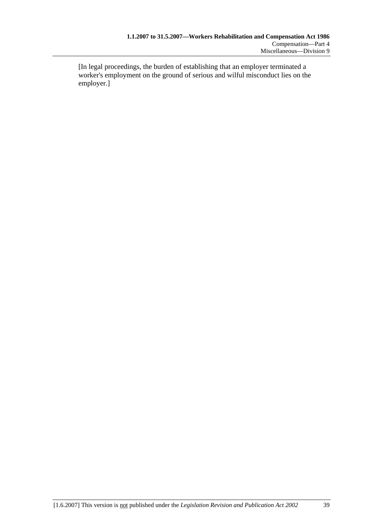[In legal proceedings, the burden of establishing that an employer terminated a worker's employment on the ground of serious and wilful misconduct lies on the employer.]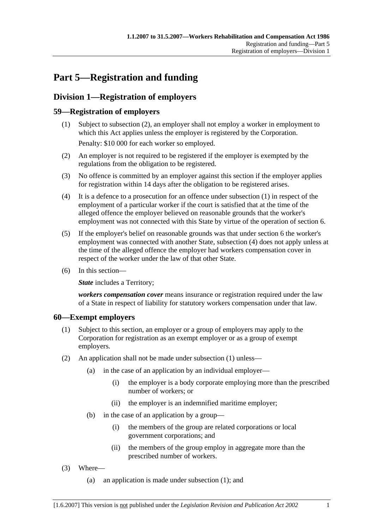# **Part 5—Registration and funding**

# **Division 1—Registration of employers**

## **59—Registration of employers**

- (1) Subject to subsection (2), an employer shall not employ a worker in employment to which this Act applies unless the employer is registered by the Corporation. Penalty: \$10 000 for each worker so employed.
- (2) An employer is not required to be registered if the employer is exempted by the regulations from the obligation to be registered.
- (3) No offence is committed by an employer against this section if the employer applies for registration within 14 days after the obligation to be registered arises.
- (4) It is a defence to a prosecution for an offence under subsection (1) in respect of the employment of a particular worker if the court is satisfied that at the time of the alleged offence the employer believed on reasonable grounds that the worker's employment was not connected with this State by virtue of the operation of section 6.
- (5) If the employer's belief on reasonable grounds was that under section 6 the worker's employment was connected with another State, subsection (4) does not apply unless at the time of the alleged offence the employer had workers compensation cover in respect of the worker under the law of that other State.
- (6) In this section—

*State* includes a Territory;

*workers compensation cover* means insurance or registration required under the law of a State in respect of liability for statutory workers compensation under that law.

### **60—Exempt employers**

- (1) Subject to this section, an employer or a group of employers may apply to the Corporation for registration as an exempt employer or as a group of exempt employers.
- (2) An application shall not be made under subsection (1) unless—
	- (a) in the case of an application by an individual employer—
		- (i) the employer is a body corporate employing more than the prescribed number of workers; or
		- (ii) the employer is an indemnified maritime employer;
	- (b) in the case of an application by a group—
		- (i) the members of the group are related corporations or local government corporations; and
		- (ii) the members of the group employ in aggregate more than the prescribed number of workers.
- (3) Where—
	- (a) an application is made under subsection (1); and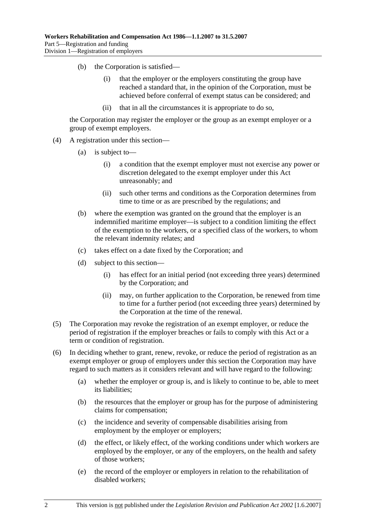- (b) the Corporation is satisfied—
	- (i) that the employer or the employers constituting the group have reached a standard that, in the opinion of the Corporation, must be achieved before conferral of exempt status can be considered; and
	- (ii) that in all the circumstances it is appropriate to do so,

the Corporation may register the employer or the group as an exempt employer or a group of exempt employers.

- (4) A registration under this section—
	- (a) is subject to—
		- (i) a condition that the exempt employer must not exercise any power or discretion delegated to the exempt employer under this Act unreasonably; and
		- (ii) such other terms and conditions as the Corporation determines from time to time or as are prescribed by the regulations; and
	- (b) where the exemption was granted on the ground that the employer is an indemnified maritime employer—is subject to a condition limiting the effect of the exemption to the workers, or a specified class of the workers, to whom the relevant indemnity relates; and
	- (c) takes effect on a date fixed by the Corporation; and
	- (d) subject to this section—
		- (i) has effect for an initial period (not exceeding three years) determined by the Corporation; and
		- (ii) may, on further application to the Corporation, be renewed from time to time for a further period (not exceeding three years) determined by the Corporation at the time of the renewal.
- (5) The Corporation may revoke the registration of an exempt employer, or reduce the period of registration if the employer breaches or fails to comply with this Act or a term or condition of registration.
- (6) In deciding whether to grant, renew, revoke, or reduce the period of registration as an exempt employer or group of employers under this section the Corporation may have regard to such matters as it considers relevant and will have regard to the following:
	- (a) whether the employer or group is, and is likely to continue to be, able to meet its liabilities;
	- (b) the resources that the employer or group has for the purpose of administering claims for compensation;
	- (c) the incidence and severity of compensable disabilities arising from employment by the employer or employers;
	- (d) the effect, or likely effect, of the working conditions under which workers are employed by the employer, or any of the employers, on the health and safety of those workers;
	- (e) the record of the employer or employers in relation to the rehabilitation of disabled workers;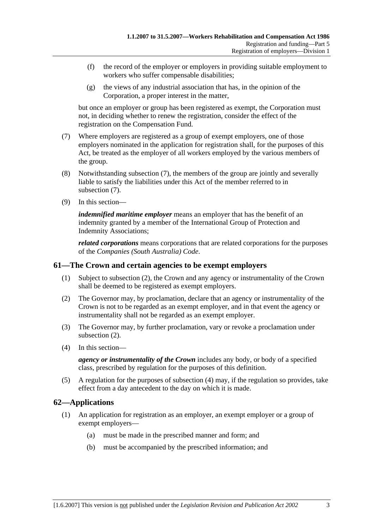- (f) the record of the employer or employers in providing suitable employment to workers who suffer compensable disabilities;
- (g) the views of any industrial association that has, in the opinion of the Corporation, a proper interest in the matter,

but once an employer or group has been registered as exempt, the Corporation must not, in deciding whether to renew the registration, consider the effect of the registration on the Compensation Fund.

- (7) Where employers are registered as a group of exempt employers, one of those employers nominated in the application for registration shall, for the purposes of this Act, be treated as the employer of all workers employed by the various members of the group.
- (8) Notwithstanding subsection (7), the members of the group are jointly and severally liable to satisfy the liabilities under this Act of the member referred to in subsection (7).
- (9) In this section—

*indemnified maritime employer* means an employer that has the benefit of an indemnity granted by a member of the International Group of Protection and Indemnity Associations;

*related corporations* means corporations that are related corporations for the purposes of the *Companies (South Australia) Code*.

### **61—The Crown and certain agencies to be exempt employers**

- (1) Subject to subsection (2), the Crown and any agency or instrumentality of the Crown shall be deemed to be registered as exempt employers.
- (2) The Governor may, by proclamation, declare that an agency or instrumentality of the Crown is not to be regarded as an exempt employer, and in that event the agency or instrumentality shall not be regarded as an exempt employer.
- (3) The Governor may, by further proclamation, vary or revoke a proclamation under subsection (2).
- (4) In this section—

*agency or instrumentality of the Crown* includes any body, or body of a specified class, prescribed by regulation for the purposes of this definition.

 (5) A regulation for the purposes of subsection (4) may, if the regulation so provides, take effect from a day antecedent to the day on which it is made.

### **62—Applications**

- (1) An application for registration as an employer, an exempt employer or a group of exempt employers—
	- (a) must be made in the prescribed manner and form; and
	- (b) must be accompanied by the prescribed information; and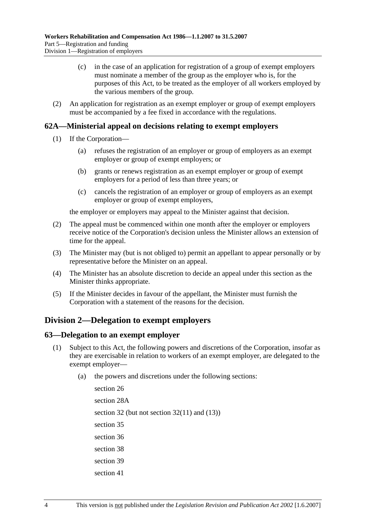- (c) in the case of an application for registration of a group of exempt employers must nominate a member of the group as the employer who is, for the purposes of this Act, to be treated as the employer of all workers employed by the various members of the group.
- (2) An application for registration as an exempt employer or group of exempt employers must be accompanied by a fee fixed in accordance with the regulations.

### **62A—Ministerial appeal on decisions relating to exempt employers**

- (1) If the Corporation—
	- (a) refuses the registration of an employer or group of employers as an exempt employer or group of exempt employers; or
	- (b) grants or renews registration as an exempt employer or group of exempt employers for a period of less than three years; or
	- (c) cancels the registration of an employer or group of employers as an exempt employer or group of exempt employers,

the employer or employers may appeal to the Minister against that decision.

- (2) The appeal must be commenced within one month after the employer or employers receive notice of the Corporation's decision unless the Minister allows an extension of time for the appeal.
- (3) The Minister may (but is not obliged to) permit an appellant to appear personally or by representative before the Minister on an appeal.
- (4) The Minister has an absolute discretion to decide an appeal under this section as the Minister thinks appropriate.
- (5) If the Minister decides in favour of the appellant, the Minister must furnish the Corporation with a statement of the reasons for the decision.

# **Division 2—Delegation to exempt employers**

### **63—Delegation to an exempt employer**

- (1) Subject to this Act, the following powers and discretions of the Corporation, insofar as they are exercisable in relation to workers of an exempt employer, are delegated to the exempt employer—
	- (a) the powers and discretions under the following sections:

section 26 section 28A section 32 (but not section  $32(11)$  and  $(13)$ ) section 35 section 36 section 38 section 39 section 41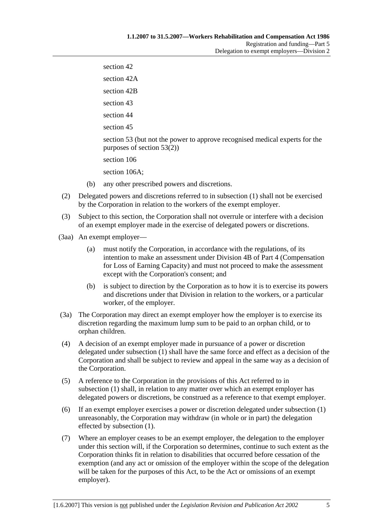section 42 section 42A section 42B section 43 section 44 section 45 section 53 (but not the power to approve recognised medical experts for the purposes of section  $53(2)$ ) section 106 section 106A;

- (b) any other prescribed powers and discretions.
- (2) Delegated powers and discretions referred to in subsection (1) shall not be exercised by the Corporation in relation to the workers of the exempt employer.
- (3) Subject to this section, the Corporation shall not overrule or interfere with a decision of an exempt employer made in the exercise of delegated powers or discretions.
- (3aa) An exempt employer—
	- (a) must notify the Corporation, in accordance with the regulations, of its intention to make an assessment under Division 4B of Part 4 (Compensation for Loss of Earning Capacity) and must not proceed to make the assessment except with the Corporation's consent; and
	- (b) is subject to direction by the Corporation as to how it is to exercise its powers and discretions under that Division in relation to the workers, or a particular worker, of the employer.
- (3a) The Corporation may direct an exempt employer how the employer is to exercise its discretion regarding the maximum lump sum to be paid to an orphan child, or to orphan children.
- (4) A decision of an exempt employer made in pursuance of a power or discretion delegated under subsection (1) shall have the same force and effect as a decision of the Corporation and shall be subject to review and appeal in the same way as a decision of the Corporation.
- (5) A reference to the Corporation in the provisions of this Act referred to in subsection (1) shall, in relation to any matter over which an exempt employer has delegated powers or discretions, be construed as a reference to that exempt employer.
- (6) If an exempt employer exercises a power or discretion delegated under subsection (1) unreasonably, the Corporation may withdraw (in whole or in part) the delegation effected by subsection (1).
- (7) Where an employer ceases to be an exempt employer, the delegation to the employer under this section will, if the Corporation so determines, continue to such extent as the Corporation thinks fit in relation to disabilities that occurred before cessation of the exemption (and any act or omission of the employer within the scope of the delegation will be taken for the purposes of this Act, to be the Act or omissions of an exempt employer).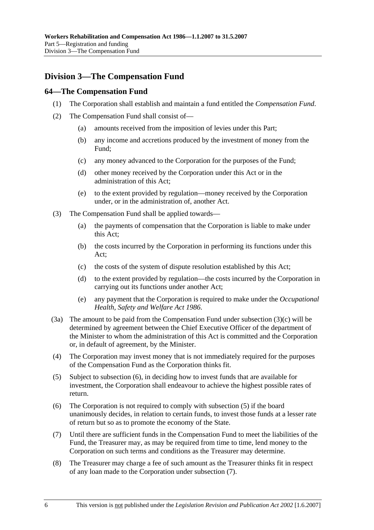# **Division 3—The Compensation Fund**

## **64—The Compensation Fund**

- (1) The Corporation shall establish and maintain a fund entitled the *Compensation Fund*.
- (2) The Compensation Fund shall consist of—
	- (a) amounts received from the imposition of levies under this Part;
	- (b) any income and accretions produced by the investment of money from the Fund;
	- (c) any money advanced to the Corporation for the purposes of the Fund;
	- (d) other money received by the Corporation under this Act or in the administration of this Act;
	- (e) to the extent provided by regulation—money received by the Corporation under, or in the administration of, another Act.
- (3) The Compensation Fund shall be applied towards—
	- (a) the payments of compensation that the Corporation is liable to make under this Act;
	- (b) the costs incurred by the Corporation in performing its functions under this Act;
	- (c) the costs of the system of dispute resolution established by this Act;
	- (d) to the extent provided by regulation—the costs incurred by the Corporation in carrying out its functions under another Act;
	- (e) any payment that the Corporation is required to make under the *Occupational Health, Safety and Welfare Act 1986*.
- (3a) The amount to be paid from the Compensation Fund under subsection (3)(c) will be determined by agreement between the Chief Executive Officer of the department of the Minister to whom the administration of this Act is committed and the Corporation or, in default of agreement, by the Minister.
- (4) The Corporation may invest money that is not immediately required for the purposes of the Compensation Fund as the Corporation thinks fit.
- (5) Subject to subsection (6), in deciding how to invest funds that are available for investment, the Corporation shall endeavour to achieve the highest possible rates of return.
- (6) The Corporation is not required to comply with subsection (5) if the board unanimously decides, in relation to certain funds, to invest those funds at a lesser rate of return but so as to promote the economy of the State.
- (7) Until there are sufficient funds in the Compensation Fund to meet the liabilities of the Fund, the Treasurer may, as may be required from time to time, lend money to the Corporation on such terms and conditions as the Treasurer may determine.
- (8) The Treasurer may charge a fee of such amount as the Treasurer thinks fit in respect of any loan made to the Corporation under subsection (7).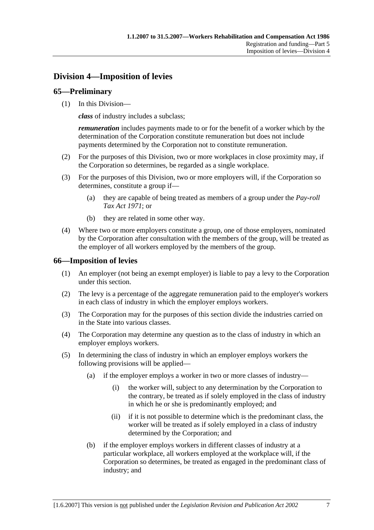# **Division 4—Imposition of levies**

## **65—Preliminary**

(1) In this Division—

*class* of industry includes a subclass;

*remuneration* includes payments made to or for the benefit of a worker which by the determination of the Corporation constitute remuneration but does not include payments determined by the Corporation not to constitute remuneration.

- (2) For the purposes of this Division, two or more workplaces in close proximity may, if the Corporation so determines, be regarded as a single workplace.
- (3) For the purposes of this Division, two or more employers will, if the Corporation so determines, constitute a group if—
	- (a) they are capable of being treated as members of a group under the *Pay-roll Tax Act 1971*; or
	- (b) they are related in some other way.
- (4) Where two or more employers constitute a group, one of those employers, nominated by the Corporation after consultation with the members of the group, will be treated as the employer of all workers employed by the members of the group.

## **66—Imposition of levies**

- (1) An employer (not being an exempt employer) is liable to pay a levy to the Corporation under this section.
- (2) The levy is a percentage of the aggregate remuneration paid to the employer's workers in each class of industry in which the employer employs workers.
- (3) The Corporation may for the purposes of this section divide the industries carried on in the State into various classes.
- (4) The Corporation may determine any question as to the class of industry in which an employer employs workers.
- (5) In determining the class of industry in which an employer employs workers the following provisions will be applied—
	- (a) if the employer employs a worker in two or more classes of industry—
		- (i) the worker will, subject to any determination by the Corporation to the contrary, be treated as if solely employed in the class of industry in which he or she is predominantly employed; and
		- (ii) if it is not possible to determine which is the predominant class, the worker will be treated as if solely employed in a class of industry determined by the Corporation; and
	- (b) if the employer employs workers in different classes of industry at a particular workplace, all workers employed at the workplace will, if the Corporation so determines, be treated as engaged in the predominant class of industry; and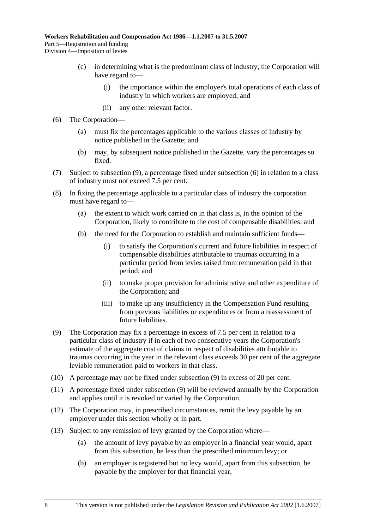- (c) in determining what is the predominant class of industry, the Corporation will have regard to—
	- (i) the importance within the employer's total operations of each class of industry in which workers are employed; and
	- (ii) any other relevant factor.
- (6) The Corporation—
	- (a) must fix the percentages applicable to the various classes of industry by notice published in the Gazette; and
	- (b) may, by subsequent notice published in the Gazette, vary the percentages so fixed.
- (7) Subject to subsection (9), a percentage fixed under subsection (6) in relation to a class of industry must not exceed 7.5 per cent.
- (8) In fixing the percentage applicable to a particular class of industry the corporation must have regard to—
	- (a) the extent to which work carried on in that class is, in the opinion of the Corporation, likely to contribute to the cost of compensable disabilities; and
	- (b) the need for the Corporation to establish and maintain sufficient funds—
		- (i) to satisfy the Corporation's current and future liabilities in respect of compensable disabilities attributable to traumas occurring in a particular period from levies raised from remuneration paid in that period; and
		- (ii) to make proper provision for administrative and other expenditure of the Corporation; and
		- (iii) to make up any insufficiency in the Compensation Fund resulting from previous liabilities or expenditures or from a reassessment of future liabilities.
- (9) The Corporation may fix a percentage in excess of 7.5 per cent in relation to a particular class of industry if in each of two consecutive years the Corporation's estimate of the aggregate cost of claims in respect of disabilities attributable to traumas occurring in the year in the relevant class exceeds 30 per cent of the aggregate leviable remuneration paid to workers in that class.
- (10) A percentage may not be fixed under subsection (9) in excess of 20 per cent.
- (11) A percentage fixed under subsection (9) will be reviewed annually by the Corporation and applies until it is revoked or varied by the Corporation.
- (12) The Corporation may, in prescribed circumstances, remit the levy payable by an employer under this section wholly or in part.
- (13) Subject to any remission of levy granted by the Corporation where—
	- (a) the amount of levy payable by an employer in a financial year would, apart from this subsection, be less than the prescribed minimum levy; or
	- (b) an employer is registered but no levy would, apart from this subsection, be payable by the employer for that financial year,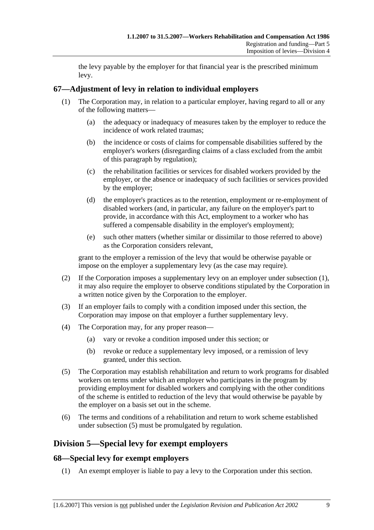the levy payable by the employer for that financial year is the prescribed minimum levy.

## **67—Adjustment of levy in relation to individual employers**

- (1) The Corporation may, in relation to a particular employer, having regard to all or any of the following matters—
	- (a) the adequacy or inadequacy of measures taken by the employer to reduce the incidence of work related traumas;
	- (b) the incidence or costs of claims for compensable disabilities suffered by the employer's workers (disregarding claims of a class excluded from the ambit of this paragraph by regulation);
	- (c) the rehabilitation facilities or services for disabled workers provided by the employer, or the absence or inadequacy of such facilities or services provided by the employer;
	- (d) the employer's practices as to the retention, employment or re-employment of disabled workers (and, in particular, any failure on the employer's part to provide, in accordance with this Act, employment to a worker who has suffered a compensable disability in the employer's employment);
	- (e) such other matters (whether similar or dissimilar to those referred to above) as the Corporation considers relevant,

grant to the employer a remission of the levy that would be otherwise payable or impose on the employer a supplementary levy (as the case may require).

- (2) If the Corporation imposes a supplementary levy on an employer under subsection (1), it may also require the employer to observe conditions stipulated by the Corporation in a written notice given by the Corporation to the employer.
- (3) If an employer fails to comply with a condition imposed under this section, the Corporation may impose on that employer a further supplementary levy.
- (4) The Corporation may, for any proper reason—
	- (a) vary or revoke a condition imposed under this section; or
	- (b) revoke or reduce a supplementary levy imposed, or a remission of levy granted, under this section.
- (5) The Corporation may establish rehabilitation and return to work programs for disabled workers on terms under which an employer who participates in the program by providing employment for disabled workers and complying with the other conditions of the scheme is entitled to reduction of the levy that would otherwise be payable by the employer on a basis set out in the scheme.
- (6) The terms and conditions of a rehabilitation and return to work scheme established under subsection (5) must be promulgated by regulation.

# **Division 5—Special levy for exempt employers**

## **68—Special levy for exempt employers**

(1) An exempt employer is liable to pay a levy to the Corporation under this section.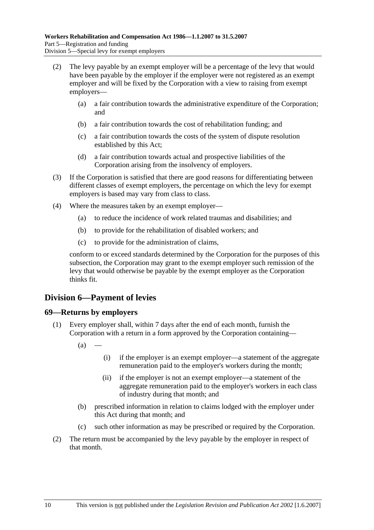- (2) The levy payable by an exempt employer will be a percentage of the levy that would have been payable by the employer if the employer were not registered as an exempt employer and will be fixed by the Corporation with a view to raising from exempt employers—
	- (a) a fair contribution towards the administrative expenditure of the Corporation; and
	- (b) a fair contribution towards the cost of rehabilitation funding; and
	- (c) a fair contribution towards the costs of the system of dispute resolution established by this Act;
	- (d) a fair contribution towards actual and prospective liabilities of the Corporation arising from the insolvency of employers.
- (3) If the Corporation is satisfied that there are good reasons for differentiating between different classes of exempt employers, the percentage on which the levy for exempt employers is based may vary from class to class.
- (4) Where the measures taken by an exempt employer—
	- (a) to reduce the incidence of work related traumas and disabilities; and
	- (b) to provide for the rehabilitation of disabled workers; and
	- (c) to provide for the administration of claims,

conform to or exceed standards determined by the Corporation for the purposes of this subsection, the Corporation may grant to the exempt employer such remission of the levy that would otherwise be payable by the exempt employer as the Corporation thinks fit.

## **Division 6—Payment of levies**

## **69—Returns by employers**

- (1) Every employer shall, within 7 days after the end of each month, furnish the Corporation with a return in a form approved by the Corporation containing—
	- $(a)$
- (i) if the employer is an exempt employer—a statement of the aggregate remuneration paid to the employer's workers during the month;
- (ii) if the employer is not an exempt employer—a statement of the aggregate remuneration paid to the employer's workers in each class of industry during that month; and
- (b) prescribed information in relation to claims lodged with the employer under this Act during that month; and
- (c) such other information as may be prescribed or required by the Corporation.
- (2) The return must be accompanied by the levy payable by the employer in respect of that month.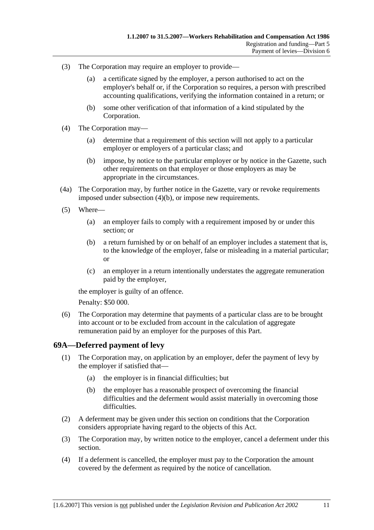- (3) The Corporation may require an employer to provide—
	- (a) a certificate signed by the employer, a person authorised to act on the employer's behalf or, if the Corporation so requires, a person with prescribed accounting qualifications, verifying the information contained in a return; or
	- (b) some other verification of that information of a kind stipulated by the Corporation.
- (4) The Corporation may—
	- (a) determine that a requirement of this section will not apply to a particular employer or employers of a particular class; and
	- (b) impose, by notice to the particular employer or by notice in the Gazette, such other requirements on that employer or those employers as may be appropriate in the circumstances.
- (4a) The Corporation may, by further notice in the Gazette, vary or revoke requirements imposed under subsection (4)(b), or impose new requirements.
- (5) Where—
	- (a) an employer fails to comply with a requirement imposed by or under this section; or
	- (b) a return furnished by or on behalf of an employer includes a statement that is, to the knowledge of the employer, false or misleading in a material particular; or
	- (c) an employer in a return intentionally understates the aggregate remuneration paid by the employer,

the employer is guilty of an offence.

Penalty: \$50 000.

 (6) The Corporation may determine that payments of a particular class are to be brought into account or to be excluded from account in the calculation of aggregate remuneration paid by an employer for the purposes of this Part.

#### **69A—Deferred payment of levy**

- (1) The Corporation may, on application by an employer, defer the payment of levy by the employer if satisfied that—
	- (a) the employer is in financial difficulties; but
	- (b) the employer has a reasonable prospect of overcoming the financial difficulties and the deferment would assist materially in overcoming those difficulties.
- (2) A deferment may be given under this section on conditions that the Corporation considers appropriate having regard to the objects of this Act.
- (3) The Corporation may, by written notice to the employer, cancel a deferment under this section.
- (4) If a deferment is cancelled, the employer must pay to the Corporation the amount covered by the deferment as required by the notice of cancellation.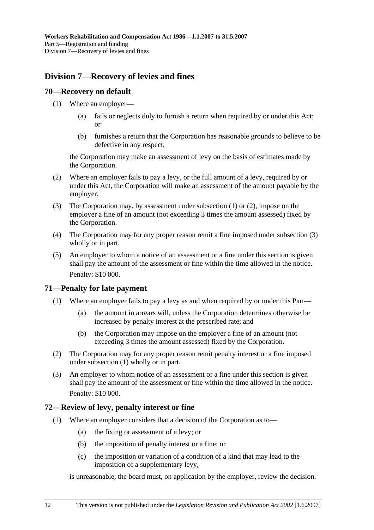# **Division 7—Recovery of levies and fines**

## **70—Recovery on default**

- (1) Where an employer—
	- (a) fails or neglects duly to furnish a return when required by or under this Act; or
	- (b) furnishes a return that the Corporation has reasonable grounds to believe to be defective in any respect,

the Corporation may make an assessment of levy on the basis of estimates made by the Corporation.

- (2) Where an employer fails to pay a levy, or the full amount of a levy, required by or under this Act, the Corporation will make an assessment of the amount payable by the employer.
- (3) The Corporation may, by assessment under subsection (1) or (2), impose on the employer a fine of an amount (not exceeding 3 times the amount assessed) fixed by the Corporation.
- (4) The Corporation may for any proper reason remit a fine imposed under subsection (3) wholly or in part.
- (5) An employer to whom a notice of an assessment or a fine under this section is given shall pay the amount of the assessment or fine within the time allowed in the notice. Penalty: \$10 000.

## **71—Penalty for late payment**

- (1) Where an employer fails to pay a levy as and when required by or under this Part—
	- (a) the amount in arrears will, unless the Corporation determines otherwise be increased by penalty interest at the prescribed rate; and
	- (b) the Corporation may impose on the employer a fine of an amount (not exceeding 3 times the amount assessed) fixed by the Corporation.
- (2) The Corporation may for any proper reason remit penalty interest or a fine imposed under subsection (1) wholly or in part.
- (3) An employer to whom notice of an assessment or a fine under this section is given shall pay the amount of the assessment or fine within the time allowed in the notice. Penalty: \$10 000.

## **72—Review of levy, penalty interest or fine**

- (1) Where an employer considers that a decision of the Corporation as to—
	- (a) the fixing or assessment of a levy; or
	- (b) the imposition of penalty interest or a fine; or
	- (c) the imposition or variation of a condition of a kind that may lead to the imposition of a supplementary levy,

is unreasonable, the board must, on application by the employer, review the decision.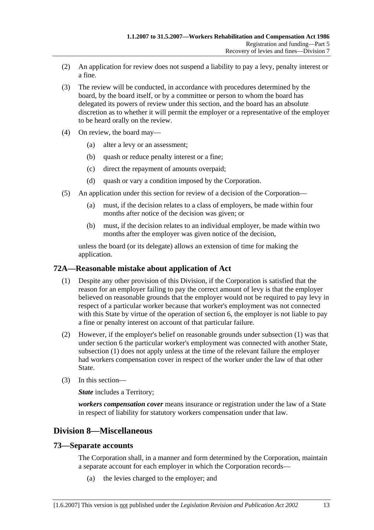- (2) An application for review does not suspend a liability to pay a levy, penalty interest or a fine.
- (3) The review will be conducted, in accordance with procedures determined by the board, by the board itself, or by a committee or person to whom the board has delegated its powers of review under this section, and the board has an absolute discretion as to whether it will permit the employer or a representative of the employer to be heard orally on the review.
- (4) On review, the board may—
	- (a) alter a levy or an assessment;
	- (b) quash or reduce penalty interest or a fine;
	- (c) direct the repayment of amounts overpaid;
	- (d) quash or vary a condition imposed by the Corporation.
- (5) An application under this section for review of a decision of the Corporation—
	- (a) must, if the decision relates to a class of employers, be made within four months after notice of the decision was given; or
	- (b) must, if the decision relates to an individual employer, be made within two months after the employer was given notice of the decision,

unless the board (or its delegate) allows an extension of time for making the application.

## **72A—Reasonable mistake about application of Act**

- (1) Despite any other provision of this Division, if the Corporation is satisfied that the reason for an employer failing to pay the correct amount of levy is that the employer believed on reasonable grounds that the employer would not be required to pay levy in respect of a particular worker because that worker's employment was not connected with this State by virtue of the operation of section 6, the employer is not liable to pay a fine or penalty interest on account of that particular failure.
- (2) However, if the employer's belief on reasonable grounds under subsection (1) was that under section 6 the particular worker's employment was connected with another State, subsection (1) does not apply unless at the time of the relevant failure the employer had workers compensation cover in respect of the worker under the law of that other State.
- (3) In this section—

*State* includes a Territory;

*workers compensation cover* means insurance or registration under the law of a State in respect of liability for statutory workers compensation under that law.

# **Division 8—Miscellaneous**

## **73—Separate accounts**

The Corporation shall, in a manner and form determined by the Corporation, maintain a separate account for each employer in which the Corporation records—

(a) the levies charged to the employer; and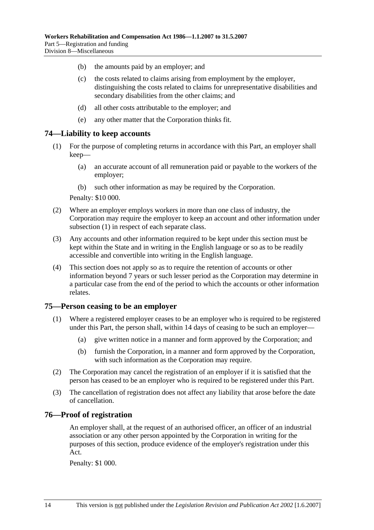- (b) the amounts paid by an employer; and
- (c) the costs related to claims arising from employment by the employer, distinguishing the costs related to claims for unrepresentative disabilities and secondary disabilities from the other claims; and
- (d) all other costs attributable to the employer; and
- (e) any other matter that the Corporation thinks fit.

## **74—Liability to keep accounts**

- (1) For the purpose of completing returns in accordance with this Part, an employer shall keep—
	- (a) an accurate account of all remuneration paid or payable to the workers of the employer;
	- (b) such other information as may be required by the Corporation.

Penalty: \$10 000.

- (2) Where an employer employs workers in more than one class of industry, the Corporation may require the employer to keep an account and other information under subsection (1) in respect of each separate class.
- (3) Any accounts and other information required to be kept under this section must be kept within the State and in writing in the English language or so as to be readily accessible and convertible into writing in the English language.
- (4) This section does not apply so as to require the retention of accounts or other information beyond 7 years or such lesser period as the Corporation may determine in a particular case from the end of the period to which the accounts or other information relates.

#### **75—Person ceasing to be an employer**

- (1) Where a registered employer ceases to be an employer who is required to be registered under this Part, the person shall, within 14 days of ceasing to be such an employer—
	- (a) give written notice in a manner and form approved by the Corporation; and
	- (b) furnish the Corporation, in a manner and form approved by the Corporation, with such information as the Corporation may require.
- (2) The Corporation may cancel the registration of an employer if it is satisfied that the person has ceased to be an employer who is required to be registered under this Part.
- (3) The cancellation of registration does not affect any liability that arose before the date of cancellation.

#### **76—Proof of registration**

An employer shall, at the request of an authorised officer, an officer of an industrial association or any other person appointed by the Corporation in writing for the purposes of this section, produce evidence of the employer's registration under this Act.

Penalty: \$1 000.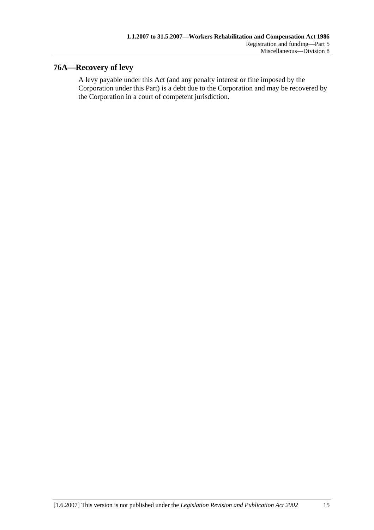# **76A—Recovery of levy**

A levy payable under this Act (and any penalty interest or fine imposed by the Corporation under this Part) is a debt due to the Corporation and may be recovered by the Corporation in a court of competent jurisdiction.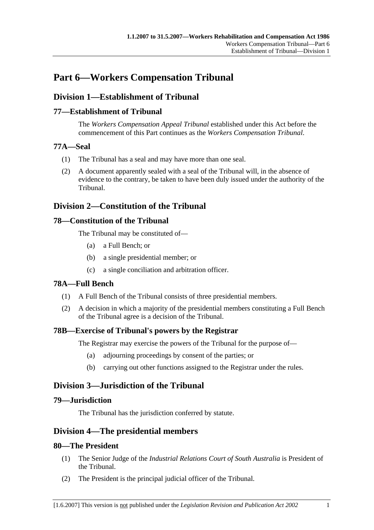# **Part 6—Workers Compensation Tribunal**

# **Division 1—Establishment of Tribunal**

## **77—Establishment of Tribunal**

The *Workers Compensation Appeal Tribunal* established under this Act before the commencement of this Part continues as the *Workers Compensation Tribunal*.

## **77A—Seal**

- (1) The Tribunal has a seal and may have more than one seal.
- (2) A document apparently sealed with a seal of the Tribunal will, in the absence of evidence to the contrary, be taken to have been duly issued under the authority of the Tribunal.

## **Division 2—Constitution of the Tribunal**

## **78—Constitution of the Tribunal**

The Tribunal may be constituted of—

- (a) a Full Bench; or
- (b) a single presidential member; or
- (c) a single conciliation and arbitration officer.

## **78A—Full Bench**

- (1) A Full Bench of the Tribunal consists of three presidential members.
- (2) A decision in which a majority of the presidential members constituting a Full Bench of the Tribunal agree is a decision of the Tribunal.

## **78B—Exercise of Tribunal's powers by the Registrar**

The Registrar may exercise the powers of the Tribunal for the purpose of—

- (a) adjourning proceedings by consent of the parties; or
- (b) carrying out other functions assigned to the Registrar under the rules.

# **Division 3—Jurisdiction of the Tribunal**

## **79—Jurisdiction**

The Tribunal has the jurisdiction conferred by statute.

## **Division 4—The presidential members**

## **80—The President**

- (1) The Senior Judge of the *Industrial Relations Court of South Australia* is President of the Tribunal.
- (2) The President is the principal judicial officer of the Tribunal.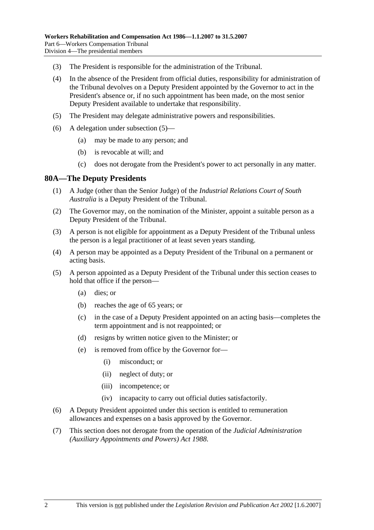- (3) The President is responsible for the administration of the Tribunal.
- (4) In the absence of the President from official duties, responsibility for administration of the Tribunal devolves on a Deputy President appointed by the Governor to act in the President's absence or, if no such appointment has been made, on the most senior Deputy President available to undertake that responsibility.
- (5) The President may delegate administrative powers and responsibilities.
- (6) A delegation under subsection (5)—
	- (a) may be made to any person; and
	- (b) is revocable at will; and
	- (c) does not derogate from the President's power to act personally in any matter.

## **80A—The Deputy Presidents**

- (1) A Judge (other than the Senior Judge) of the *Industrial Relations Court of South Australia* is a Deputy President of the Tribunal.
- (2) The Governor may, on the nomination of the Minister, appoint a suitable person as a Deputy President of the Tribunal.
- (3) A person is not eligible for appointment as a Deputy President of the Tribunal unless the person is a legal practitioner of at least seven years standing.
- (4) A person may be appointed as a Deputy President of the Tribunal on a permanent or acting basis.
- (5) A person appointed as a Deputy President of the Tribunal under this section ceases to hold that office if the person—
	- (a) dies; or
	- (b) reaches the age of 65 years; or
	- (c) in the case of a Deputy President appointed on an acting basis—completes the term appointment and is not reappointed; or
	- (d) resigns by written notice given to the Minister; or
	- (e) is removed from office by the Governor for—
		- (i) misconduct; or
		- (ii) neglect of duty; or
		- (iii) incompetence; or
		- (iv) incapacity to carry out official duties satisfactorily.
- (6) A Deputy President appointed under this section is entitled to remuneration allowances and expenses on a basis approved by the Governor.
- (7) This section does not derogate from the operation of the *Judicial Administration (Auxiliary Appointments and Powers) Act 1988*.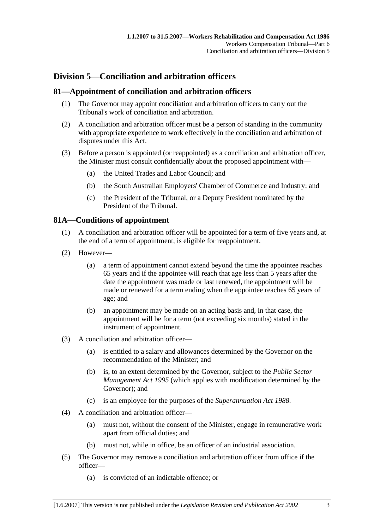# **Division 5—Conciliation and arbitration officers**

## **81—Appointment of conciliation and arbitration officers**

- (1) The Governor may appoint conciliation and arbitration officers to carry out the Tribunal's work of conciliation and arbitration.
- (2) A conciliation and arbitration officer must be a person of standing in the community with appropriate experience to work effectively in the conciliation and arbitration of disputes under this Act.
- (3) Before a person is appointed (or reappointed) as a conciliation and arbitration officer, the Minister must consult confidentially about the proposed appointment with—
	- (a) the United Trades and Labor Council; and
	- (b) the South Australian Employers' Chamber of Commerce and Industry; and
	- (c) the President of the Tribunal, or a Deputy President nominated by the President of the Tribunal.

## **81A—Conditions of appointment**

- (1) A conciliation and arbitration officer will be appointed for a term of five years and, at the end of a term of appointment, is eligible for reappointment.
- (2) However—
	- (a) a term of appointment cannot extend beyond the time the appointee reaches 65 years and if the appointee will reach that age less than 5 years after the date the appointment was made or last renewed, the appointment will be made or renewed for a term ending when the appointee reaches 65 years of age; and
	- (b) an appointment may be made on an acting basis and, in that case, the appointment will be for a term (not exceeding six months) stated in the instrument of appointment.
- (3) A conciliation and arbitration officer—
	- (a) is entitled to a salary and allowances determined by the Governor on the recommendation of the Minister; and
	- (b) is, to an extent determined by the Governor, subject to the *Public Sector Management Act 1995* (which applies with modification determined by the Governor); and
	- (c) is an employee for the purposes of the *Superannuation Act 1988*.
- (4) A conciliation and arbitration officer—
	- (a) must not, without the consent of the Minister, engage in remunerative work apart from official duties; and
	- (b) must not, while in office, be an officer of an industrial association.
- (5) The Governor may remove a conciliation and arbitration officer from office if the officer—
	- (a) is convicted of an indictable offence; or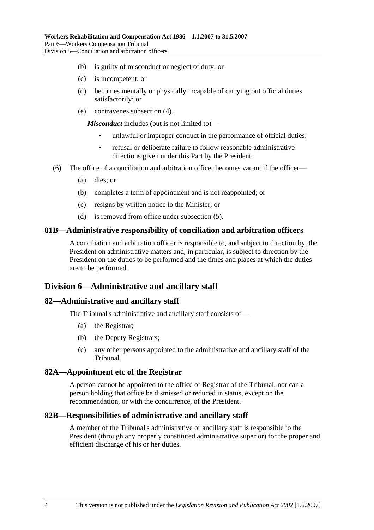- (b) is guilty of misconduct or neglect of duty; or
- (c) is incompetent; or
- (d) becomes mentally or physically incapable of carrying out official duties satisfactorily; or
- (e) contravenes subsection (4).

*Misconduct* includes (but is not limited to)—

- unlawful or improper conduct in the performance of official duties:
- refusal or deliberate failure to follow reasonable administrative directions given under this Part by the President.
- (6) The office of a conciliation and arbitration officer becomes vacant if the officer—
	- (a) dies; or
	- (b) completes a term of appointment and is not reappointed; or
	- (c) resigns by written notice to the Minister; or
	- (d) is removed from office under subsection (5).

#### **81B—Administrative responsibility of conciliation and arbitration officers**

A conciliation and arbitration officer is responsible to, and subject to direction by, the President on administrative matters and, in particular, is subject to direction by the President on the duties to be performed and the times and places at which the duties are to be performed.

## **Division 6—Administrative and ancillary staff**

## **82—Administrative and ancillary staff**

The Tribunal's administrative and ancillary staff consists of—

- (a) the Registrar;
- (b) the Deputy Registrars;
- (c) any other persons appointed to the administrative and ancillary staff of the Tribunal.

## **82A—Appointment etc of the Registrar**

A person cannot be appointed to the office of Registrar of the Tribunal, nor can a person holding that office be dismissed or reduced in status, except on the recommendation, or with the concurrence, of the President.

#### **82B—Responsibilities of administrative and ancillary staff**

A member of the Tribunal's administrative or ancillary staff is responsible to the President (through any properly constituted administrative superior) for the proper and efficient discharge of his or her duties.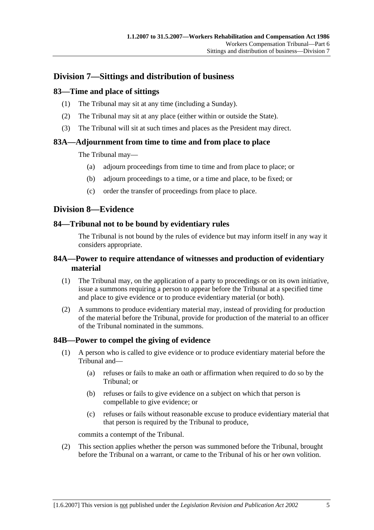# **Division 7—Sittings and distribution of business**

## **83—Time and place of sittings**

- (1) The Tribunal may sit at any time (including a Sunday).
- (2) The Tribunal may sit at any place (either within or outside the State).
- (3) The Tribunal will sit at such times and places as the President may direct.

## **83A—Adjournment from time to time and from place to place**

The Tribunal may—

- (a) adjourn proceedings from time to time and from place to place; or
- (b) adjourn proceedings to a time, or a time and place, to be fixed; or
- (c) order the transfer of proceedings from place to place.

## **Division 8—Evidence**

## **84—Tribunal not to be bound by evidentiary rules**

The Tribunal is not bound by the rules of evidence but may inform itself in any way it considers appropriate.

## **84A—Power to require attendance of witnesses and production of evidentiary material**

- (1) The Tribunal may, on the application of a party to proceedings or on its own initiative, issue a summons requiring a person to appear before the Tribunal at a specified time and place to give evidence or to produce evidentiary material (or both).
- (2) A summons to produce evidentiary material may, instead of providing for production of the material before the Tribunal, provide for production of the material to an officer of the Tribunal nominated in the summons.

## **84B—Power to compel the giving of evidence**

- (1) A person who is called to give evidence or to produce evidentiary material before the Tribunal and—
	- (a) refuses or fails to make an oath or affirmation when required to do so by the Tribunal; or
	- (b) refuses or fails to give evidence on a subject on which that person is compellable to give evidence; or
	- (c) refuses or fails without reasonable excuse to produce evidentiary material that that person is required by the Tribunal to produce,

commits a contempt of the Tribunal.

 (2) This section applies whether the person was summoned before the Tribunal, brought before the Tribunal on a warrant, or came to the Tribunal of his or her own volition.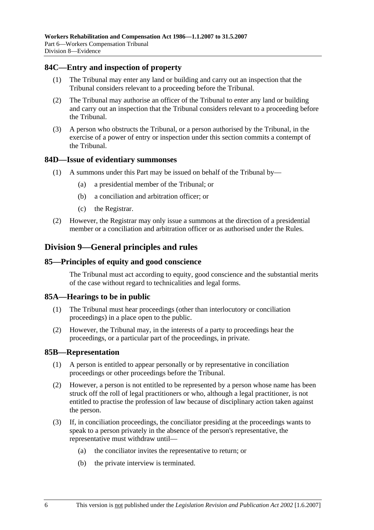## **84C—Entry and inspection of property**

- (1) The Tribunal may enter any land or building and carry out an inspection that the Tribunal considers relevant to a proceeding before the Tribunal.
- (2) The Tribunal may authorise an officer of the Tribunal to enter any land or building and carry out an inspection that the Tribunal considers relevant to a proceeding before the Tribunal.
- (3) A person who obstructs the Tribunal, or a person authorised by the Tribunal, in the exercise of a power of entry or inspection under this section commits a contempt of the Tribunal.

#### **84D—Issue of evidentiary summonses**

- (1) A summons under this Part may be issued on behalf of the Tribunal by—
	- (a) a presidential member of the Tribunal; or
	- (b) a conciliation and arbitration officer; or
	- (c) the Registrar.
- (2) However, the Registrar may only issue a summons at the direction of a presidential member or a conciliation and arbitration officer or as authorised under the Rules.

## **Division 9—General principles and rules**

#### **85—Principles of equity and good conscience**

The Tribunal must act according to equity, good conscience and the substantial merits of the case without regard to technicalities and legal forms.

#### **85A—Hearings to be in public**

- (1) The Tribunal must hear proceedings (other than interlocutory or conciliation proceedings) in a place open to the public.
- (2) However, the Tribunal may, in the interests of a party to proceedings hear the proceedings, or a particular part of the proceedings, in private.

#### **85B—Representation**

- (1) A person is entitled to appear personally or by representative in conciliation proceedings or other proceedings before the Tribunal.
- (2) However, a person is not entitled to be represented by a person whose name has been struck off the roll of legal practitioners or who, although a legal practitioner, is not entitled to practise the profession of law because of disciplinary action taken against the person.
- (3) If, in conciliation proceedings, the conciliator presiding at the proceedings wants to speak to a person privately in the absence of the person's representative, the representative must withdraw until—
	- (a) the conciliator invites the representative to return; or
	- (b) the private interview is terminated.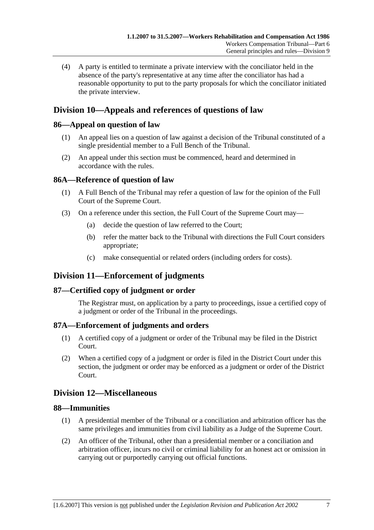(4) A party is entitled to terminate a private interview with the conciliator held in the absence of the party's representative at any time after the conciliator has had a reasonable opportunity to put to the party proposals for which the conciliator initiated the private interview.

# **Division 10—Appeals and references of questions of law**

## **86—Appeal on question of law**

- (1) An appeal lies on a question of law against a decision of the Tribunal constituted of a single presidential member to a Full Bench of the Tribunal.
- (2) An appeal under this section must be commenced, heard and determined in accordance with the rules.

## **86A—Reference of question of law**

- (1) A Full Bench of the Tribunal may refer a question of law for the opinion of the Full Court of the Supreme Court.
- (3) On a reference under this section, the Full Court of the Supreme Court may—
	- (a) decide the question of law referred to the Court;
	- (b) refer the matter back to the Tribunal with directions the Full Court considers appropriate;
	- (c) make consequential or related orders (including orders for costs).

## **Division 11—Enforcement of judgments**

## **87—Certified copy of judgment or order**

The Registrar must, on application by a party to proceedings, issue a certified copy of a judgment or order of the Tribunal in the proceedings.

## **87A—Enforcement of judgments and orders**

- (1) A certified copy of a judgment or order of the Tribunal may be filed in the District Court.
- (2) When a certified copy of a judgment or order is filed in the District Court under this section, the judgment or order may be enforced as a judgment or order of the District Court.

## **Division 12—Miscellaneous**

## **88—Immunities**

- (1) A presidential member of the Tribunal or a conciliation and arbitration officer has the same privileges and immunities from civil liability as a Judge of the Supreme Court.
- (2) An officer of the Tribunal, other than a presidential member or a conciliation and arbitration officer, incurs no civil or criminal liability for an honest act or omission in carrying out or purportedly carrying out official functions.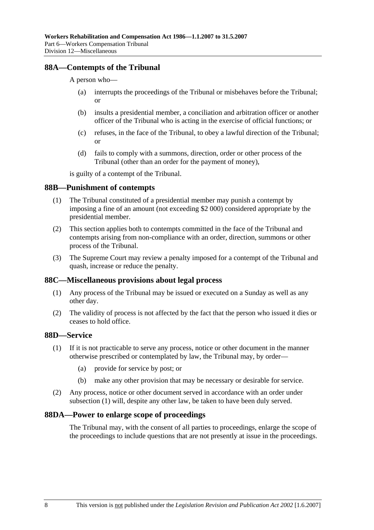## **88A—Contempts of the Tribunal**

#### A person who—

- (a) interrupts the proceedings of the Tribunal or misbehaves before the Tribunal; or
- (b) insults a presidential member, a conciliation and arbitration officer or another officer of the Tribunal who is acting in the exercise of official functions; or
- (c) refuses, in the face of the Tribunal, to obey a lawful direction of the Tribunal; or
- (d) fails to comply with a summons, direction, order or other process of the Tribunal (other than an order for the payment of money),

is guilty of a contempt of the Tribunal.

#### **88B—Punishment of contempts**

- (1) The Tribunal constituted of a presidential member may punish a contempt by imposing a fine of an amount (not exceeding \$2 000) considered appropriate by the presidential member.
- (2) This section applies both to contempts committed in the face of the Tribunal and contempts arising from non-compliance with an order, direction, summons or other process of the Tribunal.
- (3) The Supreme Court may review a penalty imposed for a contempt of the Tribunal and quash, increase or reduce the penalty.

#### **88C—Miscellaneous provisions about legal process**

- (1) Any process of the Tribunal may be issued or executed on a Sunday as well as any other day.
- (2) The validity of process is not affected by the fact that the person who issued it dies or ceases to hold office.

## **88D—Service**

- (1) If it is not practicable to serve any process, notice or other document in the manner otherwise prescribed or contemplated by law, the Tribunal may, by order—
	- (a) provide for service by post; or
	- (b) make any other provision that may be necessary or desirable for service.
- (2) Any process, notice or other document served in accordance with an order under subsection (1) will, despite any other law, be taken to have been duly served.

#### **88DA—Power to enlarge scope of proceedings**

The Tribunal may, with the consent of all parties to proceedings, enlarge the scope of the proceedings to include questions that are not presently at issue in the proceedings.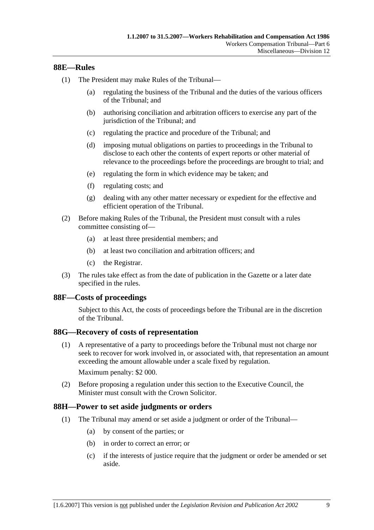## **88E—Rules**

- (1) The President may make Rules of the Tribunal—
	- (a) regulating the business of the Tribunal and the duties of the various officers of the Tribunal; and
	- (b) authorising conciliation and arbitration officers to exercise any part of the jurisdiction of the Tribunal; and
	- (c) regulating the practice and procedure of the Tribunal; and
	- (d) imposing mutual obligations on parties to proceedings in the Tribunal to disclose to each other the contents of expert reports or other material of relevance to the proceedings before the proceedings are brought to trial; and
	- (e) regulating the form in which evidence may be taken; and
	- (f) regulating costs; and
	- (g) dealing with any other matter necessary or expedient for the effective and efficient operation of the Tribunal.
- (2) Before making Rules of the Tribunal, the President must consult with a rules committee consisting of—
	- (a) at least three presidential members; and
	- (b) at least two conciliation and arbitration officers; and
	- (c) the Registrar.
- (3) The rules take effect as from the date of publication in the Gazette or a later date specified in the rules.

#### **88F—Costs of proceedings**

Subject to this Act, the costs of proceedings before the Tribunal are in the discretion of the Tribunal.

#### **88G—Recovery of costs of representation**

 (1) A representative of a party to proceedings before the Tribunal must not charge nor seek to recover for work involved in, or associated with, that representation an amount exceeding the amount allowable under a scale fixed by regulation.

Maximum penalty: \$2 000.

 (2) Before proposing a regulation under this section to the Executive Council, the Minister must consult with the Crown Solicitor.

#### **88H—Power to set aside judgments or orders**

- (1) The Tribunal may amend or set aside a judgment or order of the Tribunal—
	- (a) by consent of the parties; or
	- (b) in order to correct an error; or
	- (c) if the interests of justice require that the judgment or order be amended or set aside.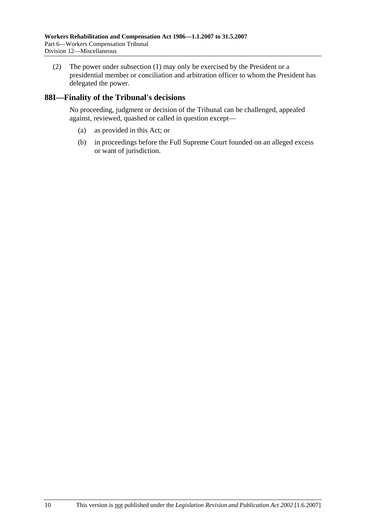(2) The power under subsection (1) may only be exercised by the President or a presidential member or conciliation and arbitration officer to whom the President has delegated the power.

## **88I—Finality of the Tribunal's decisions**

No proceeding, judgment or decision of the Tribunal can be challenged, appealed against, reviewed, quashed or called in question except—

- (a) as provided in this Act; or
- (b) in proceedings before the Full Supreme Court founded on an alleged excess or want of jurisdiction.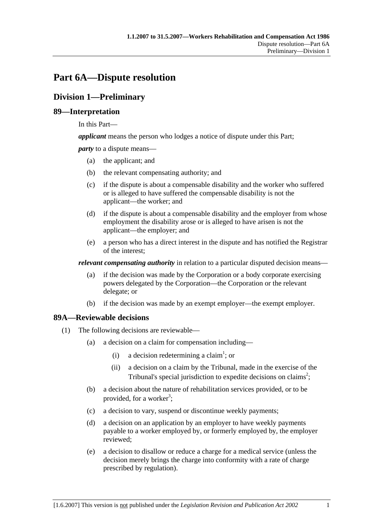# **Part 6A—Dispute resolution**

# **Division 1—Preliminary**

## **89—Interpretation**

In this Part—

*applicant* means the person who lodges a notice of dispute under this Part;

*party* to a dispute means—

- (a) the applicant; and
- (b) the relevant compensating authority; and
- (c) if the dispute is about a compensable disability and the worker who suffered or is alleged to have suffered the compensable disability is not the applicant—the worker; and
- (d) if the dispute is about a compensable disability and the employer from whose employment the disability arose or is alleged to have arisen is not the applicant—the employer; and
- (e) a person who has a direct interest in the dispute and has notified the Registrar of the interest;

*relevant compensating authority* in relation to a particular disputed decision means—

- (a) if the decision was made by the Corporation or a body corporate exercising powers delegated by the Corporation—the Corporation or the relevant delegate; or
- (b) if the decision was made by an exempt employer—the exempt employer.

## **89A—Reviewable decisions**

- (1) The following decisions are reviewable—
	- (a) a decision on a claim for compensation including—
		- (i) a decision redetermining a claim<sup>1</sup>; or
			- (ii) a decision on a claim by the Tribunal, made in the exercise of the Tribunal's special jurisdiction to expedite decisions on claims<sup>2</sup>;
	- (b) a decision about the nature of rehabilitation services provided, or to be provided, for a worker<sup>3</sup>;
	- (c) a decision to vary, suspend or discontinue weekly payments;
	- (d) a decision on an application by an employer to have weekly payments payable to a worker employed by, or formerly employed by, the employer reviewed;
	- (e) a decision to disallow or reduce a charge for a medical service (unless the decision merely brings the charge into conformity with a rate of charge prescribed by regulation).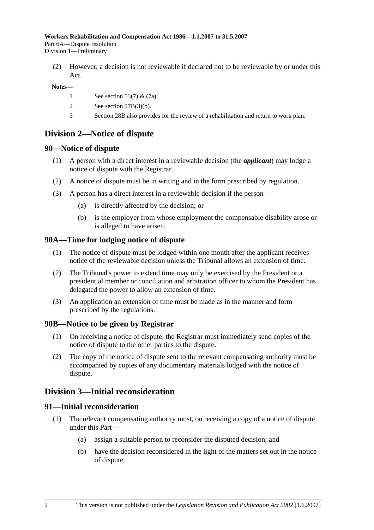(2) However, a decision is not reviewable if declared not to be reviewable by or under this Act.

#### **Notes—**

- 1 See section 53(7) & (7a).
- 2 See section 97B(3)(b).
- 3 Section 28B also provides for the review of a rehabilitation and return to work plan.

## **Division 2—Notice of dispute**

## **90—Notice of dispute**

- (1) A person with a direct interest in a reviewable decision (the *applicant*) may lodge a notice of dispute with the Registrar.
- (2) A notice of dispute must be in writing and in the form prescribed by regulation.
- (3) A person has a direct interest in a reviewable decision if the person—
	- (a) is directly affected by the decision; or
	- (b) is the employer from whose employment the compensable disability arose or is alleged to have arisen.

## **90A—Time for lodging notice of dispute**

- (1) The notice of dispute must be lodged within one month after the applicant receives notice of the reviewable decision unless the Tribunal allows an extension of time.
- (2) The Tribunal's power to extend time may only be exercised by the President or a presidential member or conciliation and arbitration officer to whom the President has delegated the power to allow an extension of time.
- (3) An application an extension of time must be made as in the manner and form prescribed by the regulations.

#### **90B—Notice to be given by Registrar**

- (1) On receiving a notice of dispute, the Registrar must immediately send copies of the notice of dispute to the other parties to the dispute.
- (2) The copy of the notice of dispute sent to the relevant compensating authority must be accompanied by copies of any documentary materials lodged with the notice of dispute.

## **Division 3—Initial reconsideration**

## **91—Initial reconsideration**

- (1) The relevant compensating authority must, on receiving a copy of a notice of dispute under this Part—
	- (a) assign a suitable person to reconsider the disputed decision; and
	- (b) have the decision reconsidered in the light of the matters set out in the notice of dispute.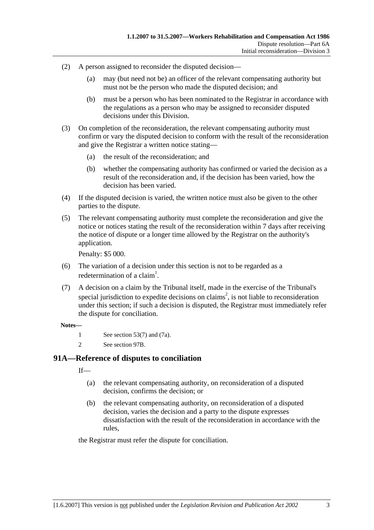- (2) A person assigned to reconsider the disputed decision—
	- (a) may (but need not be) an officer of the relevant compensating authority but must not be the person who made the disputed decision; and
	- (b) must be a person who has been nominated to the Registrar in accordance with the regulations as a person who may be assigned to reconsider disputed decisions under this Division.
- (3) On completion of the reconsideration, the relevant compensating authority must confirm or vary the disputed decision to conform with the result of the reconsideration and give the Registrar a written notice stating—
	- (a) the result of the reconsideration; and
	- (b) whether the compensating authority has confirmed or varied the decision as a result of the reconsideration and, if the decision has been varied, how the decision has been varied.
- (4) If the disputed decision is varied, the written notice must also be given to the other parties to the dispute.
- (5) The relevant compensating authority must complete the reconsideration and give the notice or notices stating the result of the reconsideration within 7 days after receiving the notice of dispute or a longer time allowed by the Registrar on the authority's application.

Penalty: \$5 000.

- (6) The variation of a decision under this section is not to be regarded as a redetermination of a claim<sup>1</sup>.
- (7) A decision on a claim by the Tribunal itself, made in the exercise of the Tribunal's special jurisdiction to expedite decisions on claims<sup>2</sup>, is not liable to reconsideration under this section; if such a decision is disputed, the Registrar must immediately refer the dispute for conciliation.

#### **Notes—**

- 1 See section 53(7) and (7a).
- 2 See section 97B.

## **91A—Reference of disputes to conciliation**

 $If$ <sub>—</sub>

- (a) the relevant compensating authority, on reconsideration of a disputed decision, confirms the decision; or
- (b) the relevant compensating authority, on reconsideration of a disputed decision, varies the decision and a party to the dispute expresses dissatisfaction with the result of the reconsideration in accordance with the rules,

the Registrar must refer the dispute for conciliation.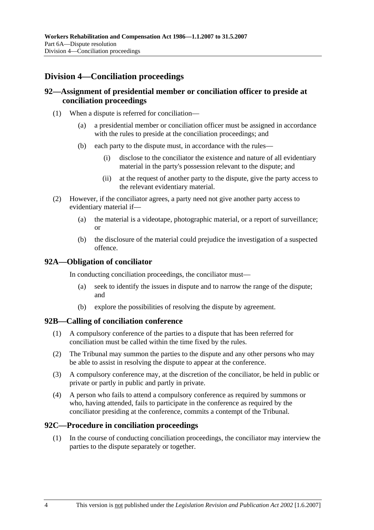# **Division 4—Conciliation proceedings**

## **92—Assignment of presidential member or conciliation officer to preside at conciliation proceedings**

- (1) When a dispute is referred for conciliation—
	- (a) a presidential member or conciliation officer must be assigned in accordance with the rules to preside at the conciliation proceedings; and
	- (b) each party to the dispute must, in accordance with the rules—
		- (i) disclose to the conciliator the existence and nature of all evidentiary material in the party's possession relevant to the dispute; and
		- (ii) at the request of another party to the dispute, give the party access to the relevant evidentiary material.
- (2) However, if the conciliator agrees, a party need not give another party access to evidentiary material if—
	- (a) the material is a videotape, photographic material, or a report of surveillance; or
	- (b) the disclosure of the material could prejudice the investigation of a suspected offence.

## **92A—Obligation of conciliator**

In conducting conciliation proceedings, the conciliator must—

- (a) seek to identify the issues in dispute and to narrow the range of the dispute; and
- (b) explore the possibilities of resolving the dispute by agreement.

#### **92B—Calling of conciliation conference**

- (1) A compulsory conference of the parties to a dispute that has been referred for conciliation must be called within the time fixed by the rules.
- (2) The Tribunal may summon the parties to the dispute and any other persons who may be able to assist in resolving the dispute to appear at the conference.
- (3) A compulsory conference may, at the discretion of the conciliator, be held in public or private or partly in public and partly in private.
- (4) A person who fails to attend a compulsory conference as required by summons or who, having attended, fails to participate in the conference as required by the conciliator presiding at the conference, commits a contempt of the Tribunal.

#### **92C—Procedure in conciliation proceedings**

 (1) In the course of conducting conciliation proceedings, the conciliator may interview the parties to the dispute separately or together.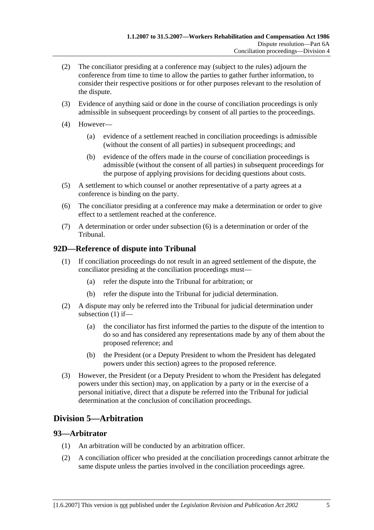- (2) The conciliator presiding at a conference may (subject to the rules) adjourn the conference from time to time to allow the parties to gather further information, to consider their respective positions or for other purposes relevant to the resolution of the dispute.
- (3) Evidence of anything said or done in the course of conciliation proceedings is only admissible in subsequent proceedings by consent of all parties to the proceedings.
- (4) However—
	- (a) evidence of a settlement reached in conciliation proceedings is admissible (without the consent of all parties) in subsequent proceedings; and
	- (b) evidence of the offers made in the course of conciliation proceedings is admissible (without the consent of all parties) in subsequent proceedings for the purpose of applying provisions for deciding questions about costs.
- (5) A settlement to which counsel or another representative of a party agrees at a conference is binding on the party.
- (6) The conciliator presiding at a conference may make a determination or order to give effect to a settlement reached at the conference.
- (7) A determination or order under subsection (6) is a determination or order of the Tribunal.

## **92D—Reference of dispute into Tribunal**

- (1) If conciliation proceedings do not result in an agreed settlement of the dispute, the conciliator presiding at the conciliation proceedings must—
	- (a) refer the dispute into the Tribunal for arbitration; or
	- (b) refer the dispute into the Tribunal for judicial determination.
- (2) A dispute may only be referred into the Tribunal for judicial determination under subsection (1) if—
	- (a) the conciliator has first informed the parties to the dispute of the intention to do so and has considered any representations made by any of them about the proposed reference; and
	- (b) the President (or a Deputy President to whom the President has delegated powers under this section) agrees to the proposed reference.
- (3) However, the President (or a Deputy President to whom the President has delegated powers under this section) may, on application by a party or in the exercise of a personal initiative, direct that a dispute be referred into the Tribunal for judicial determination at the conclusion of conciliation proceedings.

# **Division 5—Arbitration**

#### **93—Arbitrator**

- (1) An arbitration will be conducted by an arbitration officer.
- (2) A conciliation officer who presided at the conciliation proceedings cannot arbitrate the same dispute unless the parties involved in the conciliation proceedings agree.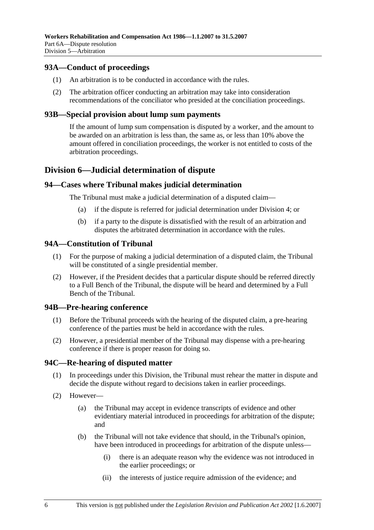## **93A—Conduct of proceedings**

- (1) An arbitration is to be conducted in accordance with the rules.
- (2) The arbitration officer conducting an arbitration may take into consideration recommendations of the conciliator who presided at the conciliation proceedings.

## **93B—Special provision about lump sum payments**

If the amount of lump sum compensation is disputed by a worker, and the amount to be awarded on an arbitration is less than, the same as, or less than 10% above the amount offered in conciliation proceedings, the worker is not entitled to costs of the arbitration proceedings.

## **Division 6—Judicial determination of dispute**

## **94—Cases where Tribunal makes judicial determination**

The Tribunal must make a judicial determination of a disputed claim—

- (a) if the dispute is referred for judicial determination under Division 4; or
- (b) if a party to the dispute is dissatisfied with the result of an arbitration and disputes the arbitrated determination in accordance with the rules.

## **94A—Constitution of Tribunal**

- (1) For the purpose of making a judicial determination of a disputed claim, the Tribunal will be constituted of a single presidential member.
- (2) However, if the President decides that a particular dispute should be referred directly to a Full Bench of the Tribunal, the dispute will be heard and determined by a Full Bench of the Tribunal.

#### **94B—Pre-hearing conference**

- (1) Before the Tribunal proceeds with the hearing of the disputed claim, a pre-hearing conference of the parties must be held in accordance with the rules.
- (2) However, a presidential member of the Tribunal may dispense with a pre-hearing conference if there is proper reason for doing so.

## **94C—Re-hearing of disputed matter**

- (1) In proceedings under this Division, the Tribunal must rehear the matter in dispute and decide the dispute without regard to decisions taken in earlier proceedings.
- (2) However—
	- (a) the Tribunal may accept in evidence transcripts of evidence and other evidentiary material introduced in proceedings for arbitration of the dispute; and
	- (b) the Tribunal will not take evidence that should, in the Tribunal's opinion, have been introduced in proceedings for arbitration of the dispute unless—
		- (i) there is an adequate reason why the evidence was not introduced in the earlier proceedings; or
		- (ii) the interests of justice require admission of the evidence; and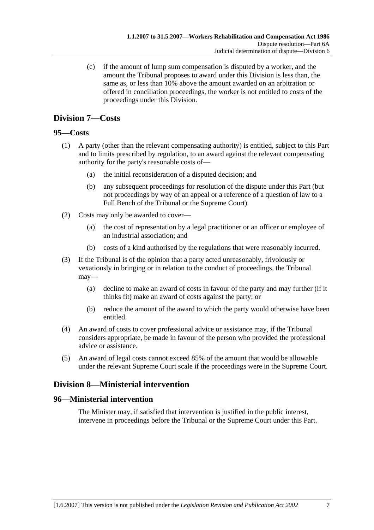(c) if the amount of lump sum compensation is disputed by a worker, and the amount the Tribunal proposes to award under this Division is less than, the same as, or less than 10% above the amount awarded on an arbitration or offered in conciliation proceedings, the worker is not entitled to costs of the proceedings under this Division.

# **Division 7—Costs**

## **95—Costs**

- (1) A party (other than the relevant compensating authority) is entitled, subject to this Part and to limits prescribed by regulation, to an award against the relevant compensating authority for the party's reasonable costs of—
	- (a) the initial reconsideration of a disputed decision; and
	- (b) any subsequent proceedings for resolution of the dispute under this Part (but not proceedings by way of an appeal or a reference of a question of law to a Full Bench of the Tribunal or the Supreme Court).
- (2) Costs may only be awarded to cover—
	- (a) the cost of representation by a legal practitioner or an officer or employee of an industrial association; and
	- (b) costs of a kind authorised by the regulations that were reasonably incurred.
- (3) If the Tribunal is of the opinion that a party acted unreasonably, frivolously or vexatiously in bringing or in relation to the conduct of proceedings, the Tribunal may—
	- (a) decline to make an award of costs in favour of the party and may further (if it thinks fit) make an award of costs against the party; or
	- (b) reduce the amount of the award to which the party would otherwise have been entitled.
- (4) An award of costs to cover professional advice or assistance may, if the Tribunal considers appropriate, be made in favour of the person who provided the professional advice or assistance.
- (5) An award of legal costs cannot exceed 85% of the amount that would be allowable under the relevant Supreme Court scale if the proceedings were in the Supreme Court.

# **Division 8—Ministerial intervention**

## **96—Ministerial intervention**

The Minister may, if satisfied that intervention is justified in the public interest, intervene in proceedings before the Tribunal or the Supreme Court under this Part.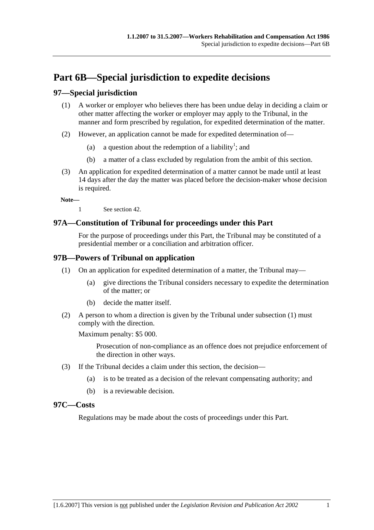# **Part 6B—Special jurisdiction to expedite decisions**

## **97—Special jurisdiction**

- (1) A worker or employer who believes there has been undue delay in deciding a claim or other matter affecting the worker or employer may apply to the Tribunal, in the manner and form prescribed by regulation, for expedited determination of the matter.
- (2) However, an application cannot be made for expedited determination of—
	- (a) a question about the redemption of a liability<sup>1</sup>; and
		- (b) a matter of a class excluded by regulation from the ambit of this section.
- (3) An application for expedited determination of a matter cannot be made until at least 14 days after the day the matter was placed before the decision-maker whose decision is required.

**Note—** 

1 See section 42.

## **97A—Constitution of Tribunal for proceedings under this Part**

For the purpose of proceedings under this Part, the Tribunal may be constituted of a presidential member or a conciliation and arbitration officer.

## **97B—Powers of Tribunal on application**

- (1) On an application for expedited determination of a matter, the Tribunal may—
	- (a) give directions the Tribunal considers necessary to expedite the determination of the matter; or
	- (b) decide the matter itself.
- (2) A person to whom a direction is given by the Tribunal under subsection (1) must comply with the direction.

Maximum penalty: \$5 000.

Prosecution of non-compliance as an offence does not prejudice enforcement of the direction in other ways.

- (3) If the Tribunal decides a claim under this section, the decision—
	- (a) is to be treated as a decision of the relevant compensating authority; and
	- (b) is a reviewable decision.

### **97C—Costs**

Regulations may be made about the costs of proceedings under this Part.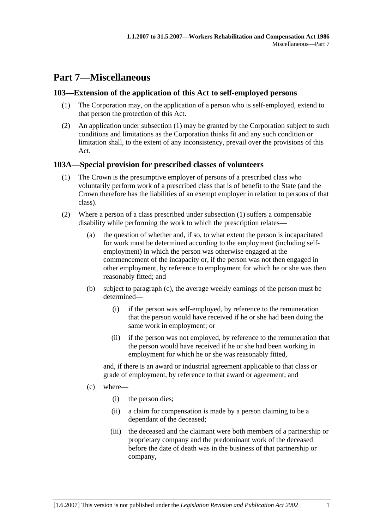# **Part 7—Miscellaneous**

## **103—Extension of the application of this Act to self-employed persons**

- (1) The Corporation may, on the application of a person who is self-employed, extend to that person the protection of this Act.
- (2) An application under subsection (1) may be granted by the Corporation subject to such conditions and limitations as the Corporation thinks fit and any such condition or limitation shall, to the extent of any inconsistency, prevail over the provisions of this Act.

## **103A—Special provision for prescribed classes of volunteers**

- (1) The Crown is the presumptive employer of persons of a prescribed class who voluntarily perform work of a prescribed class that is of benefit to the State (and the Crown therefore has the liabilities of an exempt employer in relation to persons of that class).
- (2) Where a person of a class prescribed under subsection (1) suffers a compensable disability while performing the work to which the prescription relates—
	- (a) the question of whether and, if so, to what extent the person is incapacitated for work must be determined according to the employment (including selfemployment) in which the person was otherwise engaged at the commencement of the incapacity or, if the person was not then engaged in other employment, by reference to employment for which he or she was then reasonably fitted; and
	- (b) subject to paragraph (c), the average weekly earnings of the person must be determined—
		- (i) if the person was self-employed, by reference to the remuneration that the person would have received if he or she had been doing the same work in employment; or
		- (ii) if the person was not employed, by reference to the remuneration that the person would have received if he or she had been working in employment for which he or she was reasonably fitted,

and, if there is an award or industrial agreement applicable to that class or grade of employment, by reference to that award or agreement; and

- (c) where—
	- (i) the person dies;
	- (ii) a claim for compensation is made by a person claiming to be a dependant of the deceased;
	- (iii) the deceased and the claimant were both members of a partnership or proprietary company and the predominant work of the deceased before the date of death was in the business of that partnership or company,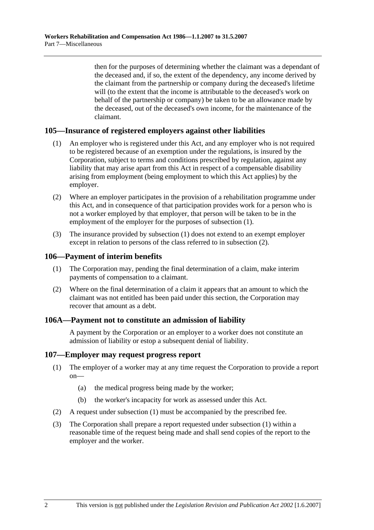then for the purposes of determining whether the claimant was a dependant of the deceased and, if so, the extent of the dependency, any income derived by the claimant from the partnership or company during the deceased's lifetime will (to the extent that the income is attributable to the deceased's work on behalf of the partnership or company) be taken to be an allowance made by the deceased, out of the deceased's own income, for the maintenance of the claimant.

## **105—Insurance of registered employers against other liabilities**

- (1) An employer who is registered under this Act, and any employer who is not required to be registered because of an exemption under the regulations, is insured by the Corporation, subject to terms and conditions prescribed by regulation, against any liability that may arise apart from this Act in respect of a compensable disability arising from employment (being employment to which this Act applies) by the employer.
- (2) Where an employer participates in the provision of a rehabilitation programme under this Act, and in consequence of that participation provides work for a person who is not a worker employed by that employer, that person will be taken to be in the employment of the employer for the purposes of subsection (1).
- (3) The insurance provided by subsection (1) does not extend to an exempt employer except in relation to persons of the class referred to in subsection (2).

#### **106—Payment of interim benefits**

- (1) The Corporation may, pending the final determination of a claim, make interim payments of compensation to a claimant.
- (2) Where on the final determination of a claim it appears that an amount to which the claimant was not entitled has been paid under this section, the Corporation may recover that amount as a debt.

#### **106A—Payment not to constitute an admission of liability**

A payment by the Corporation or an employer to a worker does not constitute an admission of liability or estop a subsequent denial of liability.

#### **107—Employer may request progress report**

- (1) The employer of a worker may at any time request the Corporation to provide a report on—
	- (a) the medical progress being made by the worker;
	- (b) the worker's incapacity for work as assessed under this Act.
- (2) A request under subsection (1) must be accompanied by the prescribed fee.
- (3) The Corporation shall prepare a report requested under subsection (1) within a reasonable time of the request being made and shall send copies of the report to the employer and the worker.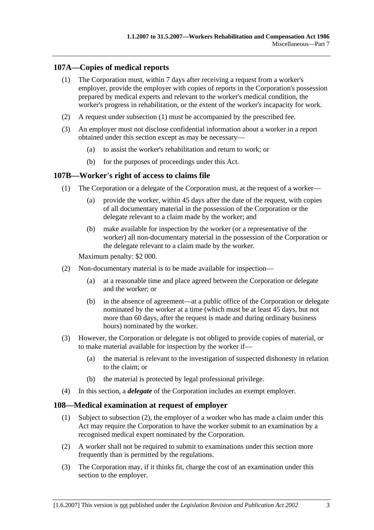## **107A—Copies of medical reports**

- (1) The Corporation must, within 7 days after receiving a request from a worker's employer, provide the employer with copies of reports in the Corporation's possession prepared by medical experts and relevant to the worker's medical condition, the worker's progress in rehabilitation, or the extent of the worker's incapacity for work.
- (2) A request under subsection (1) must be accompanied by the prescribed fee.
- (3) An employer must not disclose confidential information about a worker in a report obtained under this section except as may be necessary—
	- (a) to assist the worker's rehabilitation and return to work; or
	- (b) for the purposes of proceedings under this Act.

## **107B—Worker's right of access to claims file**

- (1) The Corporation or a delegate of the Corporation must, at the request of a worker—
	- (a) provide the worker, within 45 days after the date of the request, with copies of all documentary material in the possession of the Corporation or the delegate relevant to a claim made by the worker; and
	- (b) make available for inspection by the worker (or a representative of the worker) all non-documentary material in the possession of the Corporation or the delegate relevant to a claim made by the worker.

Maximum penalty: \$2 000.

- (2) Non-documentary material is to be made available for inspection—
	- (a) at a reasonable time and place agreed between the Corporation or delegate and the worker; or
	- (b) in the absence of agreement—at a public office of the Corporation or delegate nominated by the worker at a time (which must be at least 45 days, but not more than 60 days, after the request is made and during ordinary business hours) nominated by the worker.
- (3) However, the Corporation or delegate is not obliged to provide copies of material, or to make material available for inspection by the worker if—
	- (a) the material is relevant to the investigation of suspected dishonesty in relation to the claim; or
	- (b) the material is protected by legal professional privilege.
- (4) In this section, a *delegate* of the Corporation includes an exempt employer.

#### **108—Medical examination at request of employer**

- (1) Subject to subsection (2), the employer of a worker who has made a claim under this Act may require the Corporation to have the worker submit to an examination by a recognised medical expert nominated by the Corporation.
- (2) A worker shall not be required to submit to examinations under this section more frequently than is permitted by the regulations.
- (3) The Corporation may, if it thinks fit, charge the cost of an examination under this section to the employer.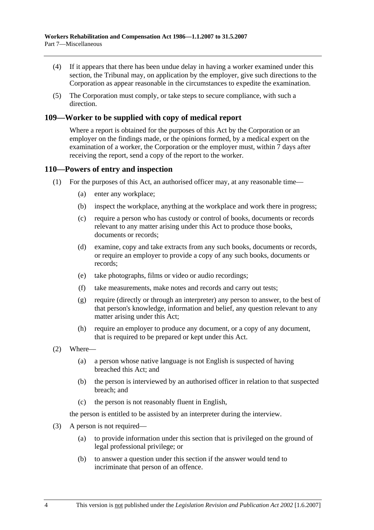- (4) If it appears that there has been undue delay in having a worker examined under this section, the Tribunal may, on application by the employer, give such directions to the Corporation as appear reasonable in the circumstances to expedite the examination.
- (5) The Corporation must comply, or take steps to secure compliance, with such a direction.

## **109—Worker to be supplied with copy of medical report**

Where a report is obtained for the purposes of this Act by the Corporation or an employer on the findings made, or the opinions formed, by a medical expert on the examination of a worker, the Corporation or the employer must, within 7 days after receiving the report, send a copy of the report to the worker.

## **110—Powers of entry and inspection**

- (1) For the purposes of this Act, an authorised officer may, at any reasonable time—
	- (a) enter any workplace;
	- (b) inspect the workplace, anything at the workplace and work there in progress;
	- (c) require a person who has custody or control of books, documents or records relevant to any matter arising under this Act to produce those books, documents or records;
	- (d) examine, copy and take extracts from any such books, documents or records, or require an employer to provide a copy of any such books, documents or records;
	- (e) take photographs, films or video or audio recordings;
	- (f) take measurements, make notes and records and carry out tests;
	- (g) require (directly or through an interpreter) any person to answer, to the best of that person's knowledge, information and belief, any question relevant to any matter arising under this Act;
	- (h) require an employer to produce any document, or a copy of any document, that is required to be prepared or kept under this Act.
- (2) Where—
	- (a) a person whose native language is not English is suspected of having breached this Act; and
	- (b) the person is interviewed by an authorised officer in relation to that suspected breach; and
	- (c) the person is not reasonably fluent in English,

the person is entitled to be assisted by an interpreter during the interview.

- (3) A person is not required—
	- (a) to provide information under this section that is privileged on the ground of legal professional privilege; or
	- (b) to answer a question under this section if the answer would tend to incriminate that person of an offence.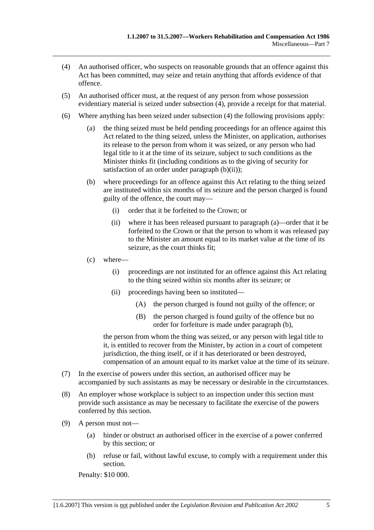- (4) An authorised officer, who suspects on reasonable grounds that an offence against this Act has been committed, may seize and retain anything that affords evidence of that offence.
- (5) An authorised officer must, at the request of any person from whose possession evidentiary material is seized under subsection (4), provide a receipt for that material.
- (6) Where anything has been seized under subsection (4) the following provisions apply:
	- (a) the thing seized must be held pending proceedings for an offence against this Act related to the thing seized, unless the Minister, on application, authorises its release to the person from whom it was seized, or any person who had legal title to it at the time of its seizure, subject to such conditions as the Minister thinks fit (including conditions as to the giving of security for satisfaction of an order under paragraph  $(b)(ii)$ ;
	- (b) where proceedings for an offence against this Act relating to the thing seized are instituted within six months of its seizure and the person charged is found guilty of the offence, the court may—
		- (i) order that it be forfeited to the Crown; or
		- (ii) where it has been released pursuant to paragraph (a)—order that it be forfeited to the Crown or that the person to whom it was released pay to the Minister an amount equal to its market value at the time of its seizure, as the court thinks fit;
	- (c) where—
		- (i) proceedings are not instituted for an offence against this Act relating to the thing seized within six months after its seizure; or
		- (ii) proceedings having been so instituted—
			- (A) the person charged is found not guilty of the offence; or
			- (B) the person charged is found guilty of the offence but no order for forfeiture is made under paragraph (b),

the person from whom the thing was seized, or any person with legal title to it, is entitled to recover from the Minister, by action in a court of competent jurisdiction, the thing itself, or if it has deteriorated or been destroyed, compensation of an amount equal to its market value at the time of its seizure.

- (7) In the exercise of powers under this section, an authorised officer may be accompanied by such assistants as may be necessary or desirable in the circumstances.
- (8) An employer whose workplace is subject to an inspection under this section must provide such assistance as may be necessary to facilitate the exercise of the powers conferred by this section.
- (9) A person must not—
	- (a) hinder or obstruct an authorised officer in the exercise of a power conferred by this section; or
	- (b) refuse or fail, without lawful excuse, to comply with a requirement under this section.

Penalty: \$10 000.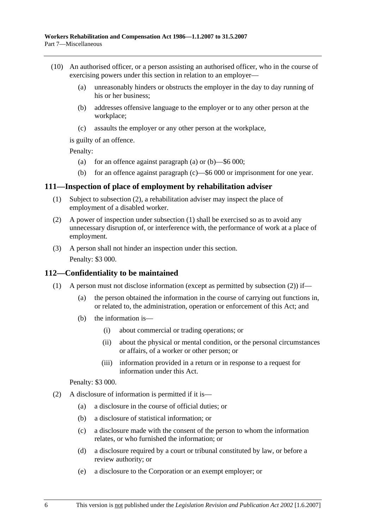- (10) An authorised officer, or a person assisting an authorised officer, who in the course of exercising powers under this section in relation to an employer—
	- (a) unreasonably hinders or obstructs the employer in the day to day running of his or her business;
	- (b) addresses offensive language to the employer or to any other person at the workplace;
	- (c) assaults the employer or any other person at the workplace,

is guilty of an offence.

Penalty:

- (a) for an offence against paragraph (a) or  $(b)$ —\$6 000;
- (b) for an offence against paragraph (c)—\$6 000 or imprisonment for one year.

#### **111—Inspection of place of employment by rehabilitation adviser**

- (1) Subject to subsection (2), a rehabilitation adviser may inspect the place of employment of a disabled worker.
- (2) A power of inspection under subsection (1) shall be exercised so as to avoid any unnecessary disruption of, or interference with, the performance of work at a place of employment.
- (3) A person shall not hinder an inspection under this section. Penalty: \$3 000.

# **112—Confidentiality to be maintained**

- (1) A person must not disclose information (except as permitted by subsection (2)) if—
	- (a) the person obtained the information in the course of carrying out functions in, or related to, the administration, operation or enforcement of this Act; and
	- (b) the information is—
		- (i) about commercial or trading operations; or
		- (ii) about the physical or mental condition, or the personal circumstances or affairs, of a worker or other person; or
		- (iii) information provided in a return or in response to a request for information under this Act.

#### Penalty: \$3 000.

- (2) A disclosure of information is permitted if it is—
	- (a) a disclosure in the course of official duties; or
	- (b) a disclosure of statistical information; or
	- (c) a disclosure made with the consent of the person to whom the information relates, or who furnished the information; or
	- (d) a disclosure required by a court or tribunal constituted by law, or before a review authority; or
	- (e) a disclosure to the Corporation or an exempt employer; or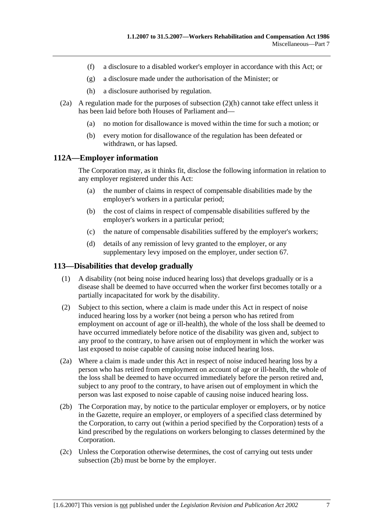- (f) a disclosure to a disabled worker's employer in accordance with this Act; or
- (g) a disclosure made under the authorisation of the Minister; or
- (h) a disclosure authorised by regulation.
- (2a) A regulation made for the purposes of subsection (2)(h) cannot take effect unless it has been laid before both Houses of Parliament and—
	- (a) no motion for disallowance is moved within the time for such a motion; or
	- (b) every motion for disallowance of the regulation has been defeated or withdrawn, or has lapsed.

# **112A—Employer information**

The Corporation may, as it thinks fit, disclose the following information in relation to any employer registered under this Act:

- (a) the number of claims in respect of compensable disabilities made by the employer's workers in a particular period;
- (b) the cost of claims in respect of compensable disabilities suffered by the employer's workers in a particular period;
- (c) the nature of compensable disabilities suffered by the employer's workers;
- (d) details of any remission of levy granted to the employer, or any supplementary levy imposed on the employer, under section 67.

#### **113—Disabilities that develop gradually**

- (1) A disability (not being noise induced hearing loss) that develops gradually or is a disease shall be deemed to have occurred when the worker first becomes totally or a partially incapacitated for work by the disability.
- (2) Subject to this section, where a claim is made under this Act in respect of noise induced hearing loss by a worker (not being a person who has retired from employment on account of age or ill-health), the whole of the loss shall be deemed to have occurred immediately before notice of the disability was given and, subject to any proof to the contrary, to have arisen out of employment in which the worker was last exposed to noise capable of causing noise induced hearing loss.
- (2a) Where a claim is made under this Act in respect of noise induced hearing loss by a person who has retired from employment on account of age or ill-health, the whole of the loss shall be deemed to have occurred immediately before the person retired and, subject to any proof to the contrary, to have arisen out of employment in which the person was last exposed to noise capable of causing noise induced hearing loss.
- (2b) The Corporation may, by notice to the particular employer or employers, or by notice in the Gazette, require an employer, or employers of a specified class determined by the Corporation, to carry out (within a period specified by the Corporation) tests of a kind prescribed by the regulations on workers belonging to classes determined by the Corporation.
- (2c) Unless the Corporation otherwise determines, the cost of carrying out tests under subsection (2b) must be borne by the employer.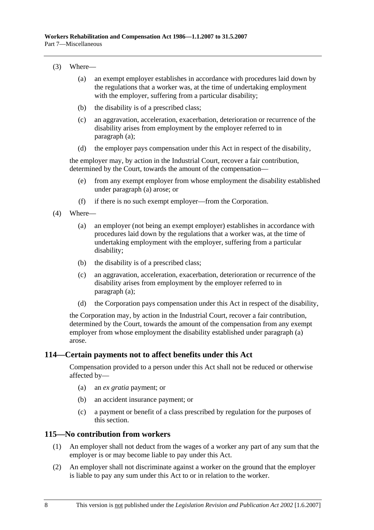#### (3) Where—

- (a) an exempt employer establishes in accordance with procedures laid down by the regulations that a worker was, at the time of undertaking employment with the employer, suffering from a particular disability;
- (b) the disability is of a prescribed class;
- (c) an aggravation, acceleration, exacerbation, deterioration or recurrence of the disability arises from employment by the employer referred to in paragraph (a);
- (d) the employer pays compensation under this Act in respect of the disability,

the employer may, by action in the Industrial Court, recover a fair contribution, determined by the Court, towards the amount of the compensation—

- (e) from any exempt employer from whose employment the disability established under paragraph (a) arose; or
- (f) if there is no such exempt employer—from the Corporation.
- (4) Where—
	- (a) an employer (not being an exempt employer) establishes in accordance with procedures laid down by the regulations that a worker was, at the time of undertaking employment with the employer, suffering from a particular disability;
	- (b) the disability is of a prescribed class;
	- (c) an aggravation, acceleration, exacerbation, deterioration or recurrence of the disability arises from employment by the employer referred to in paragraph (a);
	- (d) the Corporation pays compensation under this Act in respect of the disability,

the Corporation may, by action in the Industrial Court, recover a fair contribution, determined by the Court, towards the amount of the compensation from any exempt employer from whose employment the disability established under paragraph (a) arose.

#### **114—Certain payments not to affect benefits under this Act**

Compensation provided to a person under this Act shall not be reduced or otherwise affected by—

- (a) an *ex gratia* payment; or
- (b) an accident insurance payment; or
- (c) a payment or benefit of a class prescribed by regulation for the purposes of this section.

#### **115—No contribution from workers**

- (1) An employer shall not deduct from the wages of a worker any part of any sum that the employer is or may become liable to pay under this Act.
- (2) An employer shall not discriminate against a worker on the ground that the employer is liable to pay any sum under this Act to or in relation to the worker.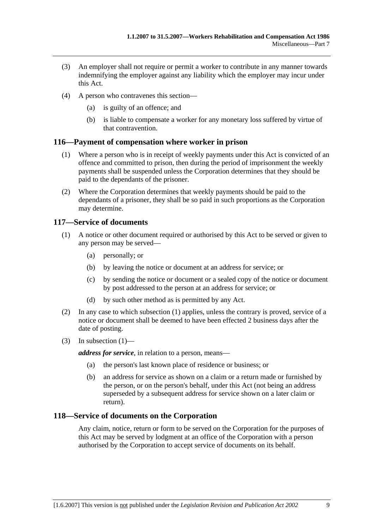- (3) An employer shall not require or permit a worker to contribute in any manner towards indemnifying the employer against any liability which the employer may incur under this Act.
- (4) A person who contravenes this section—
	- (a) is guilty of an offence; and
	- (b) is liable to compensate a worker for any monetary loss suffered by virtue of that contravention.

# **116—Payment of compensation where worker in prison**

- (1) Where a person who is in receipt of weekly payments under this Act is convicted of an offence and committed to prison, then during the period of imprisonment the weekly payments shall be suspended unless the Corporation determines that they should be paid to the dependants of the prisoner.
- (2) Where the Corporation determines that weekly payments should be paid to the dependants of a prisoner, they shall be so paid in such proportions as the Corporation may determine.

#### **117—Service of documents**

- (1) A notice or other document required or authorised by this Act to be served or given to any person may be served—
	- (a) personally; or
	- (b) by leaving the notice or document at an address for service; or
	- (c) by sending the notice or document or a sealed copy of the notice or document by post addressed to the person at an address for service; or
	- (d) by such other method as is permitted by any Act.
- (2) In any case to which subsection (1) applies, unless the contrary is proved, service of a notice or document shall be deemed to have been effected 2 business days after the date of posting.
- (3) In subsection  $(1)$ —

*address for service*, in relation to a person, means—

- (a) the person's last known place of residence or business; or
- (b) an address for service as shown on a claim or a return made or furnished by the person, or on the person's behalf, under this Act (not being an address superseded by a subsequent address for service shown on a later claim or return).

# **118—Service of documents on the Corporation**

Any claim, notice, return or form to be served on the Corporation for the purposes of this Act may be served by lodgment at an office of the Corporation with a person authorised by the Corporation to accept service of documents on its behalf.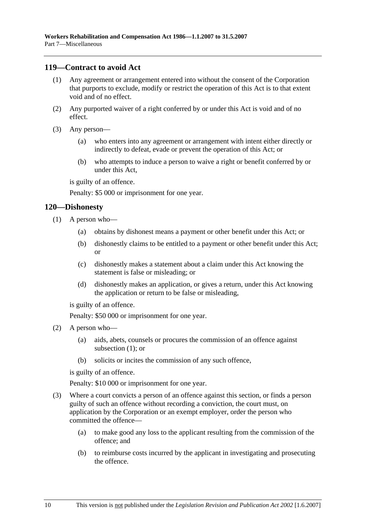#### **119—Contract to avoid Act**

- (1) Any agreement or arrangement entered into without the consent of the Corporation that purports to exclude, modify or restrict the operation of this Act is to that extent void and of no effect.
- (2) Any purported waiver of a right conferred by or under this Act is void and of no effect.
- (3) Any person—
	- (a) who enters into any agreement or arrangement with intent either directly or indirectly to defeat, evade or prevent the operation of this Act; or
	- (b) who attempts to induce a person to waive a right or benefit conferred by or under this Act,

is guilty of an offence.

Penalty: \$5 000 or imprisonment for one year.

#### **120—Dishonesty**

- (1) A person who—
	- (a) obtains by dishonest means a payment or other benefit under this Act; or
	- (b) dishonestly claims to be entitled to a payment or other benefit under this Act; or
	- (c) dishonestly makes a statement about a claim under this Act knowing the statement is false or misleading; or
	- (d) dishonestly makes an application, or gives a return, under this Act knowing the application or return to be false or misleading,

is guilty of an offence.

Penalty: \$50 000 or imprisonment for one year.

- (2) A person who—
	- (a) aids, abets, counsels or procures the commission of an offence against subsection (1); or
	- (b) solicits or incites the commission of any such offence,

is guilty of an offence.

Penalty: \$10 000 or imprisonment for one year.

- (3) Where a court convicts a person of an offence against this section, or finds a person guilty of such an offence without recording a conviction, the court must, on application by the Corporation or an exempt employer, order the person who committed the offence—
	- (a) to make good any loss to the applicant resulting from the commission of the offence; and
	- (b) to reimburse costs incurred by the applicant in investigating and prosecuting the offence.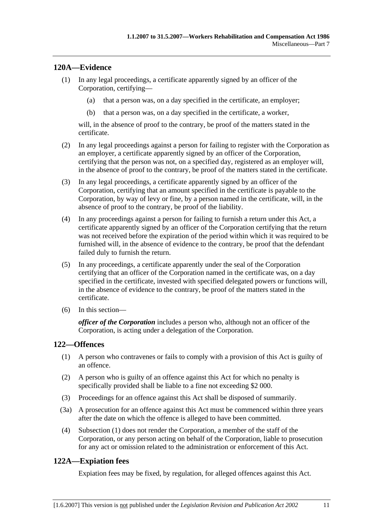#### **120A—Evidence**

- (1) In any legal proceedings, a certificate apparently signed by an officer of the Corporation, certifying—
	- (a) that a person was, on a day specified in the certificate, an employer;
	- (b) that a person was, on a day specified in the certificate, a worker,

will, in the absence of proof to the contrary, be proof of the matters stated in the certificate.

- (2) In any legal proceedings against a person for failing to register with the Corporation as an employer, a certificate apparently signed by an officer of the Corporation, certifying that the person was not, on a specified day, registered as an employer will, in the absence of proof to the contrary, be proof of the matters stated in the certificate.
- (3) In any legal proceedings, a certificate apparently signed by an officer of the Corporation, certifying that an amount specified in the certificate is payable to the Corporation, by way of levy or fine, by a person named in the certificate, will, in the absence of proof to the contrary, be proof of the liability.
- (4) In any proceedings against a person for failing to furnish a return under this Act, a certificate apparently signed by an officer of the Corporation certifying that the return was not received before the expiration of the period within which it was required to be furnished will, in the absence of evidence to the contrary, be proof that the defendant failed duly to furnish the return.
- (5) In any proceedings, a certificate apparently under the seal of the Corporation certifying that an officer of the Corporation named in the certificate was, on a day specified in the certificate, invested with specified delegated powers or functions will, in the absence of evidence to the contrary, be proof of the matters stated in the certificate.
- (6) In this section—

*officer of the Corporation* includes a person who, although not an officer of the Corporation, is acting under a delegation of the Corporation.

#### **122—Offences**

- (1) A person who contravenes or fails to comply with a provision of this Act is guilty of an offence.
- (2) A person who is guilty of an offence against this Act for which no penalty is specifically provided shall be liable to a fine not exceeding \$2 000.
- (3) Proceedings for an offence against this Act shall be disposed of summarily.
- (3a) A prosecution for an offence against this Act must be commenced within three years after the date on which the offence is alleged to have been committed.
- (4) Subsection (1) does not render the Corporation, a member of the staff of the Corporation, or any person acting on behalf of the Corporation, liable to prosecution for any act or omission related to the administration or enforcement of this Act.

# **122A—Expiation fees**

Expiation fees may be fixed, by regulation, for alleged offences against this Act.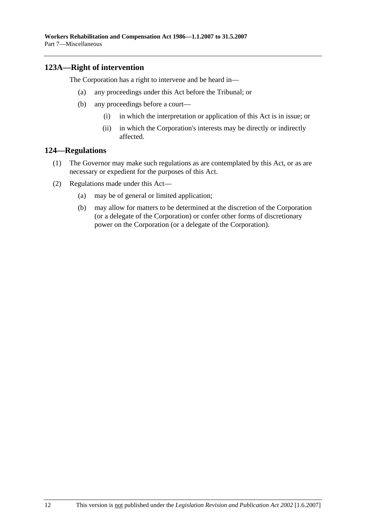# **123A—Right of intervention**

The Corporation has a right to intervene and be heard in—

- (a) any proceedings under this Act before the Tribunal; or
- (b) any proceedings before a court—
	- (i) in which the interpretation or application of this Act is in issue; or
	- (ii) in which the Corporation's interests may be directly or indirectly affected.

#### **124—Regulations**

- (1) The Governor may make such regulations as are contemplated by this Act, or as are necessary or expedient for the purposes of this Act.
- (2) Regulations made under this Act—
	- (a) may be of general or limited application;
	- (b) may allow for matters to be determined at the discretion of the Corporation (or a delegate of the Corporation) or confer other forms of discretionary power on the Corporation (or a delegate of the Corporation).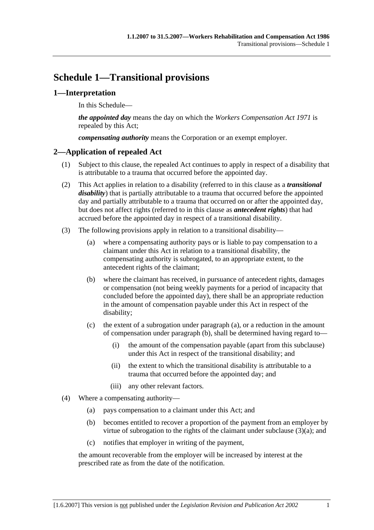# **Schedule 1—Transitional provisions**

# **1—Interpretation**

In this Schedule—

*the appointed day* means the day on which the *Workers Compensation Act 1971* is repealed by this Act;

*compensating authority* means the Corporation or an exempt employer.

# **2—Application of repealed Act**

- (1) Subject to this clause, the repealed Act continues to apply in respect of a disability that is attributable to a trauma that occurred before the appointed day.
- (2) This Act applies in relation to a disability (referred to in this clause as a *transitional disability*) that is partially attributable to a trauma that occurred before the appointed day and partially attributable to a trauma that occurred on or after the appointed day, but does not affect rights (referred to in this clause as *antecedent rights*) that had accrued before the appointed day in respect of a transitional disability.
- (3) The following provisions apply in relation to a transitional disability—
	- (a) where a compensating authority pays or is liable to pay compensation to a claimant under this Act in relation to a transitional disability, the compensating authority is subrogated, to an appropriate extent, to the antecedent rights of the claimant;
	- (b) where the claimant has received, in pursuance of antecedent rights, damages or compensation (not being weekly payments for a period of incapacity that concluded before the appointed day), there shall be an appropriate reduction in the amount of compensation payable under this Act in respect of the disability;
	- (c) the extent of a subrogation under paragraph (a), or a reduction in the amount of compensation under paragraph (b), shall be determined having regard to—
		- (i) the amount of the compensation payable (apart from this subclause) under this Act in respect of the transitional disability; and
		- (ii) the extent to which the transitional disability is attributable to a trauma that occurred before the appointed day; and
		- (iii) any other relevant factors.
- (4) Where a compensating authority—
	- (a) pays compensation to a claimant under this Act; and
	- (b) becomes entitled to recover a proportion of the payment from an employer by virtue of subrogation to the rights of the claimant under subclause (3)(a); and
	- (c) notifies that employer in writing of the payment,

the amount recoverable from the employer will be increased by interest at the prescribed rate as from the date of the notification.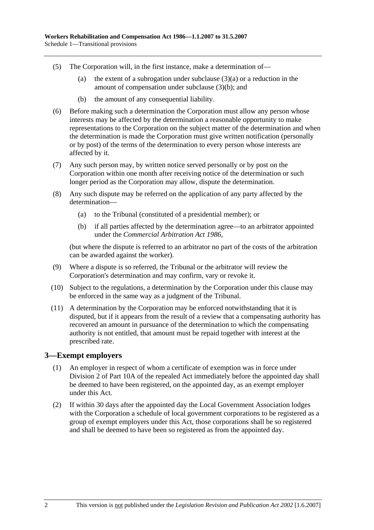- (5) The Corporation will, in the first instance, make a determination of—
	- (a) the extent of a subrogation under subclause  $(3)(a)$  or a reduction in the amount of compensation under subclause (3)(b); and
	- (b) the amount of any consequential liability.
- (6) Before making such a determination the Corporation must allow any person whose interests may be affected by the determination a reasonable opportunity to make representations to the Corporation on the subject matter of the determination and when the determination is made the Corporation must give written notification (personally or by post) of the terms of the determination to every person whose interests are affected by it.
- (7) Any such person may, by written notice served personally or by post on the Corporation within one month after receiving notice of the determination or such longer period as the Corporation may allow, dispute the determination.
- (8) Any such dispute may be referred on the application of any party affected by the determination—
	- (a) to the Tribunal (constituted of a presidential member); or
	- (b) if all parties affected by the determination agree—to an arbitrator appointed under the *Commercial Arbitration Act 1986*,

(but where the dispute is referred to an arbitrator no part of the costs of the arbitration can be awarded against the worker).

- (9) Where a dispute is so referred, the Tribunal or the arbitrator will review the Corporation's determination and may confirm, vary or revoke it.
- (10) Subject to the regulations, a determination by the Corporation under this clause may be enforced in the same way as a judgment of the Tribunal.
- (11) A determination by the Corporation may be enforced notwithstanding that it is disputed, but if it appears from the result of a review that a compensating authority has recovered an amount in pursuance of the determination to which the compensating authority is not entitled, that amount must be repaid together with interest at the prescribed rate.

#### **3—Exempt employers**

- (1) An employer in respect of whom a certificate of exemption was in force under Division 2 of Part 10A of the repealed Act immediately before the appointed day shall be deemed to have been registered, on the appointed day, as an exempt employer under this Act.
- (2) If within 30 days after the appointed day the Local Government Association lodges with the Corporation a schedule of local government corporations to be registered as a group of exempt employers under this Act, those corporations shall be so registered and shall be deemed to have been so registered as from the appointed day.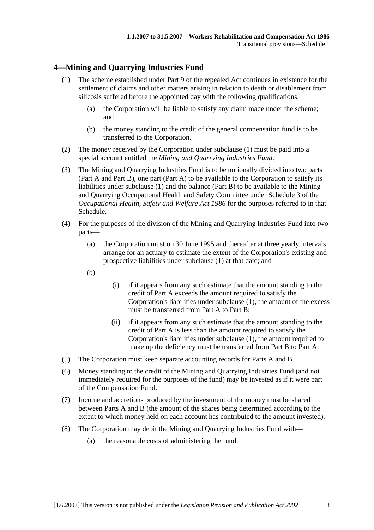# **4—Mining and Quarrying Industries Fund**

- (1) The scheme established under Part 9 of the repealed Act continues in existence for the settlement of claims and other matters arising in relation to death or disablement from silicosis suffered before the appointed day with the following qualifications:
	- (a) the Corporation will be liable to satisfy any claim made under the scheme; and
	- (b) the money standing to the credit of the general compensation fund is to be transferred to the Corporation.
- (2) The money received by the Corporation under subclause (1) must be paid into a special account entitled the *Mining and Quarrying Industries Fund*.
- (3) The Mining and Quarrying Industries Fund is to be notionally divided into two parts (Part A and Part B), one part (Part A) to be available to the Corporation to satisfy its liabilities under subclause (1) and the balance (Part B) to be available to the Mining and Quarrying Occupational Health and Safety Committee under Schedule 3 of the *Occupational Health, Safety and Welfare Act 1986* for the purposes referred to in that Schedule.
- (4) For the purposes of the division of the Mining and Quarrying Industries Fund into two parts—
	- (a) the Corporation must on 30 June 1995 and thereafter at three yearly intervals arrange for an actuary to estimate the extent of the Corporation's existing and prospective liabilities under subclause (1) at that date; and
	- $(b)$
- (i) if it appears from any such estimate that the amount standing to the credit of Part A exceeds the amount required to satisfy the Corporation's liabilities under subclause (1), the amount of the excess must be transferred from Part A to Part B;
- (ii) if it appears from any such estimate that the amount standing to the credit of Part A is less than the amount required to satisfy the Corporation's liabilities under subclause (1), the amount required to make up the deficiency must be transferred from Part B to Part A.
- (5) The Corporation must keep separate accounting records for Parts A and B.
- (6) Money standing to the credit of the Mining and Quarrying Industries Fund (and not immediately required for the purposes of the fund) may be invested as if it were part of the Compensation Fund.
- (7) Income and accretions produced by the investment of the money must be shared between Parts A and B (the amount of the shares being determined according to the extent to which money held on each account has contributed to the amount invested).
- (8) The Corporation may debit the Mining and Quarrying Industries Fund with—
	- (a) the reasonable costs of administering the fund.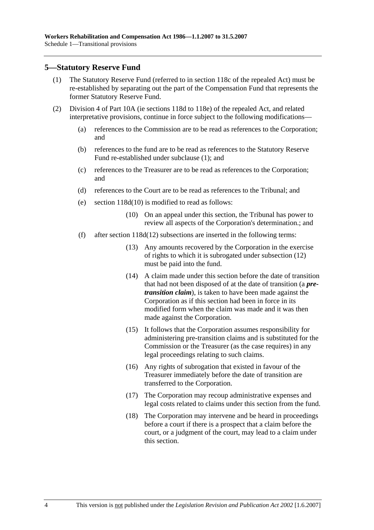#### **5—Statutory Reserve Fund**

- (1) The Statutory Reserve Fund (referred to in section 118c of the repealed Act) must be re-established by separating out the part of the Compensation Fund that represents the former Statutory Reserve Fund.
- (2) Division 4 of Part 10A (ie sections 118d to 118e) of the repealed Act, and related interpretative provisions, continue in force subject to the following modifications—
	- (a) references to the Commission are to be read as references to the Corporation; and
	- (b) references to the fund are to be read as references to the Statutory Reserve Fund re-established under subclause (1); and
	- (c) references to the Treasurer are to be read as references to the Corporation; and
	- (d) references to the Court are to be read as references to the Tribunal; and
	- (e) section 118d(10) is modified to read as follows:
		- (10) On an appeal under this section, the Tribunal has power to review all aspects of the Corporation's determination.; and
	- (f) after section 118d(12) subsections are inserted in the following terms:
		- (13) Any amounts recovered by the Corporation in the exercise of rights to which it is subrogated under subsection (12) must be paid into the fund.
		- (14) A claim made under this section before the date of transition that had not been disposed of at the date of transition (a *pretransition claim*), is taken to have been made against the Corporation as if this section had been in force in its modified form when the claim was made and it was then made against the Corporation.
		- (15) It follows that the Corporation assumes responsibility for administering pre-transition claims and is substituted for the Commission or the Treasurer (as the case requires) in any legal proceedings relating to such claims.
		- (16) Any rights of subrogation that existed in favour of the Treasurer immediately before the date of transition are transferred to the Corporation.
		- (17) The Corporation may recoup administrative expenses and legal costs related to claims under this section from the fund.
		- (18) The Corporation may intervene and be heard in proceedings before a court if there is a prospect that a claim before the court, or a judgment of the court, may lead to a claim under this section.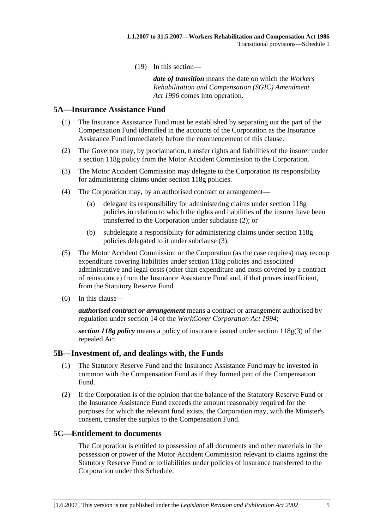(19) In this section—

*date of transition* means the date on which the *Workers Rehabilitation and Compensation (SGIC) Amendment Act 1996* comes into operation.

#### **5A—Insurance Assistance Fund**

- (1) The Insurance Assistance Fund must be established by separating out the part of the Compensation Fund identified in the accounts of the Corporation as the Insurance Assistance Fund immediately before the commencement of this clause.
- (2) The Governor may, by proclamation, transfer rights and liabilities of the insurer under a section 118g policy from the Motor Accident Commission to the Corporation.
- (3) The Motor Accident Commission may delegate to the Corporation its responsibility for administering claims under section 118g policies.
- (4) The Corporation may, by an authorised contract or arrangement—
	- (a) delegate its responsibility for administering claims under section 118g policies in relation to which the rights and liabilities of the insurer have been transferred to the Corporation under subclause (2); or
	- (b) subdelegate a responsibility for administering claims under section 118g policies delegated to it under subclause (3).
- (5) The Motor Accident Commission or the Corporation (as the case requires) may recoup expenditure covering liabilities under section 118g policies and associated administrative and legal costs (other than expenditure and costs covered by a contract of reinsurance) from the Insurance Assistance Fund and, if that proves insufficient, from the Statutory Reserve Fund.
- (6) In this clause—

*authorised contract or arrangement* means a contract or arrangement authorised by regulation under section 14 of the *WorkCover Corporation Act 1994*;

*section 118g policy* means a policy of insurance issued under section 118g(3) of the repealed Act.

#### **5B—Investment of, and dealings with, the Funds**

- (1) The Statutory Reserve Fund and the Insurance Assistance Fund may be invested in common with the Compensation Fund as if they formed part of the Compensation Fund.
- (2) If the Corporation is of the opinion that the balance of the Statutory Reserve Fund or the Insurance Assistance Fund exceeds the amount reasonably required for the purposes for which the relevant fund exists, the Corporation may, with the Minister's consent, transfer the surplus to the Compensation Fund.

#### **5C—Entitlement to documents**

The Corporation is entitled to possession of all documents and other materials in the possession or power of the Motor Accident Commission relevant to claims against the Statutory Reserve Fund or to liabilities under policies of insurance transferred to the Corporation under this Schedule.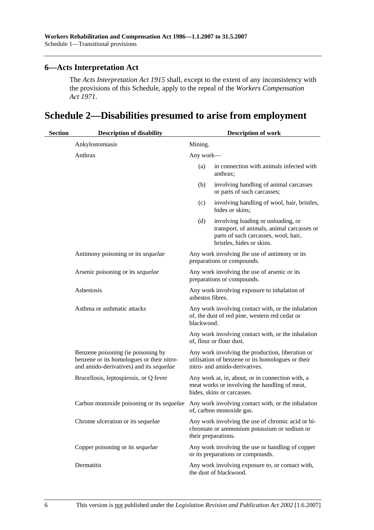# **6—Acts Interpretation Act**

The *Acts Interpretation Act 1915* shall, except to the extent of any inconsistency with the provisions of this Schedule, apply to the repeal of the *Workers Compensation Act 1971*.

# **Schedule 2—Disabilities presumed to arise from employment**

| <b>Section</b> | <b>Description of disability</b>                                                                                           | <b>Description of work</b> |                                                                                                                                                       |
|----------------|----------------------------------------------------------------------------------------------------------------------------|----------------------------|-------------------------------------------------------------------------------------------------------------------------------------------------------|
|                | Ankylostomiasis                                                                                                            | Mining.                    |                                                                                                                                                       |
|                | Anthrax                                                                                                                    | Any work-                  |                                                                                                                                                       |
|                |                                                                                                                            | (a)                        | in connection with animals infected with<br>anthrax;                                                                                                  |
|                |                                                                                                                            | (b)                        | involving handling of animal carcasses<br>or parts of such carcasses;                                                                                 |
|                |                                                                                                                            | (c)                        | involving handling of wool, hair, bristles,<br>hides or skins;                                                                                        |
|                |                                                                                                                            | (d)                        | involving loading or unloading, or<br>transport, of animals, animal carcasses or<br>parts of such carcasses, wool, hair,<br>bristles, hides or skins. |
|                | Antimony poisoning or its sequelae                                                                                         |                            | Any work involving the use of antimony or its<br>preparations or compounds.                                                                           |
|                | Arsenic poisoning or its sequelae                                                                                          |                            | Any work involving the use of arsenic or its<br>preparations or compounds.                                                                            |
|                | Asbestosis                                                                                                                 | asbestos fibres.           | Any work involving exposure to inhalation of                                                                                                          |
|                | Asthma or asthmatic attacks                                                                                                | blackwood.                 | Any work involving contact with, or the inhalation<br>of, the dust of red pine, western red cedar or                                                  |
|                |                                                                                                                            |                            | Any work involving contact with, or the inhalation<br>of, flour or flour dust.                                                                        |
|                | Benzene poisoning (ie poisoning by<br>benzene or its homologues or their nitro-<br>and amido-derivatives) and its sequelae |                            | Any work involving the production, liberation or<br>utilisation of benzene or its homologues or their<br>nitro- and amido-derivatives.                |
|                | Brucellosis, leptospirosis, or Q fever                                                                                     |                            | Any work at, in, about, or in connection with, a<br>meat works or involving the handling of meat,<br>hides, skins or carcasses.                       |
|                | Carbon monoxide poisoning or its sequelae                                                                                  |                            | Any work involving contact with, or the inhalation<br>of, carbon monoxide gas.                                                                        |
|                | Chrome ulceration or its sequelae                                                                                          |                            | Any work involving the use of chromic acid or bi-<br>chromate or ammonium potassium or sodium or<br>their preparations.                               |
|                | Copper poisoning or its sequelae                                                                                           |                            | Any work involving the use or handling of copper<br>or its preparations or compounds.                                                                 |
|                | Dermatitis                                                                                                                 |                            | Any work involving exposure to, or contact with,<br>the dust of blackwood.                                                                            |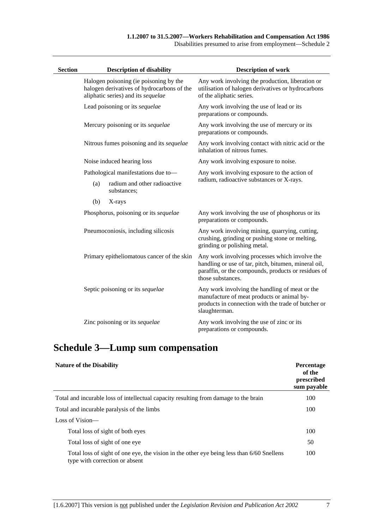| Disabilities presumed to arise from employment—Schedule 2 |  |  |  |
|-----------------------------------------------------------|--|--|--|
|                                                           |  |  |  |

| <b>Section</b> |     | <b>Description of disability</b>                                                                                           | <b>Description of work</b>                                                                                                                                                         |
|----------------|-----|----------------------------------------------------------------------------------------------------------------------------|------------------------------------------------------------------------------------------------------------------------------------------------------------------------------------|
|                |     | Halogen poisoning (ie poisoning by the<br>halogen derivatives of hydrocarbons of the<br>aliphatic series) and its sequelae | Any work involving the production, liberation or<br>utilisation of halogen derivatives or hydrocarbons<br>of the aliphatic series.                                                 |
|                |     | Lead poisoning or its sequelae                                                                                             | Any work involving the use of lead or its<br>preparations or compounds.                                                                                                            |
|                |     | Mercury poisoning or its sequelae                                                                                          | Any work involving the use of mercury or its<br>preparations or compounds.                                                                                                         |
|                |     | Nitrous fumes poisoning and its sequelae                                                                                   | Any work involving contact with nitric acid or the<br>inhalation of nitrous fumes.                                                                                                 |
|                |     | Noise induced hearing loss                                                                                                 | Any work involving exposure to noise.                                                                                                                                              |
|                |     | Pathological manifestations due to-                                                                                        | Any work involving exposure to the action of                                                                                                                                       |
| (a)            |     | radium and other radioactive<br>substances;                                                                                | radium, radioactive substances or X-rays.                                                                                                                                          |
|                | (b) | X-rays                                                                                                                     |                                                                                                                                                                                    |
|                |     | Phosphorus, poisoning or its sequelae                                                                                      | Any work involving the use of phosphorus or its<br>preparations or compounds.                                                                                                      |
|                |     | Pneumoconiosis, including silicosis                                                                                        | Any work involving mining, quarrying, cutting,<br>crushing, grinding or pushing stone or melting,<br>grinding or polishing metal.                                                  |
|                |     | Primary epitheliomatous cancer of the skin                                                                                 | Any work involving processes which involve the<br>handling or use of tar, pitch, bitumen, mineral oil,<br>paraffin, or the compounds, products or residues of<br>those substances. |
|                |     | Septic poisoning or its sequelae                                                                                           | Any work involving the handling of meat or the<br>manufacture of meat products or animal by-<br>products in connection with the trade of butcher or<br>slaughterman.               |
|                |     | Zinc poisoning or its sequelae                                                                                             | Any work involving the use of zinc or its<br>preparations or compounds.                                                                                                            |

# **Schedule 3—Lump sum compensation**

| <b>Nature of the Disability</b>                                                                                             | <b>Percentage</b><br>of the<br>prescribed<br>sum payable |
|-----------------------------------------------------------------------------------------------------------------------------|----------------------------------------------------------|
| Total and incurable loss of intellectual capacity resulting from damage to the brain                                        | 100                                                      |
| Total and incurable paralysis of the limbs                                                                                  | 100                                                      |
| Loss of Vision—                                                                                                             |                                                          |
| Total loss of sight of both eyes                                                                                            | 100                                                      |
| Total loss of sight of one eye                                                                                              | 50                                                       |
| Total loss of sight of one eye, the vision in the other eye being less than 6/60 Snellens<br>type with correction or absent | 100                                                      |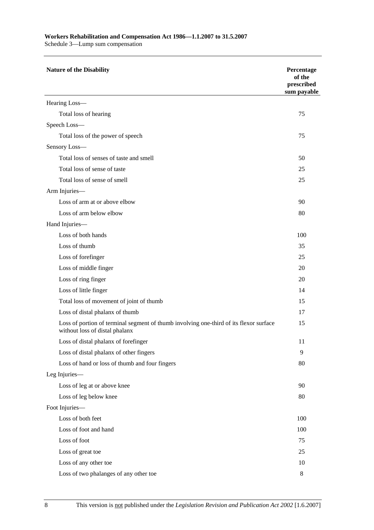#### **Workers Rehabilitation and Compensation Act 1986—1.1.2007 to 31.5.2007**

Schedule 3—Lump sum compensation

| <b>Nature of the Disability</b>                                                                                          | Percentage<br>of the<br>prescribed<br>sum payable |
|--------------------------------------------------------------------------------------------------------------------------|---------------------------------------------------|
| Hearing Loss-                                                                                                            |                                                   |
| Total loss of hearing                                                                                                    | 75                                                |
| Speech Loss-                                                                                                             |                                                   |
| Total loss of the power of speech                                                                                        | 75                                                |
| Sensory Loss-                                                                                                            |                                                   |
| Total loss of senses of taste and smell                                                                                  | 50                                                |
| Total loss of sense of taste                                                                                             | 25                                                |
| Total loss of sense of smell                                                                                             | 25                                                |
| Arm Injuries-                                                                                                            |                                                   |
| Loss of arm at or above elbow                                                                                            | 90                                                |
| Loss of arm below elbow                                                                                                  | 80                                                |
| Hand Injuries-                                                                                                           |                                                   |
| Loss of both hands                                                                                                       | 100                                               |
| Loss of thumb                                                                                                            | 35                                                |
| Loss of forefinger                                                                                                       | 25                                                |
| Loss of middle finger                                                                                                    | 20                                                |
| Loss of ring finger                                                                                                      | 20                                                |
| Loss of little finger                                                                                                    | 14                                                |
| Total loss of movement of joint of thumb                                                                                 | 15                                                |
| Loss of distal phalanx of thumb                                                                                          | 17                                                |
| Loss of portion of terminal segment of thumb involving one-third of its flexor surface<br>without loss of distal phalanx | 15                                                |
| Loss of distal phalanx of forefinger                                                                                     | 11                                                |
| Loss of distal phalanx of other fingers                                                                                  | 9                                                 |
| Loss of hand or loss of thumb and four fingers                                                                           | 80                                                |
| Leg Injuries-                                                                                                            |                                                   |
| Loss of leg at or above knee                                                                                             | 90                                                |
| Loss of leg below knee                                                                                                   | 80                                                |
| Foot Injuries-                                                                                                           |                                                   |
| Loss of both feet                                                                                                        | 100                                               |
| Loss of foot and hand                                                                                                    | 100                                               |
| Loss of foot                                                                                                             | 75                                                |
| Loss of great toe                                                                                                        | 25                                                |
| Loss of any other toe                                                                                                    | 10                                                |
| Loss of two phalanges of any other toe                                                                                   | 8                                                 |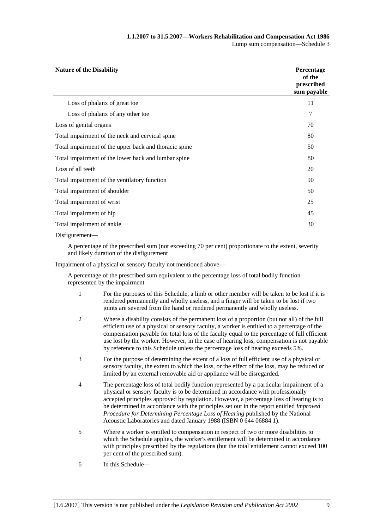| <b>Nature of the Disability</b>                       | Percentage<br>of the<br>prescribed<br>sum payable |
|-------------------------------------------------------|---------------------------------------------------|
| Loss of phalanx of great toe                          | 11                                                |
| Loss of phalanx of any other toe                      | 7                                                 |
| Loss of genital organs                                | 70                                                |
| Total impairment of the neck and cervical spine       | 80                                                |
| Total impairment of the upper back and thoracic spine | 50                                                |
| Total impairment of the lower back and lumbar spine   | 80                                                |
| Loss of all teeth                                     | 20                                                |
| Total impairment of the ventilatory function          | 90                                                |
| Total impairment of shoulder                          | 50                                                |
| Total impairment of wrist                             | 25                                                |
| Total impairment of hip                               | 45                                                |
| Total impairment of ankle                             | 30                                                |
| $Disfigurrent-$                                       |                                                   |

A percentage of the prescribed sum (not exceeding 70 per cent) proportionate to the extent, severity and likely duration of the disfigurement

Impairment of a physical or sensory faculty not mentioned above—

A percentage of the prescribed sum equivalent to the percentage loss of total bodily function represented by the impairment

- 1 For the purposes of this Schedule, a limb or other member will be taken to be lost if it is rendered permanently and wholly useless, and a finger will be taken to be lost if two joints are severed from the hand or rendered permanently and wholly useless.
- 2 Where a disability consists of the permanent loss of a proportion (but not all) of the full efficient use of a physical or sensory faculty, a worker is entitled to a percentage of the compensation payable for total loss of the faculty equal to the percentage of full efficient use lost by the worker. However, in the case of hearing loss, compensation is not payable by reference to this Schedule unless the percentage loss of hearing exceeds 5%.
- 3 For the purpose of determining the extent of a loss of full efficient use of a physical or sensory faculty, the extent to which the loss, or the effect of the loss, may be reduced or limited by an external removable aid or appliance will be disregarded.
- 4 The percentage loss of total bodily function represented by a particular impairment of a physical or sensory faculty is to be determined in accordance with professionally accepted principles approved by regulation. However, a percentage loss of hearing is to be determined in accordance with the principles set out in the report entitled *Improved Procedure for Determining Percentage Loss of Hearing* published by the National Acoustic Laboratories and dated January 1988 (ISBN 0 644 06884 1).
- 5 Where a worker is entitled to compensation in respect of two or more disabilities to which the Schedule applies, the worker's entitlement will be determined in accordance with principles prescribed by the regulations (but the total entitlement cannot exceed 100 per cent of the prescribed sum).
- 6 In this Schedule—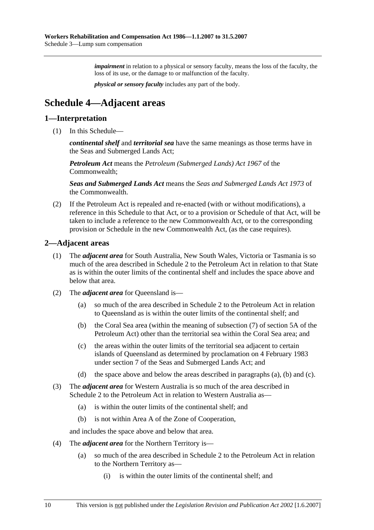*impairment* in relation to a physical or sensory faculty, means the loss of the faculty, the loss of its use, or the damage to or malfunction of the faculty.

*physical or sensory faculty* includes any part of the body.

# **Schedule 4—Adjacent areas**

#### **1—Interpretation**

(1) In this Schedule—

*continental shelf* and *territorial sea* have the same meanings as those terms have in the Seas and Submerged Lands Act;

*Petroleum Act* means the *Petroleum (Submerged Lands) Act 1967* of the Commonwealth;

*Seas and Submerged Lands Act* means the *Seas and Submerged Lands Act 1973* of the Commonwealth.

 (2) If the Petroleum Act is repealed and re-enacted (with or without modifications), a reference in this Schedule to that Act, or to a provision or Schedule of that Act, will be taken to include a reference to the new Commonwealth Act, or to the corresponding provision or Schedule in the new Commonwealth Act, (as the case requires).

#### **2—Adjacent areas**

- (1) The *adjacent area* for South Australia, New South Wales, Victoria or Tasmania is so much of the area described in Schedule 2 to the Petroleum Act in relation to that State as is within the outer limits of the continental shelf and includes the space above and below that area.
- (2) The *adjacent area* for Queensland is—
	- (a) so much of the area described in Schedule 2 to the Petroleum Act in relation to Queensland as is within the outer limits of the continental shelf; and
	- (b) the Coral Sea area (within the meaning of subsection (7) of section 5A of the Petroleum Act) other than the territorial sea within the Coral Sea area; and
	- (c) the areas within the outer limits of the territorial sea adjacent to certain islands of Queensland as determined by proclamation on 4 February 1983 under section 7 of the Seas and Submerged Lands Act; and
	- (d) the space above and below the areas described in paragraphs (a), (b) and (c).
- (3) The *adjacent area* for Western Australia is so much of the area described in Schedule 2 to the Petroleum Act in relation to Western Australia as—
	- (a) is within the outer limits of the continental shelf; and
	- (b) is not within Area A of the Zone of Cooperation,

and includes the space above and below that area.

- (4) The *adjacent area* for the Northern Territory is—
	- (a) so much of the area described in Schedule 2 to the Petroleum Act in relation to the Northern Territory as—
		- (i) is within the outer limits of the continental shelf; and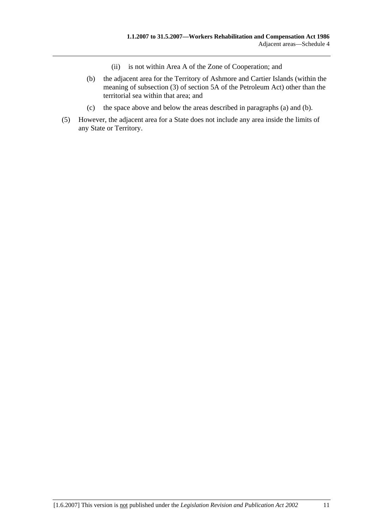- (ii) is not within Area A of the Zone of Cooperation; and
- (b) the adjacent area for the Territory of Ashmore and Cartier Islands (within the meaning of subsection (3) of section 5A of the Petroleum Act) other than the territorial sea within that area; and
- (c) the space above and below the areas described in paragraphs (a) and (b).
- (5) However, the adjacent area for a State does not include any area inside the limits of any State or Territory.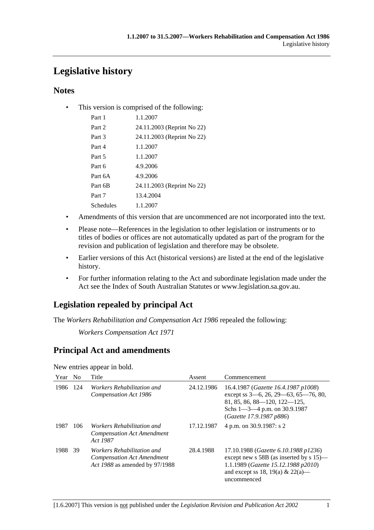# **Legislative history**

# **Notes**

• This version is comprised of the following:

| Part 1    | 1.1.2007                   |
|-----------|----------------------------|
| Part 2    | 24.11.2003 (Reprint No 22) |
| Part 3    | 24.11.2003 (Reprint No 22) |
| Part 4    | 1.1.2007                   |
| Part 5    | 1.1.2007                   |
| Part 6    | 4.9.2006                   |
| Part 6A   | 4.9.2006                   |
| Part 6B   | 24.11.2003 (Reprint No 22) |
| Part 7    | 13.4.2004                  |
| Schedules | 1.1.2007                   |

- Amendments of this version that are uncommenced are not incorporated into the text.
- Please note—References in the legislation to other legislation or instruments or to titles of bodies or offices are not automatically updated as part of the program for the revision and publication of legislation and therefore may be obsolete.
- Earlier versions of this Act (historical versions) are listed at the end of the legislative history.
- For further information relating to the Act and subordinate legislation made under the Act see the Index of South Australian Statutes or www.legislation.sa.gov.au.

# **Legislation repealed by principal Act**

The *Workers Rehabilitation and Compensation Act 1986* repealed the following:

*Workers Compensation Act 1971*

# **Principal Act and amendments**

New entries appear in bold.

| Year | No  | Title                                                                                             | Assent     | Commencement                                                                                                                                                                                 |
|------|-----|---------------------------------------------------------------------------------------------------|------------|----------------------------------------------------------------------------------------------------------------------------------------------------------------------------------------------|
| 1986 | 124 | Workers Rehabilitation and<br>Compensation Act 1986                                               | 24.12.1986 | 16.4.1987 ( <i>Gazette 16.4.1987 p1008</i> )<br>except ss 3–6, 26, 29–63, 65–76, 80,<br>$81, 85, 86, 88$ - 120, 122 - 125,<br>Schs $1 - 3 - 4$ p.m. on 30.9.1987<br>(Gazette 17.9.1987 p886) |
| 1987 | 106 | Workers Rehabilitation and<br><b>Compensation Act Amendment</b><br>Act 1987                       | 17.12.1987 | 4 p.m. on 30.9.1987: s 2                                                                                                                                                                     |
| 1988 | 39  | Workers Rehabilitation and<br><b>Compensation Act Amendment</b><br>Act 1988 as amended by 97/1988 | 28.4.1988  | 17.10.1988 (Gazette 6.10.1988 p1236)<br>except new s $58B$ (as inserted by s 15)—<br>1.1.1989 (Gazette 15.12.1988 p2010)<br>and except ss 18, 19(a) & 22(a)—<br>uncommenced                  |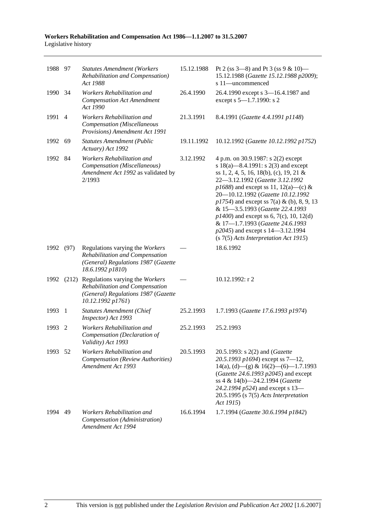#### **Workers Rehabilitation and Compensation Act 1986—1.1.2007 to 31.5.2007**  Legislative history

| 1988 97 |                | <b>Statutes Amendment (Workers</b><br>Rehabilitation and Compensation)<br>Act 1988                                                        | 15.12.1988 | Pt 2 (ss $3-8$ ) and Pt 3 (ss $9 & 10$ )<br>15.12.1988 (Gazette 15.12.1988 p2009);<br>s 11-uncommenced                                                                                                                                                                                                                                                                                                                                                                                     |
|---------|----------------|-------------------------------------------------------------------------------------------------------------------------------------------|------------|--------------------------------------------------------------------------------------------------------------------------------------------------------------------------------------------------------------------------------------------------------------------------------------------------------------------------------------------------------------------------------------------------------------------------------------------------------------------------------------------|
| 1990    | - 34           | Workers Rehabilitation and<br><b>Compensation Act Amendment</b><br>Act 1990                                                               | 26.4.1990  | 26.4.1990 except s 3-16.4.1987 and<br>except s 5-1.7.1990: s 2                                                                                                                                                                                                                                                                                                                                                                                                                             |
| 1991    | $\overline{4}$ | Workers Rehabilitation and<br>Compensation (Miscellaneous<br>Provisions) Amendment Act 1991                                               | 21.3.1991  | 8.4.1991 (Gazette 4.4.1991 p1148)                                                                                                                                                                                                                                                                                                                                                                                                                                                          |
| 1992    | -69            | <b>Statutes Amendment (Public</b><br>Actuary) Act 1992                                                                                    | 19.11.1992 | 10.12.1992 (Gazette 10.12.1992 p1752)                                                                                                                                                                                                                                                                                                                                                                                                                                                      |
| 1992 84 |                | Workers Rehabilitation and<br>Compensation (Miscellaneous)<br>Amendment Act 1992 as validated by<br>2/1993                                | 3.12.1992  | 4 p.m. on 30.9.1987: s 2(2) except<br>s 18(a)—8.4.1991: s 2(3) and except<br>ss 1, 2, 4, 5, 16, 18(b), (c), 19, 21 &<br>22-3.12.1992 (Gazette 3.12.1992<br>$p1688$ ) and except ss 11, 12(a)—(c) &<br>20-10.12.1992 (Gazette 10.12.1992<br>$p1754$ ) and except ss 7(a) & (b), 8, 9, 13<br>& 15-3.5.1993 (Gazette 22.4.1993<br>$p1400$ ) and except ss 6, 7(c), 10, 12(d)<br>& 17-1.7.1993 (Gazette 24.6.1993<br>p2045) and except s 14-3.12.1994<br>(s 7(5) Acts Interpretation Act 1915) |
| 1992    | (97)           | Regulations varying the Workers<br>Rehabilitation and Compensation<br>(General) Regulations 1987 (Gazette<br>18.6.1992 p1810)             |            | 18.6.1992                                                                                                                                                                                                                                                                                                                                                                                                                                                                                  |
|         |                | 1992 (212) Regulations varying the Workers<br>Rehabilitation and Compensation<br>(General) Regulations 1987 (Gazette<br>10.12.1992 p1761) |            | 10.12.1992: r 2                                                                                                                                                                                                                                                                                                                                                                                                                                                                            |
| 1993    | $\mathbf{1}$   | <b>Statutes Amendment (Chief</b><br>Inspector) Act 1993                                                                                   | 25.2.1993  | 1.7.1993 (Gazette 17.6.1993 p1974)                                                                                                                                                                                                                                                                                                                                                                                                                                                         |
| 1993    | 2              | Workers Rehabilitation and<br>Compensation (Declaration of<br>Validity) Act 1993                                                          | 25.2.1993  | 25.2.1993                                                                                                                                                                                                                                                                                                                                                                                                                                                                                  |
| 1993 52 |                | Workers Rehabilitation and<br>Compensation (Review Authorities)<br>Amendment Act 1993                                                     | 20.5.1993  | 20.5.1993: s 2(2) and ( <i>Gazette</i><br>20.5.1993 p1694) except ss $7-12$ ,<br>$14(a)$ , (d) - (g) & $16(2)$ - (6) - 1.7.1993<br>(Gazette 24.6.1993 p2045) and except<br>ss 4 & 14(b)-24.2.1994 (Gazette<br>24.2.1994 p524) and except s 13-<br>$20.5.1995$ (s $7(5)$ Acts Interpretation<br>Act 1915)                                                                                                                                                                                   |
| 1994    | 49             | Workers Rehabilitation and<br>Compensation (Administration)<br>Amendment Act 1994                                                         | 16.6.1994  | 1.7.1994 (Gazette 30.6.1994 p1842)                                                                                                                                                                                                                                                                                                                                                                                                                                                         |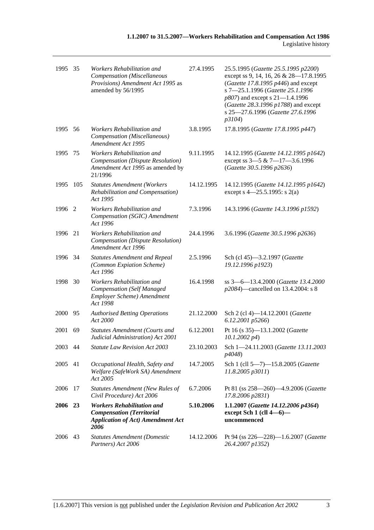| 1995 35 |     | Workers Rehabilitation and<br>Compensation (Miscellaneous<br>Provisions) Amendment Act 1995 as<br>amended by 56/1995      | 27.4.1995  | 25.5.1995 (Gazette 25.5.1995 p2200)<br>except ss 9, 14, 16, 26 & 28-17.8.1995<br>(Gazette 17.8.1995 $p446$ ) and except<br>s 7-25.1.1996 (Gazette 25.1.1996<br>p807) and except s 21-1.4.1996<br>(Gazette 28.3.1996 p1788) and except<br>s 25-27.6.1996 (Gazette 27.6.1996<br>p3104) |
|---------|-----|---------------------------------------------------------------------------------------------------------------------------|------------|--------------------------------------------------------------------------------------------------------------------------------------------------------------------------------------------------------------------------------------------------------------------------------------|
| 1995 56 |     | Workers Rehabilitation and<br>Compensation (Miscellaneous)<br>Amendment Act 1995                                          | 3.8.1995   | 17.8.1995 (Gazette 17.8.1995 p447)                                                                                                                                                                                                                                                   |
| 1995    | 75  | Workers Rehabilitation and<br>Compensation (Dispute Resolution)<br>Amendment Act 1995 as amended by<br>21/1996            | 9.11.1995  | 14.12.1995 (Gazette 14.12.1995 p1642)<br>except ss 3-5 & 7-17-3.6.1996<br>(Gazette 30.5.1996 p2636)                                                                                                                                                                                  |
| 1995    | 105 | <b>Statutes Amendment (Workers</b><br>Rehabilitation and Compensation)<br>Act 1995                                        | 14.12.1995 | 14.12.1995 (Gazette 14.12.1995 p1642)<br>except s $4 - 25.5.1995$ : s 2(a)                                                                                                                                                                                                           |
| 1996    | 2   | Workers Rehabilitation and<br>Compensation (SGIC) Amendment<br>Act 1996                                                   | 7.3.1996   | 14.3.1996 (Gazette 14.3.1996 p1592)                                                                                                                                                                                                                                                  |
| 1996    | 21  | Workers Rehabilitation and<br>Compensation (Dispute Resolution)<br>Amendment Act 1996                                     | 24.4.1996  | 3.6.1996 (Gazette 30.5.1996 p2636)                                                                                                                                                                                                                                                   |
| 1996 34 |     | <b>Statutes Amendment and Repeal</b><br>(Common Expiation Scheme)<br>Act 1996                                             | 2.5.1996   | Sch (cl 45)-3.2.1997 (Gazette<br>19.12.1996 p1923)                                                                                                                                                                                                                                   |
| 1998    | 30  | Workers Rehabilitation and<br><b>Compensation</b> (Self Managed<br>Employer Scheme) Amendment<br>Act 1998                 | 16.4.1998  | ss 3-6-13.4.2000 (Gazette 13.4.2000<br>p2084)—cancelled on 13.4.2004: s 8                                                                                                                                                                                                            |
| 2000    | 95  | <b>Authorised Betting Operations</b><br>Act 2000                                                                          | 21.12.2000 | Sch 2 (cl 4)-14.12.2001 (Gazette<br>6.12.2001 p5266)                                                                                                                                                                                                                                 |
| 2001    | 69  | <b>Statutes Amendment (Courts and</b><br>Judicial Administration) Act 2001                                                | 6.12.2001  | Pt 16 (s 35)-13.1.2002 (Gazette<br>$10.1.2002\ p4$                                                                                                                                                                                                                                   |
| 2003 44 |     | <b>Statute Law Revision Act 2003</b>                                                                                      | 23.10.2003 | Sch 1-24.11.2003 (Gazette 13.11.2003<br>p4048)                                                                                                                                                                                                                                       |
| 2005    | 41  | Occupational Health, Safety and<br>Welfare (SafeWork SA) Amendment<br>Act 2005                                            | 14.7.2005  | Sch 1 (cll 5-7)-15.8.2005 (Gazette<br>11.8.2005 p3011)                                                                                                                                                                                                                               |
| 2006    | 17  | <b>Statutes Amendment (New Rules of</b><br>Civil Procedure) Act 2006                                                      | 6.7.2006   | Pt 81 (ss 258-260)-4.9.2006 (Gazette<br>17.8.2006 p2831)                                                                                                                                                                                                                             |
| 2006 23 |     | <b>Workers Rehabilitation and</b><br><b>Compensation</b> (Territorial<br><b>Application of Act) Amendment Act</b><br>2006 | 5.10.2006  | 1.1.2007 (Gazette 14.12.2006 p4364)<br>except Sch 1 (cll 4-6)-<br>uncommenced                                                                                                                                                                                                        |
| 2006    | 43  | <b>Statutes Amendment (Domestic</b><br>Partners) Act 2006                                                                 | 14.12.2006 | Pt 94 (ss 226-228)-1.6.2007 (Gazette<br>26.4.2007 p1352)                                                                                                                                                                                                                             |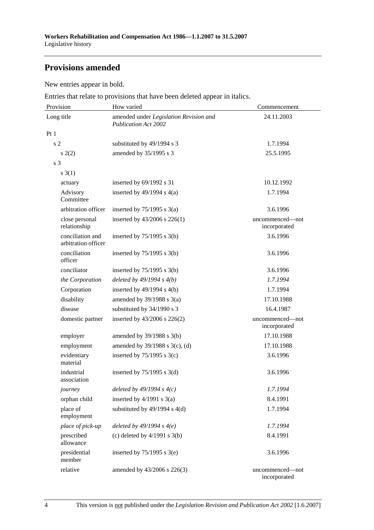# **Provisions amended**

New entries appear in bold.

Entries that relate to provisions that have been deleted appear in italics.

| Provision                               | How varied                                                            | Commencement                    |  |
|-----------------------------------------|-----------------------------------------------------------------------|---------------------------------|--|
| Long title                              | amended under Legislation Revision and<br><b>Publication Act 2002</b> | 24.11.2003                      |  |
| Pt1                                     |                                                                       |                                 |  |
| s <sub>2</sub>                          | substituted by 49/1994 s 3                                            | 1.7.1994                        |  |
| s(2)                                    | amended by 35/1995 s 3                                                | 25.5.1995                       |  |
| s <sub>3</sub>                          |                                                                       |                                 |  |
| $s \; 3(1)$                             |                                                                       |                                 |  |
| actuary                                 | inserted by 69/1992 s 31                                              | 10.12.1992                      |  |
| Advisory<br>Committee                   | inserted by $49/1994$ s $4(a)$                                        | 1.7.1994                        |  |
| arbitration officer                     | inserted by $75/1995$ s $3(a)$                                        | 3.6.1996                        |  |
| close personal<br>relationship          | inserted by 43/2006 s 226(1)                                          | uncommenced-not<br>incorporated |  |
| conciliation and<br>arbitration officer | inserted by $75/1995$ s 3(b)                                          | 3.6.1996                        |  |
| conciliation<br>officer                 | inserted by $75/1995$ s 3(b)                                          | 3.6.1996                        |  |
| conciliator                             | inserted by $75/1995$ s 3(b)                                          | 3.6.1996                        |  |
| the Corporation                         | deleted by $49/1994 s 4(b)$                                           | 1.7.1994                        |  |
| Corporation                             | inserted by $49/1994$ s $4(b)$                                        | 1.7.1994                        |  |
| disability                              | amended by $39/1988$ s $3(a)$                                         | 17.10.1988                      |  |
| disease                                 | substituted by 34/1990 s 3                                            | 16.4.1987                       |  |
| domestic partner                        | inserted by 43/2006 s 226(2)                                          | uncommenced-not<br>incorporated |  |
| employer                                | amended by 39/1988 s 3(b)                                             | 17.10.1988                      |  |
| employment                              | amended by $39/1988$ s $3(c)$ , (d)                                   | 17.10.1988                      |  |
| evidentiary<br>material                 | inserted by $75/1995$ s 3(c)                                          | 3.6.1996                        |  |
| industrial<br>association               | inserted by $75/1995$ s 3(d)                                          | 3.6.1996                        |  |
| journey                                 | deleted by $49/1994 s 4(c)$                                           | 1.7.1994                        |  |
| orphan child                            | inserted by $4/1991$ s $3(a)$                                         | 8.4.1991                        |  |
| place of<br>employment                  | substituted by $49/1994$ s $4(d)$                                     | 1.7.1994                        |  |
| place of pick-up                        | deleted by $49/1994 s 4(e)$                                           | 1.7.1994                        |  |
| prescribed<br>allowance                 | (c) deleted by $4/1991$ s $3(b)$                                      | 8.4.1991                        |  |
| presidential<br>member                  | inserted by $75/1995$ s 3(e)                                          | 3.6.1996                        |  |
| relative                                | amended by 43/2006 s 226(3)                                           | uncommenced—not<br>incorporated |  |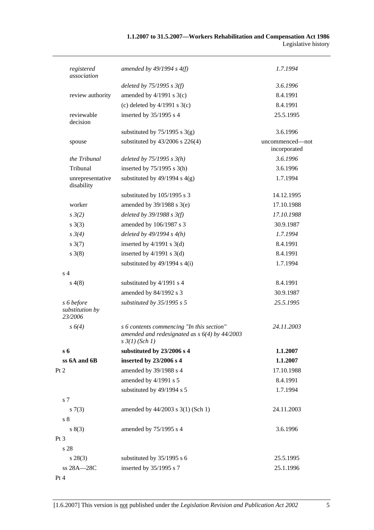# **1.1.2007 to 31.5.2007—Workers Rehabilitation and Compensation Act 1986**  Legislative history

| registered<br>association                | amended by $49/1994 s 4(f)$                                                                                             | 1.7.1994                        |
|------------------------------------------|-------------------------------------------------------------------------------------------------------------------------|---------------------------------|
|                                          | deleted by $75/1995$ s $3(f)$                                                                                           | 3.6.1996                        |
| review authority                         | amended by $4/1991$ s $3(c)$                                                                                            | 8.4.1991                        |
|                                          | (c) deleted by $4/1991$ s $3(c)$                                                                                        | 8.4.1991                        |
| reviewable<br>decision                   | inserted by 35/1995 s 4                                                                                                 | 25.5.1995                       |
|                                          | substituted by $75/1995$ s 3(g)                                                                                         | 3.6.1996                        |
| spouse                                   | substituted by 43/2006 s 226(4)                                                                                         | uncommenced—not<br>incorporated |
| the Tribunal                             | deleted by $75/1995 s 3(h)$                                                                                             | 3.6.1996                        |
| Tribunal                                 | inserted by $75/1995$ s 3(h)                                                                                            | 3.6.1996                        |
| unrepresentative<br>disability           | substituted by $49/1994$ s $4(g)$                                                                                       | 1.7.1994                        |
|                                          | substituted by 105/1995 s 3                                                                                             | 14.12.1995                      |
| worker                                   | amended by $39/1988$ s $3(e)$                                                                                           | 17.10.1988                      |
| $s \frac{3}{2}$                          | deleted by $39/1988$ s $3(f)$                                                                                           | 17.10.1988                      |
| $s \; 3(3)$                              | amended by 106/1987 s 3                                                                                                 | 30.9.1987                       |
| $s \, 3(4)$                              | deleted by $49/1994 s 4(h)$                                                                                             | 1.7.1994                        |
| $s \frac{3(7)}{2}$                       | inserted by $4/1991$ s 3(d)                                                                                             | 8.4.1991                        |
| $s \; 3(8)$                              | inserted by $4/1991$ s 3(d)                                                                                             | 8.4.1991                        |
|                                          | substituted by $49/1994$ s $4(i)$                                                                                       | 1.7.1994                        |
| s <sub>4</sub>                           |                                                                                                                         |                                 |
| s(4(8)                                   | substituted by 4/1991 s 4                                                                                               | 8.4.1991                        |
|                                          | amended by 84/1992 s 3                                                                                                  | 30.9.1987                       |
| s 6 before<br>substitution by<br>23/2006 | substituted by 35/1995 s 5                                                                                              | 25.5.1995                       |
| $s \, 6(4)$                              | s 6 contents commencing "In this section"<br>amended and redesignated as $s$ 6(4) by 44/2003<br>$s \frac{3}{1}$ (Sch 1) | 24.11.2003                      |
| $s_{6}$                                  | substituted by 23/2006 s 4                                                                                              | 1.1.2007                        |
| ss 6A and 6B                             | inserted by 23/2006 s 4                                                                                                 | 1.1.2007                        |
| Pt 2                                     | amended by 39/1988 s 4                                                                                                  | 17.10.1988                      |
|                                          | amended by 4/1991 s 5                                                                                                   | 8.4.1991                        |
|                                          | substituted by 49/1994 s 5                                                                                              | 1.7.1994                        |
| s 7                                      |                                                                                                                         |                                 |
| s(7(3)<br>s <sub>8</sub>                 | amended by 44/2003 s 3(1) (Sch 1)                                                                                       | 24.11.2003                      |
| s(3)                                     | amended by 75/1995 s 4                                                                                                  | 3.6.1996                        |
| $Pt\,3$                                  |                                                                                                                         |                                 |
| s 28                                     |                                                                                                                         |                                 |
| $s\,28(3)$                               | substituted by 35/1995 s 6                                                                                              | 25.5.1995                       |
| ss 28A-28C                               | inserted by 35/1995 s 7                                                                                                 | 25.1.1996                       |
| Pt 4                                     |                                                                                                                         |                                 |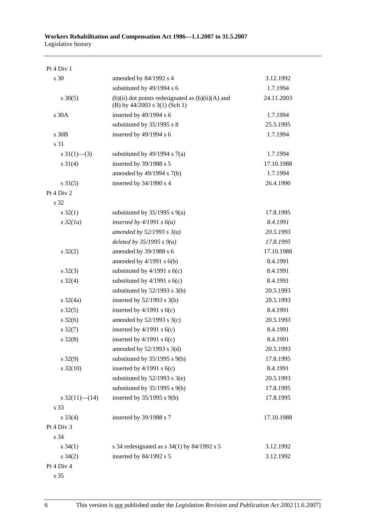| Pt 4 Div 1              |                                                                                            |            |
|-------------------------|--------------------------------------------------------------------------------------------|------------|
| s 30                    | amended by 84/1992 s 4                                                                     | 3.12.1992  |
|                         | substituted by 49/1994 s 6                                                                 | 1.7.1994   |
| $s \ 30(5)$             | $(b)(ii)$ dot points redesignated as $(b)(ii)(A)$ and<br>(B) by $44/2003$ s $3(1)$ (Sch 1) | 24.11.2003 |
| s 30A                   | inserted by 49/1994 s 6                                                                    | 1.7.1994   |
|                         | substituted by 35/1995 s 8                                                                 | 25.5.1995  |
| $s$ 30 $B$              | inserted by 49/1994 s 6                                                                    | 1.7.1994   |
| s 31                    |                                                                                            |            |
| $s \frac{31(1)}{6}$ (3) | substituted by $49/1994$ s $7(a)$                                                          | 1.7.1994   |
| $s \ 31(4)$             | inserted by 39/1988 s 5                                                                    | 17.10.1988 |
|                         | amended by 49/1994 s 7(b)                                                                  | 1.7.1994   |
| $s \, 31(5)$            | inserted by 34/1990 s 4                                                                    | 26.4.1990  |
| Pt 4 Div 2              |                                                                                            |            |
| s 32                    |                                                                                            |            |
| $s \, 32(1)$            | substituted by $35/1995$ s $9(a)$                                                          | 17.8.1995  |
| $s\,32(1a)$             | inserted by $4/1991 s 6(a)$                                                                | 8.4.1991   |
|                         | amended by $52/1993$ s $3(a)$                                                              | 20.5.1993  |
|                         | deleted by $35/1995 s$ 9(a)                                                                | 17.8.1995  |
| $s \, 32(2)$            | amended by 39/1988 s 6                                                                     | 17.10.1988 |
|                         | amended by $4/1991$ s $6(b)$                                                               | 8.4.1991   |
| $s \, 32(3)$            | substituted by $4/1991$ s $6(c)$                                                           | 8.4.1991   |
| $s \frac{32(4)}{2}$     | substituted by $4/1991$ s $6(c)$                                                           | 8.4.1991   |
|                         | substituted by $52/1993$ s 3(b)                                                            | 20.5.1993  |
| s $32(4a)$              | inserted by $52/1993$ s $3(b)$                                                             | 20.5.1993  |
| $s \, 32(5)$            | inserted by $4/1991$ s $6(c)$                                                              | 8.4.1991   |
| $s \, 32(6)$            | amended by $52/1993$ s $3(c)$                                                              | 20.5.1993  |
| $s \frac{32(7)}{2}$     | inserted by $4/1991$ s $6(c)$                                                              | 8.4.1991   |
| $s \, 32(8)$            | inserted by $4/1991$ s $6(c)$                                                              | 8.4.1991   |
|                         | amended by 52/1993 s 3(d)                                                                  | 20.5.1993  |
| $s \, 32(9)$            | substituted by $35/1995$ s $9(b)$                                                          | 17.8.1995  |
| $s \frac{32(10)}{2}$    | inserted by $4/1991$ s $6(c)$                                                              | 8.4.1991   |
|                         | substituted by $52/1993$ s $3(e)$                                                          | 20.5.1993  |
|                         | substituted by $35/1995$ s $9(b)$                                                          | 17.8.1995  |
| s $32(11)$ (14)         | inserted by $35/1995$ s $9(b)$                                                             | 17.8.1995  |
| s 33                    |                                                                                            |            |
| $s \, 33(4)$            | inserted by 39/1988 s 7                                                                    | 17.10.1988 |
| Pt 4 Div 3              |                                                                                            |            |
| s 34                    |                                                                                            |            |
| $s \, 34(1)$            | s 34 redesignated as $s$ 34(1) by 84/1992 s 5                                              | 3.12.1992  |
| $s \; 34(2)$            | inserted by 84/1992 s 5                                                                    | 3.12.1992  |
| Pt 4 Div 4              |                                                                                            |            |
|                         |                                                                                            |            |

s 35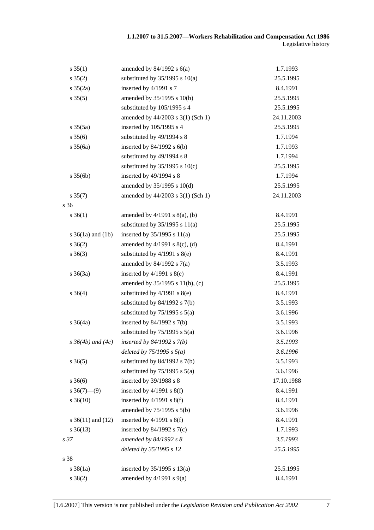| $s \, 35(1)$          | amended by $84/1992$ s $6(a)$                     | 1.7.1993   |
|-----------------------|---------------------------------------------------|------------|
| $s \, 35(2)$          | substituted by $35/1995$ s $10(a)$                | 25.5.1995  |
| $s \frac{35(2a)}{2}$  | inserted by 4/1991 s 7                            | 8.4.1991   |
| $s \, 35(5)$          | amended by 35/1995 s 10(b)                        | 25.5.1995  |
|                       | substituted by 105/1995 s 4                       | 25.5.1995  |
|                       | amended by 44/2003 s 3(1) (Sch 1)                 | 24.11.2003 |
| $s \, 35(5a)$         | inserted by 105/1995 s 4                          | 25.5.1995  |
| $s \, 35(6)$          | substituted by 49/1994 s 8                        | 1.7.1994   |
| $s \frac{35(6a)}{2}$  | inserted by $84/1992$ s $6(b)$                    | 1.7.1993   |
|                       | substituted by 49/1994 s 8                        | 1.7.1994   |
|                       | substituted by $35/1995$ s $10(c)$                | 25.5.1995  |
| $s \, 35(6b)$         | inserted by 49/1994 s 8                           | 1.7.1994   |
|                       | amended by 35/1995 s 10(d)                        | 25.5.1995  |
| $s \, 35(7)$          | amended by 44/2003 s 3(1) (Sch 1)                 | 24.11.2003 |
| s 36                  |                                                   |            |
| $s \; 36(1)$          | amended by $4/1991$ s $8(a)$ , (b)                | 8.4.1991   |
|                       | substituted by $35/1995$ s $11(a)$                | 25.5.1995  |
| s $36(1a)$ and $(1b)$ | inserted by $35/1995$ s $11(a)$                   | 25.5.1995  |
| $s \; 36(2)$          | amended by $4/1991$ s $8(c)$ , (d)                | 8.4.1991   |
| $s \; 36(3)$          | substituted by 4/1991 s 8(e)                      | 8.4.1991   |
|                       | amended by $84/1992$ s $7(a)$                     | 3.5.1993   |
| $s \; 36(3a)$         | inserted by $4/1991$ s $8(e)$                     | 8.4.1991   |
|                       | amended by 35/1995 s 11(b), (c)                   | 25.5.1995  |
| $s \; 36(4)$          | substituted by $4/1991$ s $8(e)$                  | 8.4.1991   |
|                       | substituted by $84/1992$ s $7(b)$                 | 3.5.1993   |
|                       | substituted by $75/1995$ s $5(a)$                 | 3.6.1996   |
| $s \; 36(4a)$         | inserted by $84/1992$ s $7(b)$                    | 3.5.1993   |
|                       | substituted by $75/1995$ s $5(a)$                 | 3.6.1996   |
|                       | $s\,36(4b)$ and $(4c)$ inserted by 84/1992 s 7(b) | 3.5.1993   |
|                       | deleted by $75/1995$ s $5(a)$                     | 3.6.1996   |
| $s \; 36(5)$          | substituted by $84/1992$ s $7(b)$                 | 3.5.1993   |
|                       | substituted by $75/1995$ s $5(a)$                 | 3.6.1996   |
| $s \; 36(6)$          | inserted by 39/1988 s 8                           | 17.10.1988 |
| $s \ 36(7)$ (9)       | inserted by $4/1991$ s $8(f)$                     | 8.4.1991   |
| $s \, 36(10)$         | inserted by $4/1991$ s $8(f)$                     | 8.4.1991   |
|                       | amended by 75/1995 s 5(b)                         | 3.6.1996   |
| s $36(11)$ and $(12)$ | inserted by $4/1991$ s $8(f)$                     | 8.4.1991   |
| $s \, 36(13)$         | inserted by $84/1992$ s $7(c)$                    | 1.7.1993   |
| s <sub>37</sub>       | amended by 84/1992 s 8                            | 3.5.1993   |
|                       | deleted by 35/1995 s 12                           | 25.5.1995  |
| s 38                  |                                                   |            |
| $s \frac{38}{1a}$     | inserted by $35/1995$ s $13(a)$                   | 25.5.1995  |
| $s \ 38(2)$           | amended by $4/1991$ s $9(a)$                      | 8.4.1991   |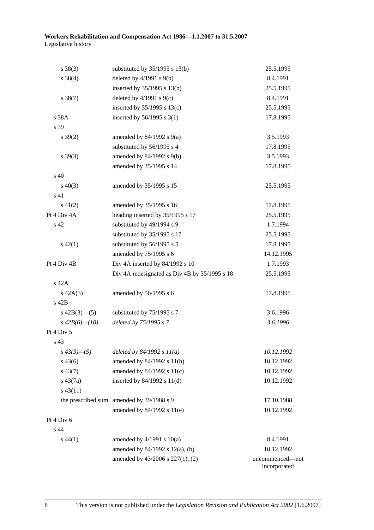| $s \ 38(3)$         | substituted by $35/1995$ s $13(b)$            | 25.5.1995       |
|---------------------|-----------------------------------------------|-----------------|
| $s \ 38(4)$         | deleted by $4/1991$ s $9(b)$                  | 8.4.1991        |
|                     | inserted by 35/1995 s 13(b)                   | 25.5.1995       |
| $s \ 38(7)$         | deleted by $4/1991$ s $9(c)$                  | 8.4.1991        |
|                     | inserted by $35/1995$ s $13(c)$               | 25.5.1995       |
| s 38A               | inserted by $56/1995$ s 3(1)                  | 17.8.1995       |
| s 39                |                                               |                 |
| $s \frac{39(2)}{2}$ | amended by $84/1992$ s $9(a)$                 | 3.5.1993        |
|                     | substituted by 56/1995 s 4                    | 17.8.1995       |
| $s\,39(3)$          | amended by 84/1992 s 9(b)                     | 3.5.1993        |
|                     | amended by 35/1995 s 14                       | 17.8.1995       |
| s <sub>40</sub>     |                                               |                 |
| $s\ 40(3)$          | amended by 35/1995 s 15                       | 25.5.1995       |
| $\sqrt{s}$ 41       |                                               |                 |
| $s\ 41(2)$          | amended by 35/1995 s 16                       | 17.8.1995       |
| Pt 4 Div 4A         | heading inserted by 35/1995 s 17              | 25.5.1995       |
| s 42                | substituted by 49/1994 s 9                    | 1.7.1994        |
|                     | substituted by 35/1995 s 17                   | 25.5.1995       |
| $s\ 42(1)$          | substituted by 56/1995 s 5                    | 17.8.1995       |
|                     | amended by 75/1995 s 6                        | 14.12.1995      |
| Pt 4 Div 4B         | Div 4A inserted by 84/1992 s 10               | 1.7.1993        |
|                     | Div 4A redesignated as Div 4B by 35/1995 s 18 | 25.5.1995       |
| s 42A               |                                               |                 |
| $s\ 42A(3)$         | amended by 56/1995 s 6                        | 17.8.1995       |
| s 42B               |                                               |                 |
| s $42B(3)$ —(5)     | substituted by 75/1995 s 7                    | 3.6.1996        |
| $s\,42B(6)$ - (10)  | deleted by 75/1995 s 7                        | 3.6.1996        |
| Pt 4 Div 5          |                                               |                 |
| s 43                |                                               |                 |
| $s\,43(3)$ —(5)     | deleted by $84/1992 s 11(a)$                  | 10.12.1992      |
| $s\,43(6)$          | amended by 84/1992 s 11(b)                    | 10.12.1992      |
| $s\,43(7)$          | amended by 84/1992 s 11(c)                    | 10.12.1992      |
| $s\ 43(7a)$         | inserted by $84/1992$ s $11(d)$               | 10.12.1992      |
| $s\,43(11)$         |                                               |                 |
|                     | the prescribed sum amended by 39/1988 s 9     | 17.10.1988      |
|                     | amended by 84/1992 s 11(e)                    | 10.12.1992      |
| Pt 4 Div 6          |                                               |                 |
| s 44                |                                               |                 |
| $s\,44(1)$          | amended by $4/1991$ s $10(a)$                 | 8.4.1991        |
|                     | amended by 84/1992 s 12(a), (b)               | 10.12.1992      |
|                     | amended by 43/2006 s 227(1), (2)              | uncommenced-not |
|                     |                                               | incorporated    |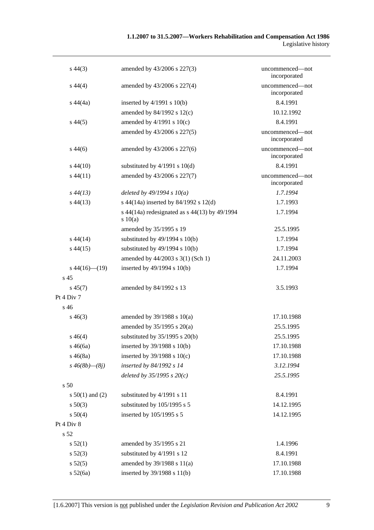# **1.1.2007 to 31.5.2007—Workers Rehabilitation and Compensation Act 1986**  Legislative history

| $s\,44(3)$           | amended by 43/2006 s 227(3)                            | uncommenced—not<br>incorporated |
|----------------------|--------------------------------------------------------|---------------------------------|
| $s\,44(4)$           | amended by 43/2006 s 227(4)                            | uncommenced-not<br>incorporated |
| $s\,44(4a)$          | inserted by $4/1991$ s $10(b)$                         | 8.4.1991                        |
|                      | amended by 84/1992 s 12(c)                             | 10.12.1992                      |
| $s\,44(5)$           | amended by $4/1991$ s $10(c)$                          | 8.4.1991                        |
|                      | amended by 43/2006 s 227(5)                            | uncommenced-not<br>incorporated |
| $s\,44(6)$           | amended by 43/2006 s 227(6)                            | uncommenced-not<br>incorporated |
| $s\,44(10)$          | substituted by $4/1991$ s $10(d)$                      | 8.4.1991                        |
| $s\,44(11)$          | amended by 43/2006 s 227(7)                            | uncommenced-not<br>incorporated |
| $s\,44(13)$          | deleted by $49/1994 s 10(a)$                           | 1.7.1994                        |
| $s\,44(13)$          | s 44(14a) inserted by 84/1992 s 12(d)                  | 1.7.1993                        |
|                      | s 44(14a) redesignated as s 44(13) by 49/1994<br>10(a) | 1.7.1994                        |
|                      | amended by 35/1995 s 19                                | 25.5.1995                       |
| $s\,44(14)$          | substituted by $49/1994$ s $10(b)$                     | 1.7.1994                        |
| $s\,44(15)$          | substituted by $49/1994$ s $10(b)$                     | 1.7.1994                        |
|                      | amended by 44/2003 s 3(1) (Sch 1)                      | 24.11.2003                      |
| $s\,44(16)$ (19)     | inserted by 49/1994 s 10(b)                            | 1.7.1994                        |
| s <sub>45</sub>      |                                                        |                                 |
| $s\,45(7)$           | amended by 84/1992 s 13                                | 3.5.1993                        |
| Pt 4 Div 7           |                                                        |                                 |
| s <sub>46</sub>      |                                                        |                                 |
| $s\,46(3)$           | amended by $39/1988$ s $10(a)$                         | 17.10.1988                      |
|                      | amended by $35/1995$ s $20(a)$                         | 25.5.1995                       |
| $s\,46(4)$           | substituted by $35/1995$ s $20(b)$                     | 25.5.1995                       |
| $s\,46(6a)$          | inserted by 39/1988 s 10(b)                            | 17.10.1988                      |
| $s\,46(8a)$          | inserted by $39/1988$ s $10(c)$                        | 17.10.1988                      |
| $s\,46(8b)$ — $(8j)$ | inserted by 84/1992 s 14                               | 3.12.1994                       |
|                      | deleted by $35/1995 s 20(c)$                           | 25.5.1995                       |
| s 50                 |                                                        |                                 |
| s $50(1)$ and (2)    | substituted by 4/1991 s 11                             | 8.4.1991                        |
| $s\ 50(3)$           | substituted by 105/1995 s 5                            | 14.12.1995                      |
| s 50(4)              | inserted by 105/1995 s 5                               | 14.12.1995                      |
| Pt 4 Div 8           |                                                        |                                 |
| s <sub>52</sub>      |                                                        |                                 |
| s 52(1)              | amended by 35/1995 s 21                                | 1.4.1996                        |
| s 52(3)              | substituted by 4/1991 s 12                             | 8.4.1991                        |
| s 52(5)              | amended by 39/1988 s 11(a)                             | 17.10.1988                      |
| s 52(6a)             | inserted by 39/1988 s 11(b)                            | 17.10.1988                      |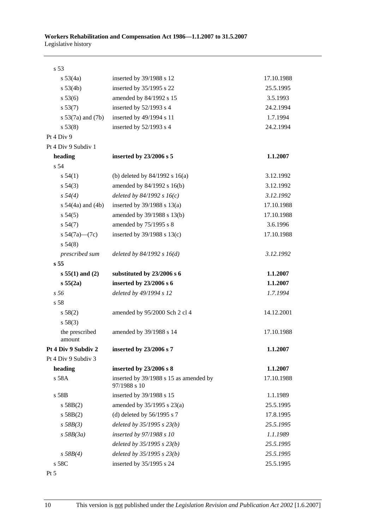| s 53                     |                                                        |            |
|--------------------------|--------------------------------------------------------|------------|
| $s\,53(4a)$              | inserted by 39/1988 s 12                               | 17.10.1988 |
| s 53(4b)                 | inserted by 35/1995 s 22                               | 25.5.1995  |
| s 53(6)                  | amended by 84/1992 s 15                                | 3.5.1993   |
| s 53(7)                  | inserted by 52/1993 s 4                                | 24.2.1994  |
| s $53(7a)$ and $(7b)$    | inserted by 49/1994 s 11                               | 1.7.1994   |
| s 53(8)                  | inserted by 52/1993 s 4                                | 24.2.1994  |
| Pt 4 Div 9               |                                                        |            |
| Pt 4 Div 9 Subdiv 1      |                                                        |            |
| heading                  | inserted by 23/2006 s 5                                | 1.1.2007   |
| s 54                     |                                                        |            |
| $s\,54(1)$               | (b) deleted by $84/1992$ s $16(a)$                     | 3.12.1992  |
| $s\,54(3)$               | amended by 84/1992 s 16(b)                             | 3.12.1992  |
| $s\,54(4)$               | deleted by $84/1992 s 16(c)$                           | 3.12.1992  |
| s $54(4a)$ and $(4b)$    | inserted by $39/1988$ s $13(a)$                        | 17.10.1988 |
| $s\,54(5)$               | amended by 39/1988 s 13(b)                             | 17.10.1988 |
| $s\,54(7)$               | amended by 75/1995 s 8                                 | 3.6.1996   |
| s $54(7a)$ (7c)          | inserted by $39/1988$ s $13(c)$                        | 17.10.1988 |
| $s\,54(8)$               |                                                        |            |
| prescribed sum           | deleted by $84/1992 s 16(d)$                           | 3.12.1992  |
| s <sub>55</sub>          |                                                        |            |
| $s 55(1)$ and (2)        | substituted by 23/2006 s 6                             | 1.1.2007   |
| s 55(2a)                 | inserted by 23/2006 s 6                                | 1.1.2007   |
| s <sub>56</sub>          | deleted by 49/1994 s 12                                | 1.7.1994   |
| s 58                     |                                                        |            |
| s 58(2)                  | amended by 95/2000 Sch 2 cl 4                          | 14.12.2001 |
| s 58(3)                  |                                                        |            |
| the prescribed<br>amount | amended by 39/1988 s 14                                | 17.10.1988 |
| Pt 4 Div 9 Subdiv 2      | inserted by 23/2006 s 7                                | 1.1.2007   |
| Pt 4 Div 9 Subdiv 3      |                                                        |            |
| heading                  | inserted by 23/2006 s 8                                | 1.1.2007   |
| s 58A                    | inserted by 39/1988 s 15 as amended by<br>97/1988 s 10 | 17.10.1988 |
| s 58B                    | inserted by 39/1988 s 15                               | 1.1.1989   |
| s 58B(2)                 | amended by $35/1995$ s $23(a)$                         | 25.5.1995  |
| s 58B(2)                 | (d) deleted by $56/1995$ s 7                           | 17.8.1995  |
| $s$ 58 $B(3)$            | deleted by 35/1995 s 23(b)                             | 25.5.1995  |
| $s$ 58B(3a)              | inserted by 97/1988 s 10                               | 1.1.1989   |
|                          | deleted by $35/1995 s 23(b)$                           | 25.5.1995  |
| s 58B(4)                 | deleted by $35/1995 s 23(b)$                           | 25.5.1995  |
| s 58C                    | inserted by 35/1995 s 24                               | 25.5.1995  |

Pt 5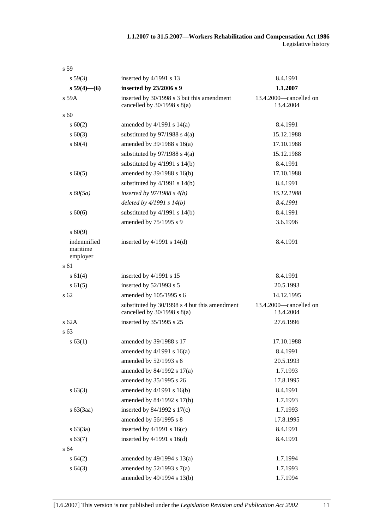| s 59                                |                                                                                  |                                     |
|-------------------------------------|----------------------------------------------------------------------------------|-------------------------------------|
| s 59(3)                             | inserted by 4/1991 s 13                                                          | 8.4.1991                            |
| $s 59(4)$ - (6)                     | inserted by 23/2006 s 9                                                          | 1.1.2007                            |
| $s$ 59 $A$                          | inserted by 30/1998 s 3 but this amendment<br>cancelled by $30/1998$ s $8(a)$    | 13.4.2000—cancelled on<br>13.4.2004 |
| $s\,60$                             |                                                                                  |                                     |
| s 60(2)                             | amended by $4/1991$ s $14(a)$                                                    | 8.4.1991                            |
| $s\ 60(3)$                          | substituted by $97/1988$ s $4(a)$                                                | 15.12.1988                          |
| s 60(4)                             | amended by 39/1988 s 16(a)                                                       | 17.10.1988                          |
|                                     | substituted by $97/1988$ s 4(a)                                                  | 15.12.1988                          |
|                                     | substituted by $4/1991$ s $14(b)$                                                | 8.4.1991                            |
| $s\ 60(5)$                          | amended by 39/1988 s 16(b)                                                       | 17.10.1988                          |
|                                     | substituted by $4/1991$ s $14(b)$                                                | 8.4.1991                            |
| $s\,60(5a)$                         | inserted by $97/1988$ s $4(b)$                                                   | 15.12.1988                          |
|                                     | deleted by $4/1991 s 14(b)$                                                      | 8.4.1991                            |
| $s\ 60(6)$                          | substituted by $4/1991$ s $14(b)$                                                | 8.4.1991                            |
|                                     | amended by 75/1995 s 9                                                           | 3.6.1996                            |
| $s\ 60(9)$                          |                                                                                  |                                     |
| indemnified<br>maritime<br>employer | inserted by $4/1991$ s $14(d)$                                                   | 8.4.1991                            |
| s 61                                |                                                                                  |                                     |
| s 61(4)                             | inserted by 4/1991 s 15                                                          | 8.4.1991                            |
| s 61(5)                             | inserted by 52/1993 s 5                                                          | 20.5.1993                           |
| $s\,62$                             | amended by 105/1995 s 6                                                          | 14.12.1995                          |
|                                     | substituted by 30/1998 s 4 but this amendment<br>cancelled by $30/1998$ s $8(a)$ | 13.4.2000—cancelled on<br>13.4.2004 |
| s62A                                | inserted by 35/1995 s 25                                                         | 27.6.1996                           |
| s 63                                |                                                                                  |                                     |
| s 63(1)                             | amended by 39/1988 s 17                                                          | 17.10.1988                          |
|                                     | amended by $4/1991$ s $16(a)$                                                    | 8.4.1991                            |
|                                     | amended by 52/1993 s 6                                                           | 20.5.1993                           |
|                                     | amended by 84/1992 s 17(a)                                                       | 1.7.1993                            |
|                                     | amended by 35/1995 s 26                                                          | 17.8.1995                           |
| s 63(3)                             | amended by $4/1991$ s $16(b)$                                                    | 8.4.1991                            |
|                                     | amended by 84/1992 s 17(b)                                                       | 1.7.1993                            |
| s 63(3aa)                           | inserted by $84/1992$ s $17(c)$                                                  | 1.7.1993                            |
|                                     | amended by 56/1995 s 8                                                           | 17.8.1995                           |
| $s\,63(3a)$                         | inserted by $4/1991$ s $16(c)$                                                   | 8.4.1991                            |
| s 63(7)                             | inserted by $4/1991$ s $16(d)$                                                   | 8.4.1991                            |
| s 64                                |                                                                                  |                                     |
| s 64(2)                             | amended by $49/1994$ s $13(a)$                                                   | 1.7.1994                            |
| s64(3)                              | amended by $52/1993$ s $7(a)$                                                    | 1.7.1993                            |
|                                     | amended by 49/1994 s 13(b)                                                       | 1.7.1994                            |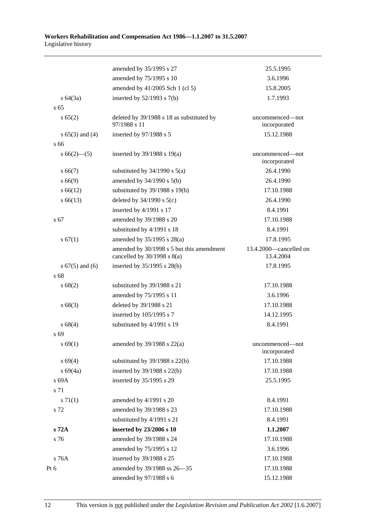|                     | amended by 35/1995 s 27                                                      | 25.5.1995                           |
|---------------------|------------------------------------------------------------------------------|-------------------------------------|
|                     | amended by 75/1995 s 10                                                      | 3.6.1996                            |
|                     | amended by 41/2005 Sch 1 (cl 5)                                              | 15.8.2005                           |
| $s \, 64(3a)$       | inserted by $52/1993$ s $7(b)$                                               | 1.7.1993                            |
| s <sub>65</sub>     |                                                                              |                                     |
| s 65(2)             | deleted by 39/1988 s 18 as substituted by<br>97/1988 s 11                    | uncommenced—not<br>incorporated     |
| s $65(3)$ and $(4)$ | inserted by 97/1988 s 5                                                      | 15.12.1988                          |
| s 66                |                                                                              |                                     |
| $s66(2)$ (5)        | inserted by $39/1988$ s $19(a)$                                              | uncommenced-not<br>incorporated     |
| s 66(7)             | substituted by $34/1990$ s $5(a)$                                            | 26.4.1990                           |
| s 66(9)             | amended by 34/1990 s 5(b)                                                    | 26.4.1990                           |
| $s\,66(12)$         | substituted by 39/1988 s 19(b)                                               | 17.10.1988                          |
| $s\,66(13)$         | deleted by $34/1990$ s $5(c)$                                                | 26.4.1990                           |
|                     | inserted by 4/1991 s 17                                                      | 8.4.1991                            |
| s 67                | amended by 39/1988 s 20                                                      | 17.10.1988                          |
|                     | substituted by 4/1991 s 18                                                   | 8.4.1991                            |
| s 67(1)             | amended by 35/1995 s 28(a)                                                   | 17.8.1995                           |
|                     | amended by 30/1998 s 5 but this amendment<br>cancelled by $30/1998$ s $8(a)$ | 13.4.2000—cancelled on<br>13.4.2004 |
| s $67(5)$ and $(6)$ | inserted by 35/1995 s 28(b)                                                  | 17.8.1995                           |
| s 68                |                                                                              |                                     |
| s 68(2)             | substituted by 39/1988 s 21                                                  | 17.10.1988                          |
|                     | amended by 75/1995 s 11                                                      | 3.6.1996                            |
| s 68(3)             | deleted by 39/1988 s 21                                                      | 17.10.1988                          |
|                     | inserted by 105/1995 s 7                                                     | 14.12.1995                          |
| s 68(4)             | substituted by 4/1991 s 19                                                   | 8.4.1991                            |
| s 69                |                                                                              |                                     |
| s 69(1)             | amended by 39/1988 s 22(a)                                                   | uncommenced-not<br>incorporated     |
| s 69(4)             | substituted by $39/1988$ s $22(b)$                                           | 17.10.1988                          |
| $s\ 69(4a)$         | inserted by 39/1988 s 22(b)                                                  | 17.10.1988                          |
| s 69A               | inserted by 35/1995 s 29                                                     | 25.5.1995                           |
| s 71                |                                                                              |                                     |
| $s \, 71(1)$        | amended by 4/1991 s 20                                                       | 8.4.1991                            |
| s 72                | amended by 39/1988 s 23                                                      | 17.10.1988                          |
|                     | substituted by 4/1991 s 21                                                   | 8.4.1991                            |
| s 72A               | inserted by 23/2006 s 10                                                     | 1.1.2007                            |
| s 76                | amended by 39/1988 s 24                                                      | 17.10.1988                          |
|                     | amended by 75/1995 s 12                                                      | 3.6.1996                            |
| s 76A               | inserted by 39/1988 s 25                                                     | 17.10.1988                          |
| Pt 6                | amended by 39/1988 ss 26-35                                                  | 17.10.1988                          |
|                     | amended by 97/1988 s 6                                                       | 15.12.1988                          |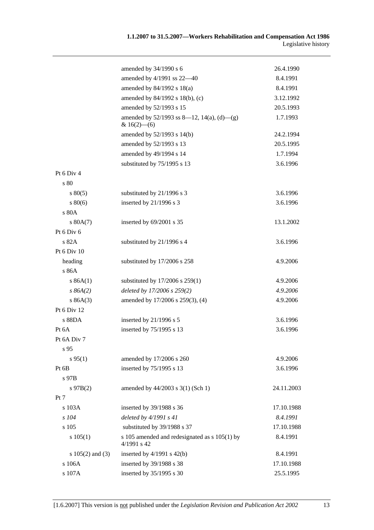|                    | amended by $34/1990$ s 6                                        | 26.4.1990  |
|--------------------|-----------------------------------------------------------------|------------|
|                    | amended by 4/1991 ss 22-40                                      | 8.4.1991   |
|                    | amended by $84/1992$ s $18(a)$                                  | 8.4.1991   |
|                    | amended by 84/1992 s 18(b), (c)                                 | 3.12.1992  |
|                    | amended by 52/1993 s 15                                         | 20.5.1993  |
|                    | amended by $52/1993$ ss 8—12, 14(a), (d)—(g)<br>& $16(2)$ - (6) | 1.7.1993   |
|                    | amended by 52/1993 s 14(b)                                      | 24.2.1994  |
|                    | amended by 52/1993 s 13                                         | 20.5.1995  |
|                    | amended by 49/1994 s 14                                         | 1.7.1994   |
|                    | substituted by 75/1995 s 13                                     | 3.6.1996   |
| Pt 6 Div 4         |                                                                 |            |
| s 80               |                                                                 |            |
| $s\,80(5)$         | substituted by 21/1996 s 3                                      | 3.6.1996   |
| $s\,80(6)$         | inserted by $21/1996$ s 3                                       | 3.6.1996   |
| s 80A              |                                                                 |            |
| s 80A(7)           | inserted by 69/2001 s 35                                        | 13.1.2002  |
| Pt 6 Div 6         |                                                                 |            |
| s 82A              | substituted by 21/1996 s 4                                      | 3.6.1996   |
| Pt 6 Div 10        |                                                                 |            |
| heading            | substituted by 17/2006 s 258                                    | 4.9.2006   |
| s 86A              |                                                                 |            |
| s 86A(1)           | substituted by $17/2006$ s $259(1)$                             | 4.9.2006   |
| s 86A(2)           | deleted by 17/2006 s 259(2)                                     | 4.9.2006   |
| s 86A(3)           | amended by 17/2006 s 259(3), (4)                                | 4.9.2006   |
| Pt 6 Div 12        |                                                                 |            |
| s 88DA             | inserted by $21/1996$ s 5                                       | 3.6.1996   |
| Pt 6A              | inserted by 75/1995 s 13                                        | 3.6.1996   |
| Pt 6A Div 7        |                                                                 |            |
| s <sub>95</sub>    |                                                                 |            |
| $s\,95(1)$         | amended by 17/2006 s 260                                        | 4.9.2006   |
| Pt 6B              | inserted by 75/1995 s 13                                        | 3.6.1996   |
| s 97B              |                                                                 |            |
| $s\,97B(2)$        | amended by 44/2003 s 3(1) (Sch 1)                               | 24.11.2003 |
| Pt 7               |                                                                 |            |
| s 103A             | inserted by 39/1988 s 36                                        | 17.10.1988 |
| s 104              | deleted by $4/1991 s 41$                                        | 8.4.1991   |
| s 105              | substituted by 39/1988 s 37                                     | 17.10.1988 |
| s 105(1)           | s 105 amended and redesignated as s 105(1) by<br>4/1991 s 42    | 8.4.1991   |
| s $105(2)$ and (3) | inserted by $4/1991$ s $42(b)$                                  | 8.4.1991   |
| s 106A             | inserted by 39/1988 s 38                                        | 17.10.1988 |
| s 107A             | inserted by 35/1995 s 30                                        | 25.5.1995  |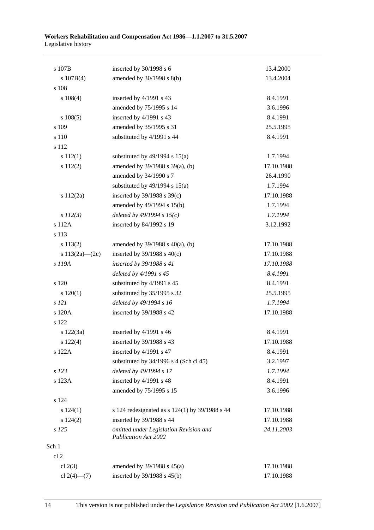#### **Workers Rehabilitation and Compensation Act 1986—1.1.2007 to 31.5.2007**  Legislative history

| s 107B            | inserted by 30/1998 s 6                                               | 13.4.2000  |
|-------------------|-----------------------------------------------------------------------|------------|
| s 107B(4)         | amended by 30/1998 s 8(b)                                             | 13.4.2004  |
| s 108             |                                                                       |            |
| s 108(4)          | inserted by 4/1991 s 43                                               | 8.4.1991   |
|                   | amended by 75/1995 s 14                                               | 3.6.1996   |
| s 108(5)          | inserted by 4/1991 s 43                                               | 8.4.1991   |
| s 109             | amended by 35/1995 s 31                                               | 25.5.1995  |
| s 110             | substituted by 4/1991 s 44                                            | 8.4.1991   |
| s 112             |                                                                       |            |
| s 112(1)          | substituted by $49/1994$ s $15(a)$                                    | 1.7.1994   |
| s 112(2)          | amended by 39/1988 s 39(a), (b)                                       | 17.10.1988 |
|                   | amended by 34/1990 s 7                                                | 26.4.1990  |
|                   | substituted by $49/1994$ s $15(a)$                                    | 1.7.1994   |
| s 112(2a)         | inserted by $39/1988$ s $39(c)$                                       | 17.10.1988 |
|                   | amended by 49/1994 s 15(b)                                            | 1.7.1994   |
| $s$ 112(3)        | deleted by $49/1994 s 15(c)$                                          | 1.7.1994   |
| s 112A            | inserted by 84/1992 s 19                                              | 3.12.1992  |
| s 113             |                                                                       |            |
| s 113(2)          | amended by $39/1988$ s $40(a)$ , (b)                                  | 17.10.1988 |
| s 113(2a)-(2c)    | inserted by $39/1988$ s $40(c)$                                       | 17.10.1988 |
| s 119A            | inserted by 39/1988 s 41                                              | 17.10.1988 |
|                   | deleted by 4/1991 s 45                                                | 8.4.1991   |
| s 120             | substituted by 4/1991 s 45                                            | 8.4.1991   |
| 120(1)            | substituted by 35/1995 s 32                                           | 25.5.1995  |
| s 121             | deleted by 49/1994 s 16                                               | 1.7.1994   |
| s 120A            | inserted by 39/1988 s 42                                              | 17.10.1988 |
| s 122             |                                                                       |            |
| s 122(3a)         | inserted by 4/1991 s 46                                               | 8.4.1991   |
| $s\ 122(4)$       | inserted by 39/1988 s 43                                              | 17.10.1988 |
| s 122A            | inserted by 4/1991 s 47                                               | 8.4.1991   |
|                   | substituted by $34/1996$ s 4 (Sch cl 45)                              | 3.2.1997   |
| s 123             | deleted by 49/1994 s 17                                               | 1.7.1994   |
| s 123A            | inserted by 4/1991 s 48                                               | 8.4.1991   |
|                   | amended by 75/1995 s 15                                               | 3.6.1996   |
| s 124             |                                                                       |            |
| s 124(1)          | s 124 redesignated as $s$ 124(1) by 39/1988 s 44                      | 17.10.1988 |
| s 124(2)          | inserted by 39/1988 s 44                                              | 17.10.1988 |
| s 125             | omitted under Legislation Revision and<br><b>Publication Act 2002</b> | 24.11.2003 |
| Sch 1             |                                                                       |            |
| cl <sub>2</sub>   |                                                                       |            |
| cl $2(3)$         | amended by $39/1988$ s $45(a)$                                        | 17.10.1988 |
| cl $2(4)$ — $(7)$ | inserted by $39/1988$ s $45(b)$                                       | 17.10.1988 |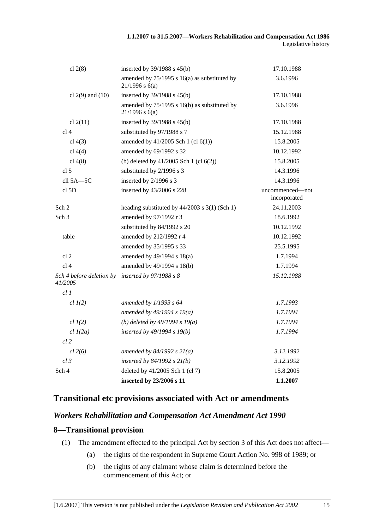| cl $2(8)$                           | inserted by 39/1988 s 45(b)                                          | 17.10.1988                      |
|-------------------------------------|----------------------------------------------------------------------|---------------------------------|
|                                     | amended by $75/1995$ s 16(a) as substituted by<br>$21/1996$ s $6(a)$ | 3.6.1996                        |
| cl $2(9)$ and $(10)$                | inserted by 39/1988 s 45(b)                                          | 17.10.1988                      |
|                                     | amended by 75/1995 s 16(b) as substituted by<br>$21/1996$ s $6(a)$   | 3.6.1996                        |
| cl 2(11)                            | inserted by 39/1988 s 45(b)                                          | 17.10.1988                      |
| cl <sub>4</sub>                     | substituted by 97/1988 s 7                                           | 15.12.1988                      |
| cl $4(3)$                           | amended by 41/2005 Sch 1 (cl 6(1))                                   | 15.8.2005                       |
| cl 4(4)                             | amended by 69/1992 s 32                                              | 10.12.1992                      |
| cl 4(8)                             | (b) deleted by $41/2005$ Sch 1 (cl $6(2)$ )                          | 15.8.2005                       |
| cl <sub>5</sub>                     | substituted by 2/1996 s 3                                            | 14.3.1996                       |
| cll 5A-5C                           | inserted by 2/1996 s 3                                               | 14.3.1996                       |
| cl <sub>5D</sub>                    | inserted by 43/2006 s 228                                            | uncommenced-not<br>incorporated |
| Sch 2                               | heading substituted by 44/2003 s 3(1) (Sch 1)                        | 24.11.2003                      |
| Sch <sub>3</sub>                    | amended by 97/1992 r 3                                               | 18.6.1992                       |
|                                     | substituted by 84/1992 s 20                                          | 10.12.1992                      |
| table                               | amended by 212/1992 r 4                                              | 10.12.1992                      |
|                                     | amended by 35/1995 s 33                                              | 25.5.1995                       |
| cl <sub>2</sub>                     | amended by 49/1994 s 18(a)                                           | 1.7.1994                        |
| cl <sub>4</sub>                     | amended by 49/1994 s 18(b)                                           | 1.7.1994                        |
| Sch 4 before deletion by<br>41/2005 | inserted by 97/1988 s 8                                              | 15.12.1988                      |
| cl1                                 |                                                                      |                                 |
| $cl$ $I(2)$                         | amended by $1/1993 s 64$                                             | 1.7.1993                        |
|                                     | amended by $49/1994 s 19(a)$                                         | 1.7.1994                        |
| $cl$ $I(2)$                         | (b) deleted by $49/1994 s 19(a)$                                     | 1.7.1994                        |
| $cl$ $l(2a)$                        | inserted by 49/1994 s 19(b)                                          | 1.7.1994                        |
| $cl$ 2                              |                                                                      |                                 |
| $cl$ 2(6)                           | amended by $84/1992 s 21(a)$                                         | 3.12.1992                       |
| $cl$ 3                              | inserted by $84/1992 s 21(b)$                                        | 3.12.1992                       |
| Sch 4                               | deleted by 41/2005 Sch 1 (cl 7)                                      | 15.8.2005                       |
|                                     | inserted by 23/2006 s 11                                             | 1.1.2007                        |

# **Transitional etc provisions associated with Act or amendments**

# *Workers Rehabilitation and Compensation Act Amendment Act 1990*

#### **8—Transitional provision**

- (1) The amendment effected to the principal Act by section 3 of this Act does not affect—
	- (a) the rights of the respondent in Supreme Court Action No. 998 of 1989; or
	- (b) the rights of any claimant whose claim is determined before the commencement of this Act; or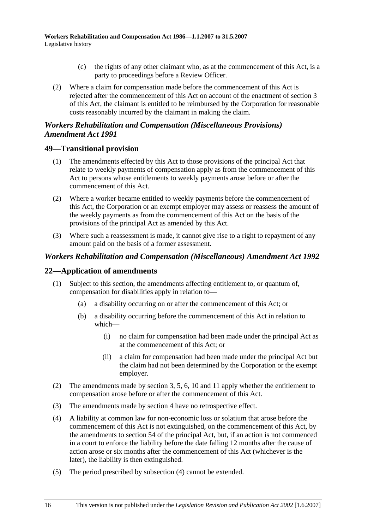- (c) the rights of any other claimant who, as at the commencement of this Act, is a party to proceedings before a Review Officer.
- (2) Where a claim for compensation made before the commencement of this Act is rejected after the commencement of this Act on account of the enactment of section 3 of this Act, the claimant is entitled to be reimbursed by the Corporation for reasonable costs reasonably incurred by the claimant in making the claim.

# *Workers Rehabilitation and Compensation (Miscellaneous Provisions) Amendment Act 1991*

# **49—Transitional provision**

- (1) The amendments effected by this Act to those provisions of the principal Act that relate to weekly payments of compensation apply as from the commencement of this Act to persons whose entitlements to weekly payments arose before or after the commencement of this Act.
- (2) Where a worker became entitled to weekly payments before the commencement of this Act, the Corporation or an exempt employer may assess or reassess the amount of the weekly payments as from the commencement of this Act on the basis of the provisions of the principal Act as amended by this Act.
- (3) Where such a reassessment is made, it cannot give rise to a right to repayment of any amount paid on the basis of a former assessment.

# *Workers Rehabilitation and Compensation (Miscellaneous) Amendment Act 1992*

# **22—Application of amendments**

- (1) Subject to this section, the amendments affecting entitlement to, or quantum of, compensation for disabilities apply in relation to—
	- (a) a disability occurring on or after the commencement of this Act; or
	- (b) a disability occurring before the commencement of this Act in relation to which—
		- (i) no claim for compensation had been made under the principal Act as at the commencement of this Act; or
		- (ii) a claim for compensation had been made under the principal Act but the claim had not been determined by the Corporation or the exempt employer.
- (2) The amendments made by section 3, 5, 6, 10 and 11 apply whether the entitlement to compensation arose before or after the commencement of this Act.
- (3) The amendments made by section 4 have no retrospective effect.
- (4) A liability at common law for non-economic loss or solatium that arose before the commencement of this Act is not extinguished, on the commencement of this Act, by the amendments to section 54 of the principal Act, but, if an action is not commenced in a court to enforce the liability before the date falling 12 months after the cause of action arose or six months after the commencement of this Act (whichever is the later), the liability is then extinguished.
- (5) The period prescribed by subsection (4) cannot be extended.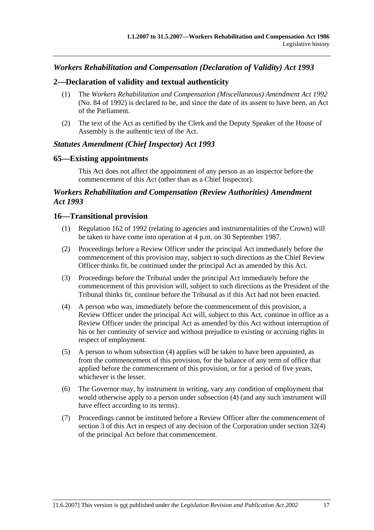## *Workers Rehabilitation and Compensation (Declaration of Validity) Act 1993*

### **2—Declaration of validity and textual authenticity**

- (1) The *Workers Rehabilitation and Compensation (Miscellaneous) Amendment Act 1992* (No. 84 of 1992) is declared to be, and since the date of its assent to have been, an Act of the Parliament.
- (2) The text of the Act as certified by the Clerk and the Deputy Speaker of the House of Assembly is the authentic text of the Act.

### *Statutes Amendment (Chief Inspector) Act 1993*

### **65—Existing appointments**

This Act does not affect the appointment of any person as an inspector before the commencement of this Act (other than as a Chief Inspector).

## *Workers Rehabilitation and Compensation (Review Authorities) Amendment Act 1993*

### **16—Transitional provision**

- (1) Regulation 162 of 1992 (relating to agencies and instrumentalities of the Crown) will be taken to have come into operation at 4 p.m. on 30 September 1987.
- (2) Proceedings before a Review Officer under the principal Act immediately before the commencement of this provision may, subject to such directions as the Chief Review Officer thinks fit, be continued under the principal Act as amended by this Act.
- (3) Proceedings before the Tribunal under the principal Act immediately before the commencement of this provision will, subject to such directions as the President of the Tribunal thinks fit, continue before the Tribunal as if this Act had not been enacted.
- (4) A person who was, immediately before the commencement of this provision, a Review Officer under the principal Act will, subject to this Act, continue in office as a Review Officer under the principal Act as amended by this Act without interruption of his or her continuity of service and without prejudice to existing or accruing rights in respect of employment.
- (5) A person to whom subsection (4) applies will be taken to have been appointed, as from the commencement of this provision, for the balance of any term of office that applied before the commencement of this provision, or for a period of five years, whichever is the lesser.
- (6) The Governor may, by instrument in writing, vary any condition of employment that would otherwise apply to a person under subsection (4) (and any such instrument will have effect according to its terms).
- (7) Proceedings cannot be instituted before a Review Officer after the commencement of section 3 of this Act in respect of any decision of the Corporation under section 32(4) of the principal Act before that commencement.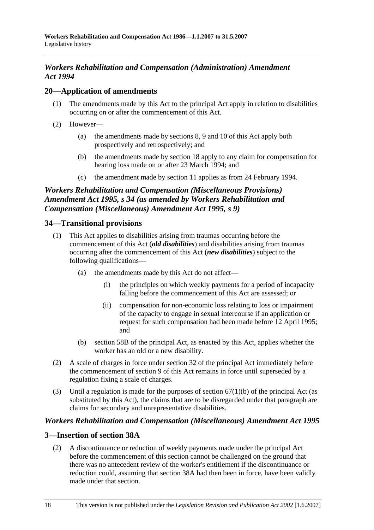## *Workers Rehabilitation and Compensation (Administration) Amendment Act 1994*

## **20—Application of amendments**

- (1) The amendments made by this Act to the principal Act apply in relation to disabilities occurring on or after the commencement of this Act.
- (2) However—
	- (a) the amendments made by sections 8, 9 and 10 of this Act apply both prospectively and retrospectively; and
	- (b) the amendments made by section 18 apply to any claim for compensation for hearing loss made on or after 23 March 1994; and
	- (c) the amendment made by section 11 applies as from 24 February 1994.

## *Workers Rehabilitation and Compensation (Miscellaneous Provisions) Amendment Act 1995, s 34 (as amended by Workers Rehabilitation and Compensation (Miscellaneous) Amendment Act 1995, s 9)*

## **34—Transitional provisions**

- (1) This Act applies to disabilities arising from traumas occurring before the commencement of this Act (*old disabilities*) and disabilities arising from traumas occurring after the commencement of this Act (*new disabilities*) subject to the following qualifications—
	- (a) the amendments made by this Act do not affect—
		- (i) the principles on which weekly payments for a period of incapacity falling before the commencement of this Act are assessed; or
		- (ii) compensation for non-economic loss relating to loss or impairment of the capacity to engage in sexual intercourse if an application or request for such compensation had been made before 12 April 1995; and
	- (b) section 58B of the principal Act, as enacted by this Act, applies whether the worker has an old or a new disability.
- (2) A scale of charges in force under section 32 of the principal Act immediately before the commencement of section 9 of this Act remains in force until superseded by a regulation fixing a scale of charges.
- (3) Until a regulation is made for the purposes of section  $67(1)(b)$  of the principal Act (as substituted by this Act), the claims that are to be disregarded under that paragraph are claims for secondary and unrepresentative disabilities.

## *Workers Rehabilitation and Compensation (Miscellaneous) Amendment Act 1995*

## **3—Insertion of section 38A**

 (2) A discontinuance or reduction of weekly payments made under the principal Act before the commencement of this section cannot be challenged on the ground that there was no antecedent review of the worker's entitlement if the discontinuance or reduction could, assuming that section 38A had then been in force, have been validly made under that section.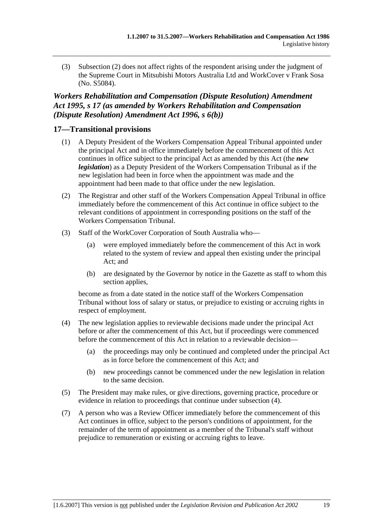(3) Subsection (2) does not affect rights of the respondent arising under the judgment of the Supreme Court in Mitsubishi Motors Australia Ltd and WorkCover v Frank Sosa (No. S5084).

## *Workers Rehabilitation and Compensation (Dispute Resolution) Amendment Act 1995, s 17 (as amended by Workers Rehabilitation and Compensation (Dispute Resolution) Amendment Act 1996, s 6(b))*

## **17—Transitional provisions**

- (1) A Deputy President of the Workers Compensation Appeal Tribunal appointed under the principal Act and in office immediately before the commencement of this Act continues in office subject to the principal Act as amended by this Act (the *new legislation*) as a Deputy President of the Workers Compensation Tribunal as if the new legislation had been in force when the appointment was made and the appointment had been made to that office under the new legislation.
- (2) The Registrar and other staff of the Workers Compensation Appeal Tribunal in office immediately before the commencement of this Act continue in office subject to the relevant conditions of appointment in corresponding positions on the staff of the Workers Compensation Tribunal.
- (3) Staff of the WorkCover Corporation of South Australia who—
	- (a) were employed immediately before the commencement of this Act in work related to the system of review and appeal then existing under the principal Act; and
	- (b) are designated by the Governor by notice in the Gazette as staff to whom this section applies,

become as from a date stated in the notice staff of the Workers Compensation Tribunal without loss of salary or status, or prejudice to existing or accruing rights in respect of employment.

- (4) The new legislation applies to reviewable decisions made under the principal Act before or after the commencement of this Act, but if proceedings were commenced before the commencement of this Act in relation to a reviewable decision—
	- (a) the proceedings may only be continued and completed under the principal Act as in force before the commencement of this Act; and
	- (b) new proceedings cannot be commenced under the new legislation in relation to the same decision.
- (5) The President may make rules, or give directions, governing practice, procedure or evidence in relation to proceedings that continue under subsection (4).
- (7) A person who was a Review Officer immediately before the commencement of this Act continues in office, subject to the person's conditions of appointment, for the remainder of the term of appointment as a member of the Tribunal's staff without prejudice to remuneration or existing or accruing rights to leave.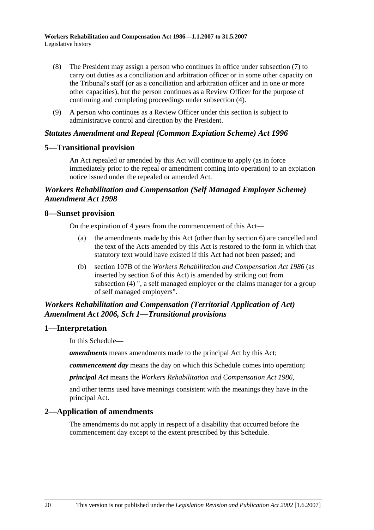- (8) The President may assign a person who continues in office under subsection (7) to carry out duties as a conciliation and arbitration officer or in some other capacity on the Tribunal's staff (or as a conciliation and arbitration officer and in one or more other capacities), but the person continues as a Review Officer for the purpose of continuing and completing proceedings under subsection (4).
- (9) A person who continues as a Review Officer under this section is subject to administrative control and direction by the President.

### *Statutes Amendment and Repeal (Common Expiation Scheme) Act 1996*

### **5—Transitional provision**

An Act repealed or amended by this Act will continue to apply (as in force immediately prior to the repeal or amendment coming into operation) to an expiation notice issued under the repealed or amended Act.

## *Workers Rehabilitation and Compensation (Self Managed Employer Scheme) Amendment Act 1998*

### **8—Sunset provision**

On the expiration of 4 years from the commencement of this Act—

- (a) the amendments made by this Act (other than by section 6) are cancelled and the text of the Acts amended by this Act is restored to the form in which that statutory text would have existed if this Act had not been passed; and
- (b) section 107B of the *Workers Rehabilitation and Compensation Act 1986* (as inserted by section 6 of this Act) is amended by striking out from subsection (4) ", a self managed employer or the claims manager for a group of self managed employers".

## *Workers Rehabilitation and Compensation (Territorial Application of Act) Amendment Act 2006, Sch 1—Transitional provisions*

#### **1—Interpretation**

In this Schedule—

*amendments* means amendments made to the principal Act by this Act;

*commencement day* means the day on which this Schedule comes into operation;

*principal Act* means the *Workers Rehabilitation and Compensation Act 1986*,

and other terms used have meanings consistent with the meanings they have in the principal Act.

## **2—Application of amendments**

The amendments do not apply in respect of a disability that occurred before the commencement day except to the extent prescribed by this Schedule.